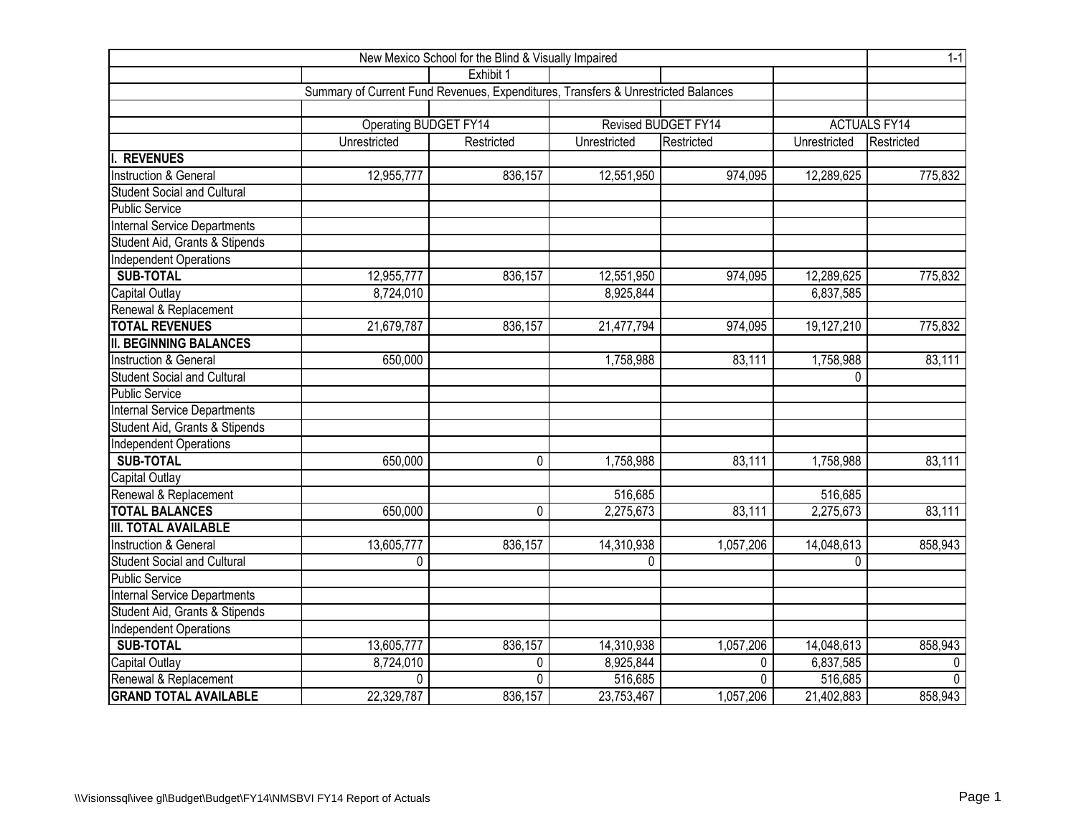| New Mexico School for the Blind & Visually Impaired |                                                                                   |              |                         |                     |                     |              |  |  |  |  |
|-----------------------------------------------------|-----------------------------------------------------------------------------------|--------------|-------------------------|---------------------|---------------------|--------------|--|--|--|--|
|                                                     |                                                                                   | Exhibit 1    |                         |                     |                     |              |  |  |  |  |
|                                                     | Summary of Current Fund Revenues, Expenditures, Transfers & Unrestricted Balances |              |                         |                     |                     |              |  |  |  |  |
|                                                     |                                                                                   |              |                         |                     |                     |              |  |  |  |  |
|                                                     | <b>Operating BUDGET FY14</b>                                                      |              |                         | Revised BUDGET FY14 | <b>ACTUALS FY14</b> |              |  |  |  |  |
|                                                     | Unrestricted                                                                      | Restricted   | Unrestricted            | Restricted          | Unrestricted        | Restricted   |  |  |  |  |
| <b>REVENUES</b>                                     |                                                                                   |              |                         |                     |                     |              |  |  |  |  |
| Instruction & General                               | 12,955,777                                                                        | 836,157      | 12,551,950              | 974,095             | 12,289,625          | 775,832      |  |  |  |  |
| <b>Student Social and Cultural</b>                  |                                                                                   |              |                         |                     |                     |              |  |  |  |  |
| <b>Public Service</b>                               |                                                                                   |              |                         |                     |                     |              |  |  |  |  |
| <b>Internal Service Departments</b>                 |                                                                                   |              |                         |                     |                     |              |  |  |  |  |
| Student Aid, Grants & Stipends                      |                                                                                   |              |                         |                     |                     |              |  |  |  |  |
| <b>Independent Operations</b>                       |                                                                                   |              |                         |                     |                     |              |  |  |  |  |
| <b>SUB-TOTAL</b>                                    | 12,955,777                                                                        | 836,157      | 12,551,950              | 974,095             | 12,289,625          | 775,832      |  |  |  |  |
| Capital Outlay                                      | 8,724,010                                                                         |              | 8,925,844               |                     | 6,837,585           |              |  |  |  |  |
| Renewal & Replacement                               |                                                                                   |              |                         |                     |                     |              |  |  |  |  |
| <b>TOTAL REVENUES</b>                               | 21,679,787                                                                        | 836,157      | 21,477,794              | 974,095             | 19,127,210          | 775,832      |  |  |  |  |
| <b>II. BEGINNING BALANCES</b>                       |                                                                                   |              |                         |                     |                     |              |  |  |  |  |
| Instruction & General                               | 650,000                                                                           |              | 1,758,988               | 83,111              | 1,758,988           | 83,111       |  |  |  |  |
| <b>Student Social and Cultural</b>                  |                                                                                   |              |                         |                     | 0                   |              |  |  |  |  |
| <b>Public Service</b>                               |                                                                                   |              |                         |                     |                     |              |  |  |  |  |
| Internal Service Departments                        |                                                                                   |              |                         |                     |                     |              |  |  |  |  |
| Student Aid, Grants & Stipends                      |                                                                                   |              |                         |                     |                     |              |  |  |  |  |
| <b>Independent Operations</b>                       |                                                                                   |              |                         |                     |                     |              |  |  |  |  |
| <b>SUB-TOTAL</b>                                    | 650,000                                                                           | $\mathbf 0$  | 1,758,988               | 83,111              | 1,758,988           | 83,111       |  |  |  |  |
| Capital Outlay                                      |                                                                                   |              |                         |                     |                     |              |  |  |  |  |
| Renewal & Replacement                               |                                                                                   |              | 516,685                 |                     | 516,685             |              |  |  |  |  |
| <b>TOTAL BALANCES</b>                               | 650,000                                                                           | $\mathbf{0}$ | 2,275,673               | 83,111              | 2,275,673           | 83,111       |  |  |  |  |
| <b>III. TOTAL AVAILABLE</b>                         |                                                                                   |              |                         |                     |                     |              |  |  |  |  |
| <b>Instruction &amp; General</b>                    | 13,605,777                                                                        | 836,157      | 14,310,938              | 1,057,206           | 14,048,613          | 858,943      |  |  |  |  |
| <b>Student Social and Cultural</b>                  | 0                                                                                 |              | $\Omega$                |                     | 0                   |              |  |  |  |  |
| <b>Public Service</b>                               |                                                                                   |              |                         |                     |                     |              |  |  |  |  |
| <b>Internal Service Departments</b>                 |                                                                                   |              |                         |                     |                     |              |  |  |  |  |
| Student Aid, Grants & Stipends                      |                                                                                   |              |                         |                     |                     |              |  |  |  |  |
| Independent Operations                              |                                                                                   |              |                         |                     |                     |              |  |  |  |  |
| <b>SUB-TOTAL</b>                                    | 13,605,777                                                                        | 836,157      | 14,310,938              | 1,057,206           | 14,048,613          | 858,943      |  |  |  |  |
| <b>Capital Outlay</b>                               | 8,724,010                                                                         | 0            | 8,925,844               | 0                   | 6,837,585           | $\mathbf 0$  |  |  |  |  |
| Renewal & Replacement                               | $\Omega$                                                                          | $\Omega$     | 516,685                 | 0                   | 516,685             | $\mathbf{0}$ |  |  |  |  |
| <b>GRAND TOTAL AVAILABLE</b>                        | 22,329,787                                                                        | 836,157      | $\overline{23,}753,467$ | 1,057,206           | 21,402,883          | 858,943      |  |  |  |  |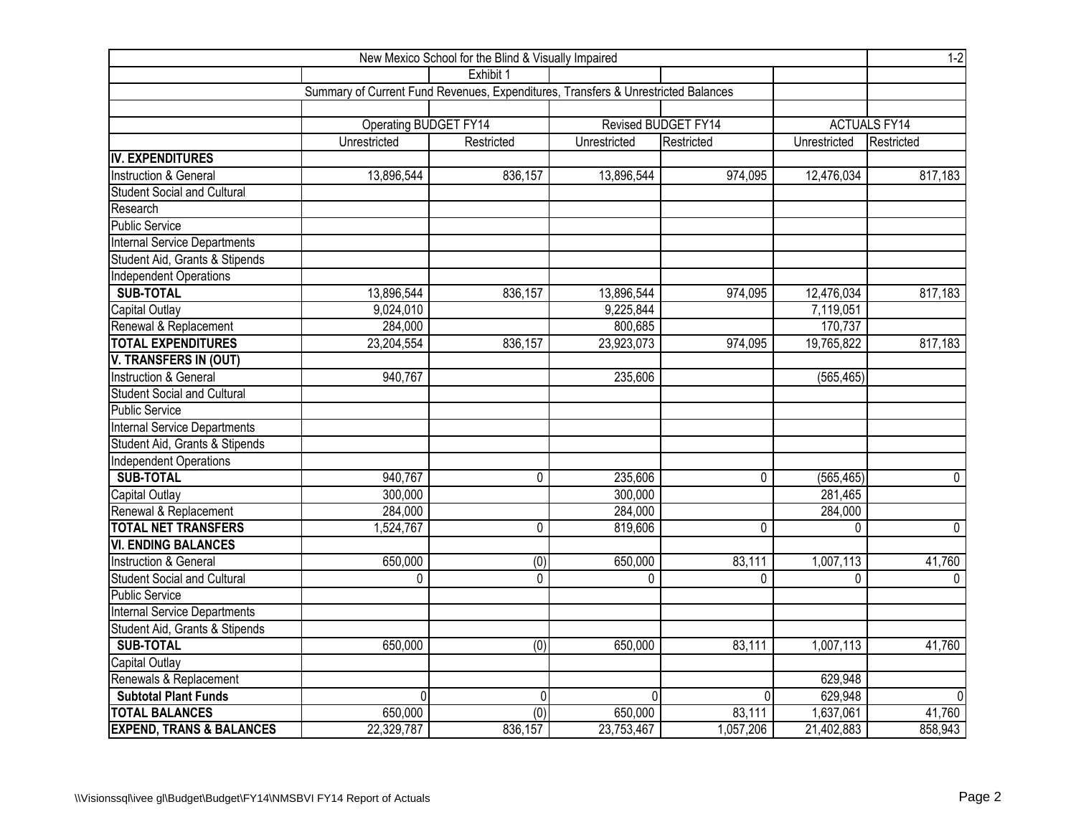| New Mexico School for the Blind & Visually Impaired |                                                                                   |             |                     |                |              |                     |  |  |  |  |  |
|-----------------------------------------------------|-----------------------------------------------------------------------------------|-------------|---------------------|----------------|--------------|---------------------|--|--|--|--|--|
|                                                     |                                                                                   | Exhibit 1   |                     |                |              |                     |  |  |  |  |  |
|                                                     | Summary of Current Fund Revenues, Expenditures, Transfers & Unrestricted Balances |             |                     |                |              |                     |  |  |  |  |  |
|                                                     |                                                                                   |             |                     |                |              |                     |  |  |  |  |  |
|                                                     | Operating BUDGET FY14                                                             |             | Revised BUDGET FY14 |                |              | <b>ACTUALS FY14</b> |  |  |  |  |  |
|                                                     | Unrestricted                                                                      | Restricted  | Unrestricted        | Restricted     | Unrestricted | Restricted          |  |  |  |  |  |
| IV. EXPENDITURES                                    |                                                                                   |             |                     |                |              |                     |  |  |  |  |  |
| Instruction & General                               | 13,896,544                                                                        | 836,157     | 13,896,544          | 974,095        | 12,476,034   | 817,183             |  |  |  |  |  |
| <b>Student Social and Cultural</b>                  |                                                                                   |             |                     |                |              |                     |  |  |  |  |  |
| Research                                            |                                                                                   |             |                     |                |              |                     |  |  |  |  |  |
| <b>Public Service</b>                               |                                                                                   |             |                     |                |              |                     |  |  |  |  |  |
| Internal Service Departments                        |                                                                                   |             |                     |                |              |                     |  |  |  |  |  |
| Student Aid, Grants & Stipends                      |                                                                                   |             |                     |                |              |                     |  |  |  |  |  |
| Independent Operations                              |                                                                                   |             |                     |                |              |                     |  |  |  |  |  |
| <b>SUB-TOTAL</b>                                    | 13,896,544                                                                        | 836,157     | 13,896,544          | 974,095        | 12,476,034   | 817,183             |  |  |  |  |  |
| <b>Capital Outlay</b>                               | 9,024,010                                                                         |             | 9,225,844           |                | 7,119,051    |                     |  |  |  |  |  |
| Renewal & Replacement                               | 284,000                                                                           |             | 800,685             |                | 170,737      |                     |  |  |  |  |  |
| <b>TOTAL EXPENDITURES</b>                           | 23,204,554                                                                        | 836,157     | 23,923,073          | 974,095        | 19,765,822   | 817,183             |  |  |  |  |  |
| <b>V. TRANSFERS IN (OUT)</b>                        |                                                                                   |             |                     |                |              |                     |  |  |  |  |  |
| Instruction & General                               | 940,767                                                                           |             | 235,606             |                | (565, 465)   |                     |  |  |  |  |  |
| <b>Student Social and Cultural</b>                  |                                                                                   |             |                     |                |              |                     |  |  |  |  |  |
| <b>Public Service</b>                               |                                                                                   |             |                     |                |              |                     |  |  |  |  |  |
| <b>Internal Service Departments</b>                 |                                                                                   |             |                     |                |              |                     |  |  |  |  |  |
| Student Aid, Grants & Stipends                      |                                                                                   |             |                     |                |              |                     |  |  |  |  |  |
| <b>Independent Operations</b>                       |                                                                                   |             |                     |                |              |                     |  |  |  |  |  |
| <b>SUB-TOTAL</b>                                    | 940,767                                                                           | 0           | 235,606             | 0              | (565, 465)   | $\overline{0}$      |  |  |  |  |  |
| <b>Capital Outlay</b>                               | 300,000                                                                           |             | 300,000             |                | 281,465      |                     |  |  |  |  |  |
| Renewal & Replacement                               | 284,000                                                                           |             | 284,000             |                | 284,000      |                     |  |  |  |  |  |
| <b>TOTAL NET TRANSFERS</b>                          | 1,524,767                                                                         | $\mathbf 0$ | 819,606             | 0              | 0            | $\pmb{0}$           |  |  |  |  |  |
| <b>VI. ENDING BALANCES</b>                          |                                                                                   |             |                     |                |              |                     |  |  |  |  |  |
| Instruction & General                               | 650,000                                                                           | (0)         | 650,000             | 83,111         | 1,007,113    | 41,760              |  |  |  |  |  |
| <b>Student Social and Cultural</b>                  | 0                                                                                 | 0           | 0                   | 0              | 0            | $\mathbf{0}$        |  |  |  |  |  |
| <b>Public Service</b>                               |                                                                                   |             |                     |                |              |                     |  |  |  |  |  |
| <b>Internal Service Departments</b>                 |                                                                                   |             |                     |                |              |                     |  |  |  |  |  |
| Student Aid, Grants & Stipends                      |                                                                                   |             |                     |                |              |                     |  |  |  |  |  |
| <b>SUB-TOTAL</b>                                    | 650,000                                                                           | (0)         | 650,000             | 83,111         | 1,007,113    | 41,760              |  |  |  |  |  |
| Capital Outlay                                      |                                                                                   |             |                     |                |              |                     |  |  |  |  |  |
| Renewals & Replacement                              |                                                                                   |             |                     |                | 629,948      |                     |  |  |  |  |  |
| <b>Subtotal Plant Funds</b>                         | $\Omega$                                                                          | 0           | $\Omega$            | $\overline{0}$ | 629,948      |                     |  |  |  |  |  |
| <b>TOTAL BALANCES</b>                               | 650,000                                                                           | (0)         | 650,000             | 83,111         | 1,637,061    | 41,760              |  |  |  |  |  |
| <b>EXPEND, TRANS &amp; BALANCES</b>                 | 22,329,787                                                                        | 836,157     | 23,753,467          | 1,057,206      | 21,402,883   | 858,943             |  |  |  |  |  |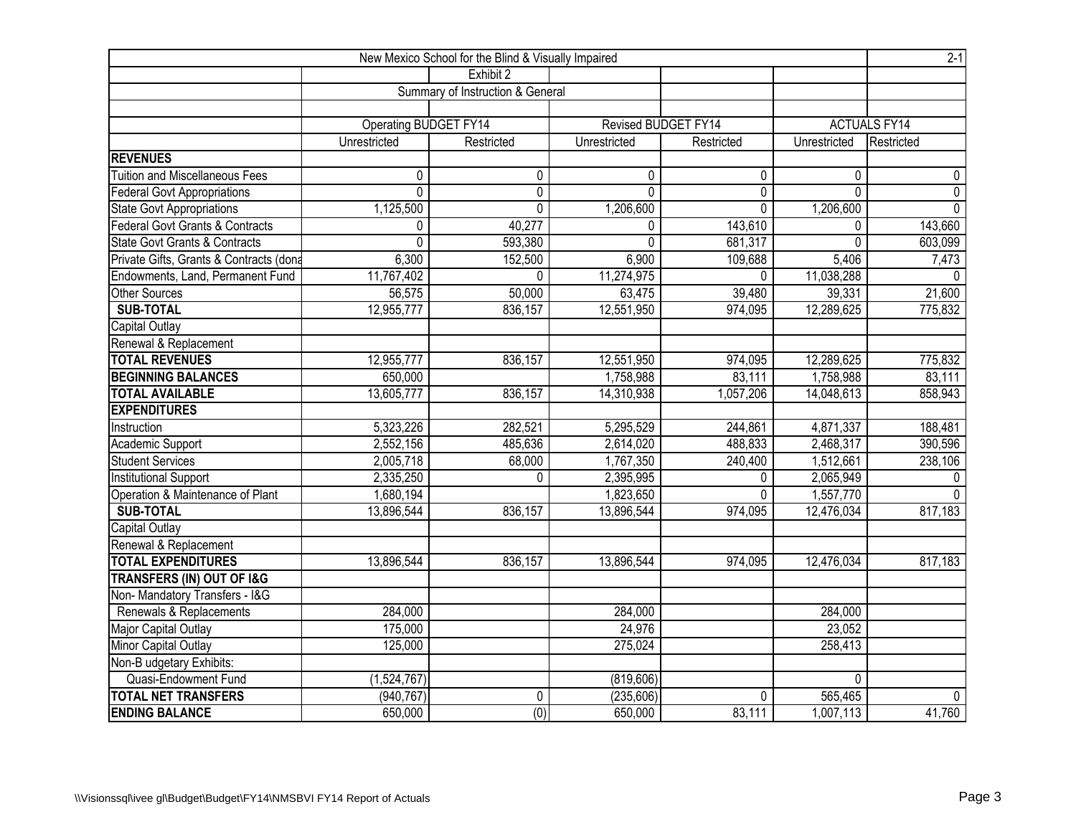| New Mexico School for the Blind & Visually Impaired |                       |                                  |                     |              |              |                     |  |  |  |  |  |
|-----------------------------------------------------|-----------------------|----------------------------------|---------------------|--------------|--------------|---------------------|--|--|--|--|--|
|                                                     |                       | Exhibit 2                        |                     |              |              |                     |  |  |  |  |  |
|                                                     |                       | Summary of Instruction & General |                     |              |              |                     |  |  |  |  |  |
|                                                     |                       |                                  |                     |              |              |                     |  |  |  |  |  |
|                                                     | Operating BUDGET FY14 |                                  | Revised BUDGET FY14 |              |              | <b>ACTUALS FY14</b> |  |  |  |  |  |
|                                                     | Unrestricted          | Restricted                       | Unrestricted        | Restricted   | Unrestricted | Restricted          |  |  |  |  |  |
| <b>REVENUES</b>                                     |                       |                                  |                     |              |              |                     |  |  |  |  |  |
| <b>Tuition and Miscellaneous Fees</b>               | 0                     | $\mathbf{0}$                     | 0                   | $\mathbf{0}$ | 0            | 0                   |  |  |  |  |  |
| <b>Federal Govt Appropriations</b>                  | $\mathbf 0$           | $\mathbf 0$                      | $\mathbf{0}$        | 0            | 0            | $\pmb{0}$           |  |  |  |  |  |
| State Govt Appropriations                           | 1,125,500             | $\mathbf{0}$                     | 1,206,600           | 0            | 1,206,600    | $\overline{0}$      |  |  |  |  |  |
| <b>Federal Govt Grants &amp; Contracts</b>          | $\mathbf{0}$          | 40,277                           | 0                   | 143,610      | 0            | 143,660             |  |  |  |  |  |
| <b>State Govt Grants &amp; Contracts</b>            | $\mathbf 0$           | 593,380                          | $\Omega$            | 681,317      | 0            | 603,099             |  |  |  |  |  |
| Private Gifts, Grants & Contracts (dona             | 6,300                 | 152,500                          | 6,900               | 109,688      | 5,406        | 7,473               |  |  |  |  |  |
| Endowments, Land, Permanent Fund                    | 11,767,402            | $\mathbf{0}$                     | 11,274,975          | 0            | 11,038,288   | $\Omega$            |  |  |  |  |  |
| <b>Other Sources</b>                                | 56,575                | 50,000                           | 63,475              | 39,480       | 39,331       | 21,600              |  |  |  |  |  |
| <b>SUB-TOTAL</b>                                    | 12,955,777            | 836,157                          | 12,551,950          | 974,095      | 12,289,625   | 775,832             |  |  |  |  |  |
| Capital Outlay                                      |                       |                                  |                     |              |              |                     |  |  |  |  |  |
| Renewal & Replacement                               |                       |                                  |                     |              |              |                     |  |  |  |  |  |
| <b>TOTAL REVENUES</b>                               | 12,955,777            | 836,157                          | 12,551,950          | 974,095      | 12,289,625   | 775,832             |  |  |  |  |  |
| <b>BEGINNING BALANCES</b>                           | 650,000               |                                  | 1,758,988           | 83,111       | 1,758,988    | 83,111              |  |  |  |  |  |
| <b>TOTAL AVAILABLE</b>                              | 13,605,777            | 836,157                          | 14,310,938          | 1,057,206    | 14,048,613   | 858,943             |  |  |  |  |  |
| <b>EXPENDITURES</b>                                 |                       |                                  |                     |              |              |                     |  |  |  |  |  |
| Instruction                                         | 5,323,226             | 282,521                          | 5,295,529           | 244,861      | 4,871,337    | 188,481             |  |  |  |  |  |
| Academic Support                                    | 2,552,156             | 485,636                          | 2,614,020           | 488,833      | 2,468,317    | 390,596             |  |  |  |  |  |
| <b>Student Services</b>                             | 2,005,718             | 68,000                           | 1,767,350           | 240,400      | 1,512,661    | 238,106             |  |  |  |  |  |
| Institutional Support                               | 2,335,250             | $\Omega$                         | 2,395,995           | 0            | 2,065,949    | $\mathbf{0}$        |  |  |  |  |  |
| Operation & Maintenance of Plant                    | 1,680,194             |                                  | 1,823,650           | 0            | 1,557,770    | $\mathbf{0}$        |  |  |  |  |  |
| <b>SUB-TOTAL</b>                                    | 13,896,544            | 836,157                          | 13,896,544          | 974,095      | 12,476,034   | 817,183             |  |  |  |  |  |
| Capital Outlay                                      |                       |                                  |                     |              |              |                     |  |  |  |  |  |
| Renewal & Replacement                               |                       |                                  |                     |              |              |                     |  |  |  |  |  |
| <b>TOTAL EXPENDITURES</b>                           | 13,896,544            | 836,157                          | 13,896,544          | 974,095      | 12,476,034   | 817,183             |  |  |  |  |  |
| <b>TRANSFERS (IN) OUT OF I&amp;G</b>                |                       |                                  |                     |              |              |                     |  |  |  |  |  |
| Non- Mandatory Transfers - I&G                      |                       |                                  |                     |              |              |                     |  |  |  |  |  |
| Renewals & Replacements                             | 284,000               |                                  | 284,000             |              | 284,000      |                     |  |  |  |  |  |
| Major Capital Outlay                                | 175,000               |                                  | 24,976              |              | 23,052       |                     |  |  |  |  |  |
| Minor Capital Outlay                                | 125,000               |                                  | 275,024             |              | 258,413      |                     |  |  |  |  |  |
| Non-B udgetary Exhibits:                            |                       |                                  |                     |              |              |                     |  |  |  |  |  |
| Quasi-Endowment Fund                                | (1,524,767)           |                                  | (819, 606)          |              | $\mathbf 0$  |                     |  |  |  |  |  |
| <b>TOTAL NET TRANSFERS</b>                          | (940, 767)            | 0                                | (235, 606)          | 0            | 565,465      | $\mathbf{0}$        |  |  |  |  |  |
| <b>ENDING BALANCE</b>                               | 650,000               | (0)                              | 650,000             | 83,111       | 1,007,113    | 41,760              |  |  |  |  |  |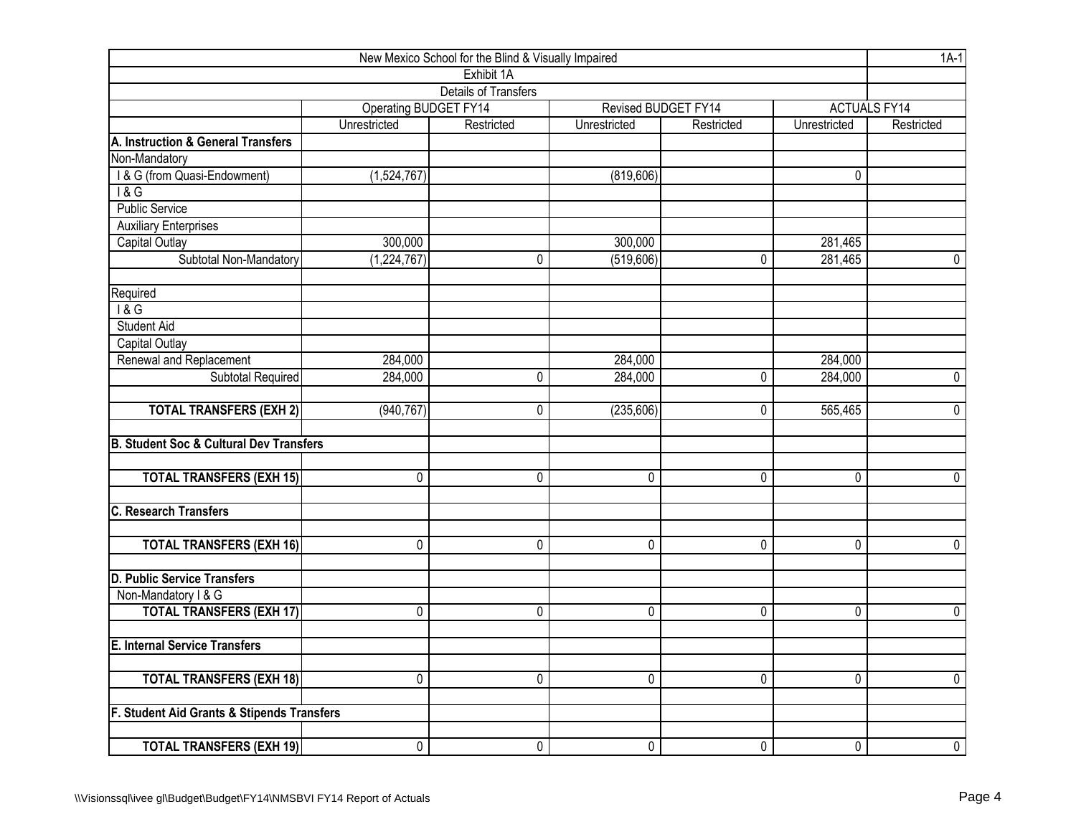| New Mexico School for the Blind & Visually Impaired |                          |                             |              |                     |                |                     |  |  |  |  |
|-----------------------------------------------------|--------------------------|-----------------------------|--------------|---------------------|----------------|---------------------|--|--|--|--|
|                                                     |                          | Exhibit 1A                  |              |                     |                |                     |  |  |  |  |
|                                                     |                          | <b>Details of Transfers</b> |              |                     |                |                     |  |  |  |  |
|                                                     | Operating BUDGET FY14    |                             |              | Revised BUDGET FY14 |                | <b>ACTUALS FY14</b> |  |  |  |  |
|                                                     | Unrestricted             | Restricted                  | Unrestricted | Restricted          | Unrestricted   | Restricted          |  |  |  |  |
| A. Instruction & General Transfers                  |                          |                             |              |                     |                |                     |  |  |  |  |
| Non-Mandatory                                       |                          |                             |              |                     |                |                     |  |  |  |  |
| I & G (from Quasi-Endowment)                        | (1,524,767)              |                             | (819, 606)   |                     | 0              |                     |  |  |  |  |
| $\overline{8}$                                      |                          |                             |              |                     |                |                     |  |  |  |  |
| <b>Public Service</b>                               |                          |                             |              |                     |                |                     |  |  |  |  |
| <b>Auxiliary Enterprises</b>                        |                          |                             |              |                     |                |                     |  |  |  |  |
| Capital Outlay                                      | 300,000                  |                             | 300,000      |                     | 281,465        |                     |  |  |  |  |
| Subtotal Non-Mandatory                              | $\overline{(1,224,767)}$ | 0                           | (519, 606)   | 0                   | 281,465        | 0                   |  |  |  |  |
| Required                                            |                          |                             |              |                     |                |                     |  |  |  |  |
| 18G                                                 |                          |                             |              |                     |                |                     |  |  |  |  |
| <b>Student Aid</b>                                  |                          |                             |              |                     |                |                     |  |  |  |  |
| <b>Capital Outlay</b>                               |                          |                             |              |                     |                |                     |  |  |  |  |
| Renewal and Replacement                             | 284,000                  |                             | 284,000      |                     | 284,000        |                     |  |  |  |  |
| Subtotal Required                                   | 284,000                  | 0                           | 284,000      | 0                   | 284,000        | $\mathbf 0$         |  |  |  |  |
| <b>TOTAL TRANSFERS (EXH 2)</b>                      | (940, 767)               | 0                           | (235, 606)   | 0                   | 565,465        | $\mathbf 0$         |  |  |  |  |
| <b>B. Student Soc &amp; Cultural Dev Transfers</b>  |                          |                             |              |                     |                |                     |  |  |  |  |
| <b>TOTAL TRANSFERS (EXH 15)</b>                     | 0                        | 0                           | 0            | $\overline{0}$      | 0              | $\overline{0}$      |  |  |  |  |
| <b>C. Research Transfers</b>                        |                          |                             |              |                     |                |                     |  |  |  |  |
|                                                     |                          |                             |              |                     |                |                     |  |  |  |  |
| <b>TOTAL TRANSFERS (EXH 16)</b>                     | 0                        | 0                           | 0            | 0                   | 0              | $\mathbf 0$         |  |  |  |  |
| <b>D. Public Service Transfers</b>                  |                          |                             |              |                     |                |                     |  |  |  |  |
| Non-Mandatory I & G                                 |                          |                             |              |                     |                |                     |  |  |  |  |
| <b>TOTAL TRANSFERS (EXH 17)</b>                     | 0                        | 0                           | 0            | 0                   | 0              | $\mathbf 0$         |  |  |  |  |
| <b>E. Internal Service Transfers</b>                |                          |                             |              |                     |                |                     |  |  |  |  |
| <b>TOTAL TRANSFERS (EXH 18)</b>                     | 0                        | 0                           | 0            | $\overline{0}$      | $\overline{0}$ | $\overline{0}$      |  |  |  |  |
| F. Student Aid Grants & Stipends Transfers          |                          |                             |              |                     |                |                     |  |  |  |  |
|                                                     |                          |                             |              |                     |                |                     |  |  |  |  |
| <b>TOTAL TRANSFERS (EXH 19)</b>                     | 0                        | 0                           | 0            | 0                   | 0              | $\overline{0}$      |  |  |  |  |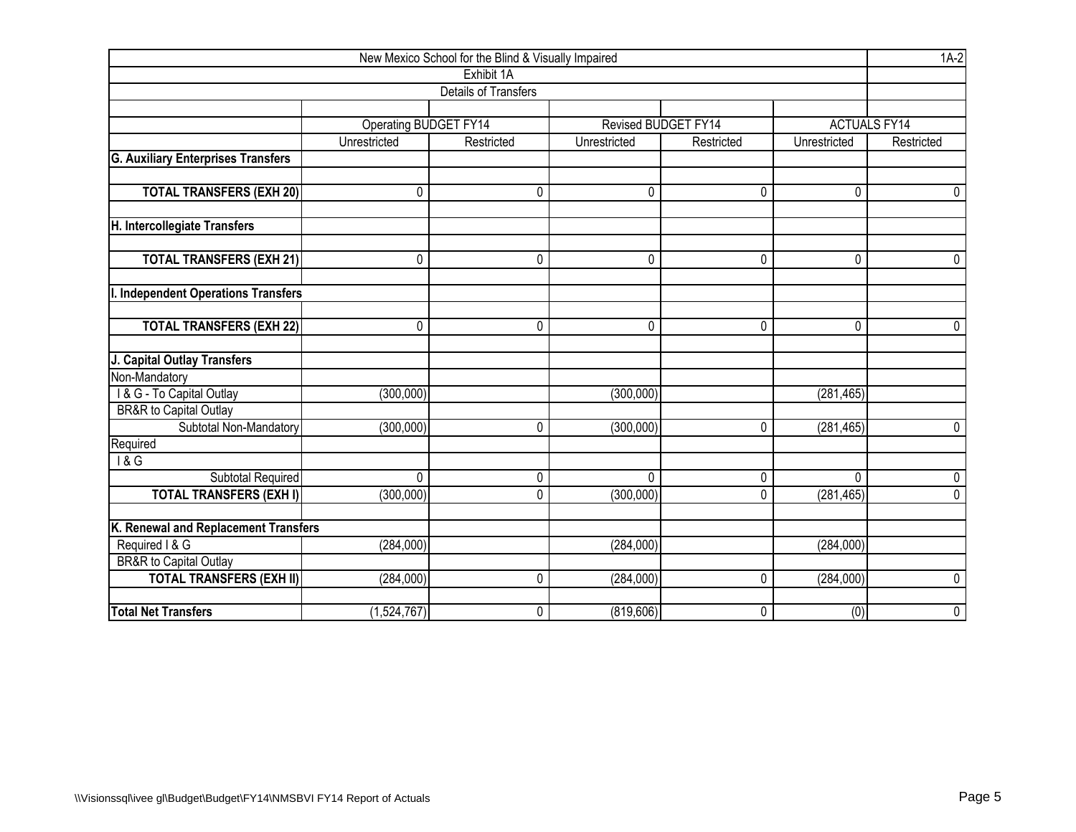| New Mexico School for the Blind & Visually Impaired |                              |                      |                     |            |              |                     |  |  |  |  |  |
|-----------------------------------------------------|------------------------------|----------------------|---------------------|------------|--------------|---------------------|--|--|--|--|--|
|                                                     |                              | Exhibit 1A           |                     |            |              |                     |  |  |  |  |  |
|                                                     |                              | Details of Transfers |                     |            |              |                     |  |  |  |  |  |
|                                                     |                              |                      |                     |            |              |                     |  |  |  |  |  |
|                                                     | <b>Operating BUDGET FY14</b> |                      | Revised BUDGET FY14 |            |              | <b>ACTUALS FY14</b> |  |  |  |  |  |
|                                                     | Unrestricted                 | Restricted           | Unrestricted        | Restricted | Unrestricted | Restricted          |  |  |  |  |  |
| <b>G. Auxiliary Enterprises Transfers</b>           |                              |                      |                     |            |              |                     |  |  |  |  |  |
|                                                     |                              |                      |                     |            |              |                     |  |  |  |  |  |
| <b>TOTAL TRANSFERS (EXH 20)</b>                     | 0                            | 0                    | 0                   | 0          | 0            | 0                   |  |  |  |  |  |
|                                                     |                              |                      |                     |            |              |                     |  |  |  |  |  |
| H. Intercollegiate Transfers                        |                              |                      |                     |            |              |                     |  |  |  |  |  |
|                                                     |                              |                      |                     |            |              |                     |  |  |  |  |  |
| <b>TOTAL TRANSFERS (EXH 21)</b>                     | 0                            | $\pmb{0}$            | 0                   | 0          | 0            | $\mathbf 0$         |  |  |  |  |  |
|                                                     |                              |                      |                     |            |              |                     |  |  |  |  |  |
| I. Independent Operations Transfers                 |                              |                      |                     |            |              |                     |  |  |  |  |  |
|                                                     |                              |                      |                     |            |              |                     |  |  |  |  |  |
| <b>TOTAL TRANSFERS (EXH 22)</b>                     | $\mathbf 0$                  | $\pmb{0}$            | 0                   | 0          | 0            | $\mathbf 0$         |  |  |  |  |  |
|                                                     |                              |                      |                     |            |              |                     |  |  |  |  |  |
| J. Capital Outlay Transfers                         |                              |                      |                     |            |              |                     |  |  |  |  |  |
| Non-Mandatory                                       |                              |                      |                     |            |              |                     |  |  |  |  |  |
| I & G - To Capital Outlay<br>BR&R to Capital Outlay | (300, 000)                   |                      | (300,000)           |            | (281, 465)   |                     |  |  |  |  |  |
| Subtotal Non-Mandatory                              | (300,000)                    | 0                    |                     | 0          |              | $\overline{0}$      |  |  |  |  |  |
| Required                                            |                              |                      | (300,000)           |            | (281, 465)   |                     |  |  |  |  |  |
| $\overline{18G}$                                    |                              |                      |                     |            |              |                     |  |  |  |  |  |
| Subtotal Required                                   | 0                            | $\mathbf 0$          | $\mathbf 0$         | 0          | 0            | $\mathbf 0$         |  |  |  |  |  |
| <b>TOTAL TRANSFERS (EXH I)</b>                      | (300, 000)                   | $\mathbf 0$          | (300,000)           | 0          | (281, 465)   | $\overline{0}$      |  |  |  |  |  |
|                                                     |                              |                      |                     |            |              |                     |  |  |  |  |  |
| K. Renewal and Replacement Transfers                |                              |                      |                     |            |              |                     |  |  |  |  |  |
| Required I & G                                      | (284,000)                    |                      | (284,000)           |            | (284,000)    |                     |  |  |  |  |  |
| <b>BR&amp;R</b> to Capital Outlay                   |                              |                      |                     |            |              |                     |  |  |  |  |  |
| <b>TOTAL TRANSFERS (EXH II)</b>                     | (284,000)                    | $\mathbf{0}$         | (284,000)           | 0          | (284,000)    | $\mathbf 0$         |  |  |  |  |  |
|                                                     |                              |                      |                     |            |              |                     |  |  |  |  |  |
| <b>Total Net Transfers</b>                          | (1,524,767)                  | $\pmb{0}$            | (819, 606)          | 0          | (0)          | $\pmb{0}$           |  |  |  |  |  |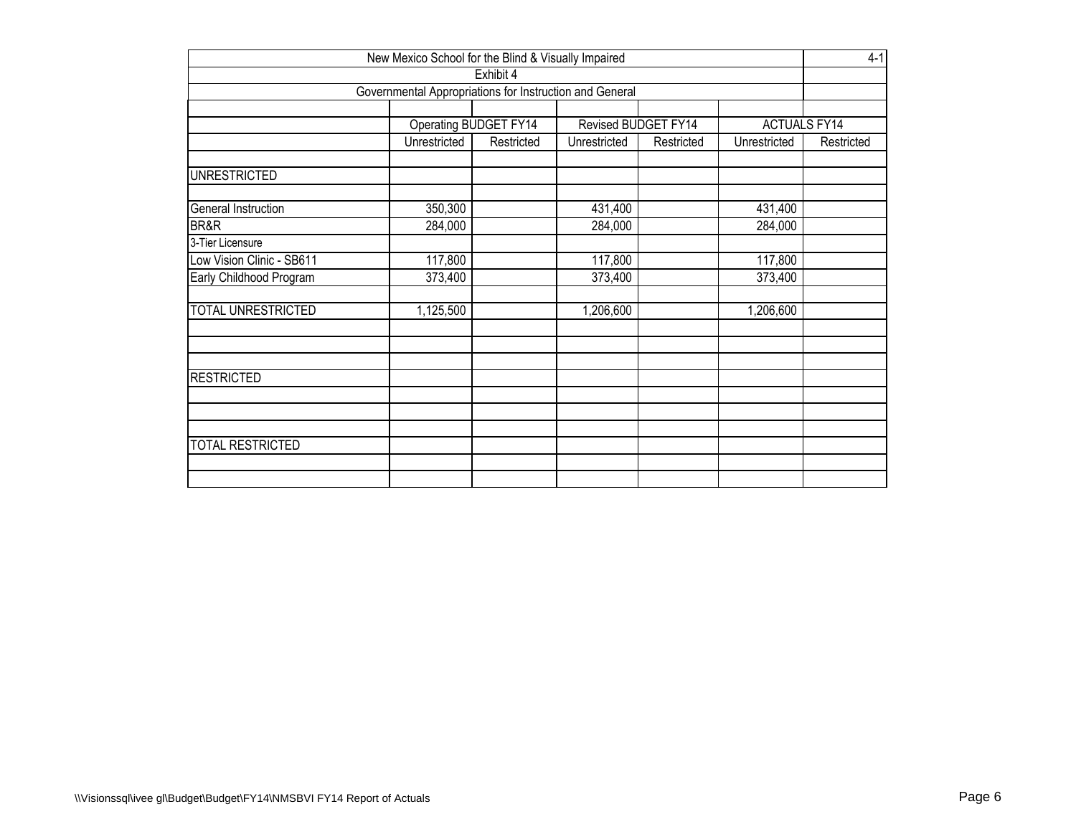| New Mexico School for the Blind & Visually Impaired                 |              |            |              |            |              |            |  |  |  |  |  |  |
|---------------------------------------------------------------------|--------------|------------|--------------|------------|--------------|------------|--|--|--|--|--|--|
| Exhibit 4                                                           |              |            |              |            |              |            |  |  |  |  |  |  |
| Governmental Appropriations for Instruction and General             |              |            |              |            |              |            |  |  |  |  |  |  |
|                                                                     |              |            |              |            |              |            |  |  |  |  |  |  |
| Operating BUDGET FY14<br><b>ACTUALS FY14</b><br>Revised BUDGET FY14 |              |            |              |            |              |            |  |  |  |  |  |  |
|                                                                     | Unrestricted | Restricted | Unrestricted | Restricted | Unrestricted | Restricted |  |  |  |  |  |  |
| <b>UNRESTRICTED</b>                                                 |              |            |              |            |              |            |  |  |  |  |  |  |
| General Instruction                                                 | 350,300      |            | 431,400      |            | 431,400      |            |  |  |  |  |  |  |
| BR&R                                                                | 284,000      |            | 284,000      |            | 284,000      |            |  |  |  |  |  |  |
| 3-Tier Licensure                                                    |              |            |              |            |              |            |  |  |  |  |  |  |
| Low Vision Clinic - SB611<br>117,800<br>117,800<br>117,800          |              |            |              |            |              |            |  |  |  |  |  |  |
| Early Childhood Program                                             | 373,400      |            | 373,400      |            | 373,400      |            |  |  |  |  |  |  |
| <b>TOTAL UNRESTRICTED</b>                                           | 1,125,500    |            | 1,206,600    |            | 1,206,600    |            |  |  |  |  |  |  |
|                                                                     |              |            |              |            |              |            |  |  |  |  |  |  |
| <b>RESTRICTED</b>                                                   |              |            |              |            |              |            |  |  |  |  |  |  |
|                                                                     |              |            |              |            |              |            |  |  |  |  |  |  |
| <b>TOTAL RESTRICTED</b>                                             |              |            |              |            |              |            |  |  |  |  |  |  |
|                                                                     |              |            |              |            |              |            |  |  |  |  |  |  |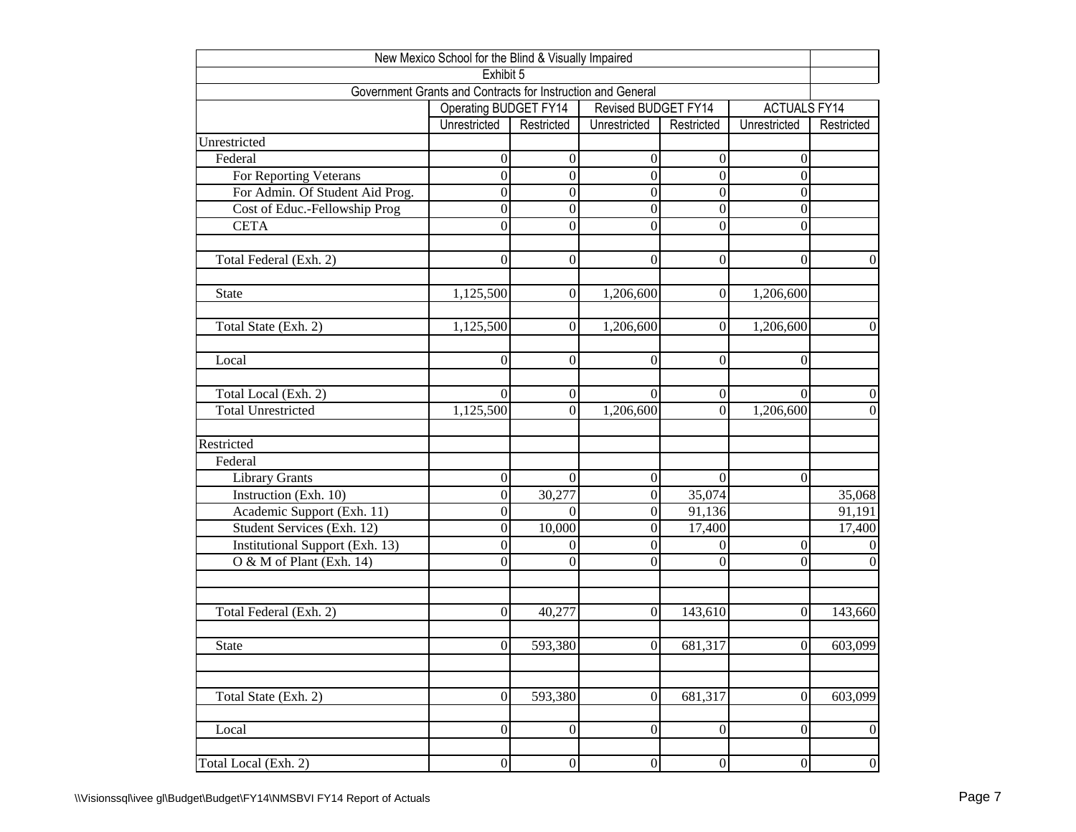| New Mexico School for the Blind & Visually Impaired         |                       |                  |                     |                  |                     |                  |  |  |  |  |  |  |
|-------------------------------------------------------------|-----------------------|------------------|---------------------|------------------|---------------------|------------------|--|--|--|--|--|--|
| Exhibit 5                                                   |                       |                  |                     |                  |                     |                  |  |  |  |  |  |  |
| Government Grants and Contracts for Instruction and General |                       |                  |                     |                  |                     |                  |  |  |  |  |  |  |
|                                                             | Operating BUDGET FY14 |                  | Revised BUDGET FY14 |                  | <b>ACTUALS FY14</b> |                  |  |  |  |  |  |  |
|                                                             | Unrestricted          | Restricted       | Unrestricted        | Restricted       | Unrestricted        | Restricted       |  |  |  |  |  |  |
| Unrestricted                                                |                       |                  |                     |                  |                     |                  |  |  |  |  |  |  |
| Federal                                                     | $\boldsymbol{0}$      | $\boldsymbol{0}$ | $\boldsymbol{0}$    | $\boldsymbol{0}$ | $\boldsymbol{0}$    |                  |  |  |  |  |  |  |
| For Reporting Veterans                                      | $\overline{0}$        | $\overline{0}$   | $\overline{0}$      | $\overline{0}$   | $\boldsymbol{0}$    |                  |  |  |  |  |  |  |
| For Admin. Of Student Aid Prog.                             | $\boldsymbol{0}$      | $\boldsymbol{0}$ | $\boldsymbol{0}$    | $\boldsymbol{0}$ | $\boldsymbol{0}$    |                  |  |  |  |  |  |  |
| Cost of Educ.-Fellowship Prog                               | $\overline{0}$        | $\overline{0}$   | $\overline{0}$      | $\boldsymbol{0}$ | $\boldsymbol{0}$    |                  |  |  |  |  |  |  |
| <b>CETA</b>                                                 | $\overline{0}$        | $\boldsymbol{0}$ | $\boldsymbol{0}$    | $\overline{0}$   | $\boldsymbol{0}$    |                  |  |  |  |  |  |  |
|                                                             |                       |                  |                     |                  |                     |                  |  |  |  |  |  |  |
| Total Federal (Exh. 2)                                      | $\overline{0}$        | $\boldsymbol{0}$ | $\boldsymbol{0}$    | $\boldsymbol{0}$ | $\boldsymbol{0}$    | $\boldsymbol{0}$ |  |  |  |  |  |  |
| State                                                       | 1,125,500             | $\boldsymbol{0}$ | 1,206,600           | $\boldsymbol{0}$ | 1,206,600           |                  |  |  |  |  |  |  |
|                                                             |                       |                  |                     |                  |                     |                  |  |  |  |  |  |  |
| Total State (Exh. 2)                                        | 1,125,500             | $\boldsymbol{0}$ | 1,206,600           | $\mathbf{0}$     | 1,206,600           | $\theta$         |  |  |  |  |  |  |
|                                                             |                       |                  |                     |                  |                     |                  |  |  |  |  |  |  |
| Local                                                       | $\theta$              | $\overline{0}$   | $\overline{0}$      | $\theta$         | $\boldsymbol{0}$    |                  |  |  |  |  |  |  |
| Total Local (Exh. 2)                                        | $\Omega$              | $\mathbf{0}$     | $\Omega$            | $\boldsymbol{0}$ | $\theta$            | $\theta$         |  |  |  |  |  |  |
| <b>Total Unrestricted</b>                                   | 1,125,500             | $\overline{0}$   | 1,206,600           | $\Omega$         | 1,206,600           | $\mathbf{0}$     |  |  |  |  |  |  |
| Restricted                                                  |                       |                  |                     |                  |                     |                  |  |  |  |  |  |  |
| Federal                                                     |                       |                  |                     |                  |                     |                  |  |  |  |  |  |  |
| Library Grants                                              | $\boldsymbol{0}$      | $\boldsymbol{0}$ | $\boldsymbol{0}$    | $\theta$         | $\overline{0}$      |                  |  |  |  |  |  |  |
| Instruction (Exh. 10)                                       | $\boldsymbol{0}$      | 30,277           | $\boldsymbol{0}$    | 35,074           |                     | 35,068           |  |  |  |  |  |  |
| Academic Support (Exh. 11)                                  | $\overline{0}$        | $\theta$         | $\boldsymbol{0}$    | 91,136           |                     | 91,191           |  |  |  |  |  |  |
| Student Services (Exh. 12)                                  | $\boldsymbol{0}$      | 10,000           | $\boldsymbol{0}$    | 17,400           |                     | 17,400           |  |  |  |  |  |  |
| Institutional Support (Exh. 13)                             | $\overline{0}$        | $\overline{0}$   | $\boldsymbol{0}$    | $\overline{0}$   | $\boldsymbol{0}$    |                  |  |  |  |  |  |  |
| $O & M$ of Plant (Exh. 14)                                  | $\boldsymbol{0}$      | $\theta$         | $\mathbf{0}$        | $\theta$         | $\mathbf{0}$        | $\Omega$         |  |  |  |  |  |  |
|                                                             |                       |                  |                     |                  |                     |                  |  |  |  |  |  |  |
|                                                             |                       |                  |                     |                  |                     |                  |  |  |  |  |  |  |
| Total Federal (Exh. 2)                                      | $\theta$              | 40,277           | $\boldsymbol{0}$    | 143,610          | $\boldsymbol{0}$    | 143,660          |  |  |  |  |  |  |
| <b>State</b>                                                | $\vert 0 \vert$       | 593,380          | $\boldsymbol{0}$    | 681,317          | $\vert 0 \vert$     | 603,099          |  |  |  |  |  |  |
|                                                             |                       |                  |                     |                  |                     |                  |  |  |  |  |  |  |
| Total State (Exh. 2)                                        | $\mathbf{0}$          | 593,380          | $\mathbf{0}$        | 681,317          | $\overline{0}$      | 603,099          |  |  |  |  |  |  |
|                                                             |                       |                  |                     |                  |                     |                  |  |  |  |  |  |  |
| Local                                                       | $\boldsymbol{0}$      | $\boldsymbol{0}$ | $\mathbf{0}$        | $\boldsymbol{0}$ | $\overline{0}$      | $\boldsymbol{0}$ |  |  |  |  |  |  |
|                                                             |                       |                  |                     |                  |                     |                  |  |  |  |  |  |  |
| Total Local (Exh. 2)                                        | $\vert 0 \vert$       | $\boldsymbol{0}$ | $\boldsymbol{0}$    | $\boldsymbol{0}$ | $\boldsymbol{0}$    | $\boldsymbol{0}$ |  |  |  |  |  |  |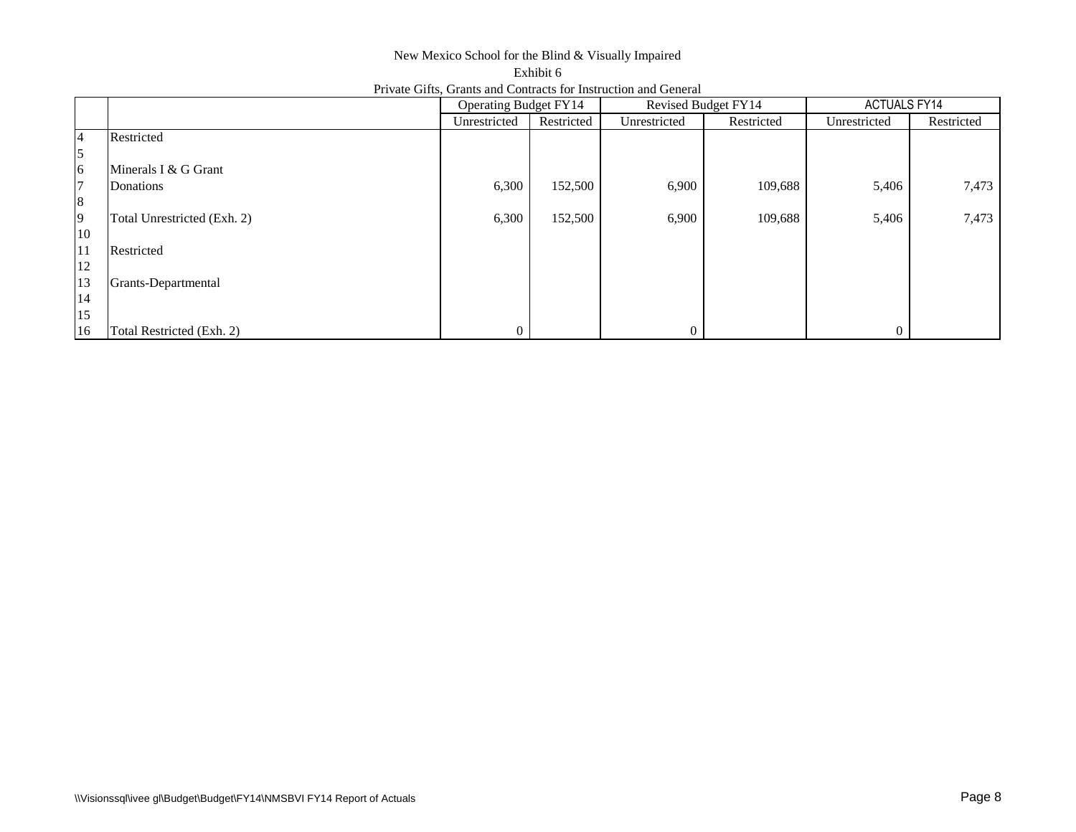## New Mexico School for the Blind & Visually Impaired Exhibit 6 Private Gifts, Grants and Contracts for Instruction and General

|                |                             | <b>Operating Budget FY14</b> |            | Revised Budget FY14 |            | <b>ACTUALS FY14</b> |            |
|----------------|-----------------------------|------------------------------|------------|---------------------|------------|---------------------|------------|
|                |                             | Unrestricted                 | Restricted | Unrestricted        | Restricted | Unrestricted        | Restricted |
| 4              | Restricted                  |                              |            |                     |            |                     |            |
| $\mathfrak{s}$ |                             |                              |            |                     |            |                     |            |
| 6              | Minerals I & G Grant        |                              |            |                     |            |                     |            |
| 7              | Donations                   | 6,300                        | 152,500    | 6,900               | 109,688    | 5,406               | 7,473      |
| $\bf 8$        |                             |                              |            |                     |            |                     |            |
| 9              | Total Unrestricted (Exh. 2) | 6,300                        | 152,500    | 6,900               | 109,688    | 5,406               | 7,473      |
| 10             |                             |                              |            |                     |            |                     |            |
| 11             | Restricted                  |                              |            |                     |            |                     |            |
| $12\,$         |                             |                              |            |                     |            |                     |            |
| 13             | Grants-Departmental         |                              |            |                     |            |                     |            |
| 14             |                             |                              |            |                     |            |                     |            |
| 15             |                             |                              |            |                     |            |                     |            |
| 16             | Total Restricted (Exh. 2)   | 0                            |            | $\Omega$            |            | $\Omega$            |            |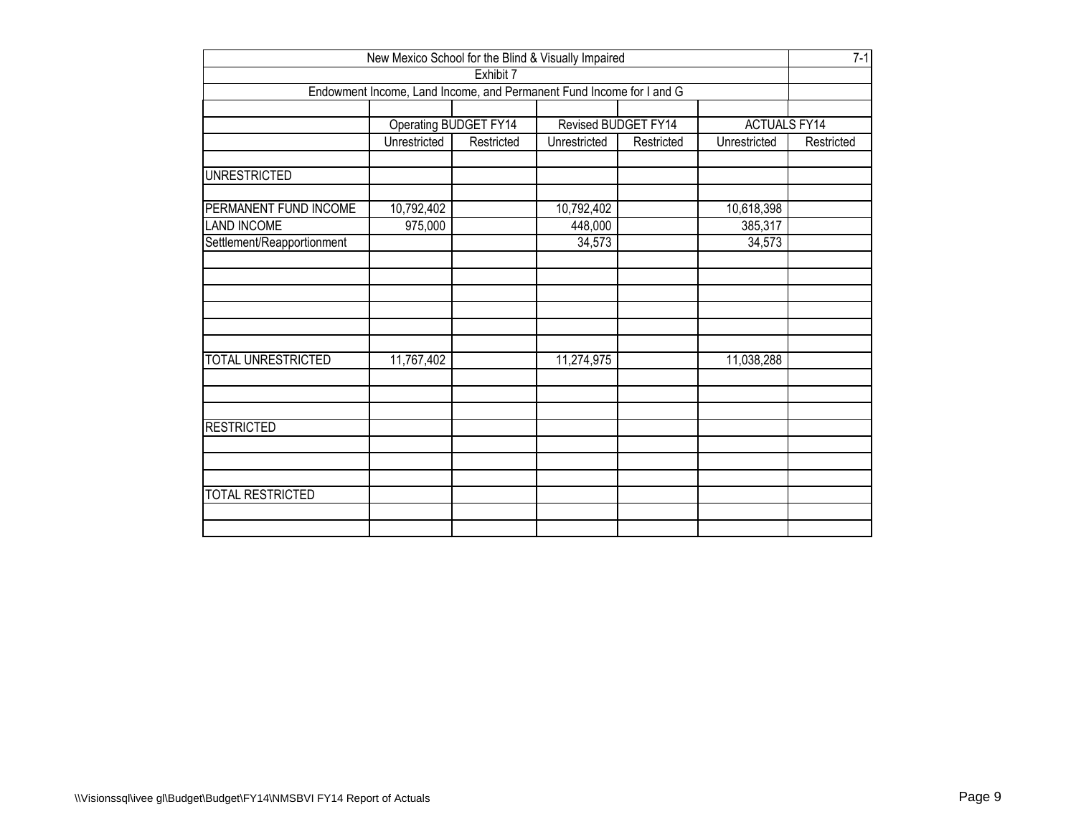| New Mexico School for the Blind & Visually Impaired                  |              |                     |              |            |              |            |  |  |  |  |  |
|----------------------------------------------------------------------|--------------|---------------------|--------------|------------|--------------|------------|--|--|--|--|--|
| Exhibit 7                                                            |              |                     |              |            |              |            |  |  |  |  |  |
| Endowment Income, Land Income, and Permanent Fund Income for I and G |              |                     |              |            |              |            |  |  |  |  |  |
| Operating BUDGET FY14<br>Revised BUDGET FY14                         |              |                     |              |            |              |            |  |  |  |  |  |
|                                                                      |              | <b>ACTUALS FY14</b> |              |            |              |            |  |  |  |  |  |
|                                                                      | Unrestricted | Restricted          | Unrestricted | Restricted | Unrestricted | Restricted |  |  |  |  |  |
| <b>UNRESTRICTED</b>                                                  |              |                     |              |            |              |            |  |  |  |  |  |
| PERMANENT FUND INCOME                                                | 10,792,402   |                     | 10,792,402   |            | 10,618,398   |            |  |  |  |  |  |
| <b>LAND INCOME</b>                                                   | 975,000      |                     | 448,000      |            | 385,317      |            |  |  |  |  |  |
| Settlement/Reapportionment                                           |              |                     | 34,573       |            | 34,573       |            |  |  |  |  |  |
|                                                                      |              |                     |              |            |              |            |  |  |  |  |  |
|                                                                      |              |                     |              |            |              |            |  |  |  |  |  |
|                                                                      |              |                     |              |            |              |            |  |  |  |  |  |
|                                                                      |              |                     |              |            |              |            |  |  |  |  |  |
|                                                                      |              |                     |              |            |              |            |  |  |  |  |  |
| <b>TOTAL UNRESTRICTED</b>                                            | 11,767,402   |                     | 11,274,975   |            | 11,038,288   |            |  |  |  |  |  |
|                                                                      |              |                     |              |            |              |            |  |  |  |  |  |
|                                                                      |              |                     |              |            |              |            |  |  |  |  |  |
|                                                                      |              |                     |              |            |              |            |  |  |  |  |  |
| <b>RESTRICTED</b>                                                    |              |                     |              |            |              |            |  |  |  |  |  |
|                                                                      |              |                     |              |            |              |            |  |  |  |  |  |
|                                                                      |              |                     |              |            |              |            |  |  |  |  |  |
| TOTAL RESTRICTED                                                     |              |                     |              |            |              |            |  |  |  |  |  |
|                                                                      |              |                     |              |            |              |            |  |  |  |  |  |
|                                                                      |              |                     |              |            |              |            |  |  |  |  |  |
|                                                                      |              |                     |              |            |              |            |  |  |  |  |  |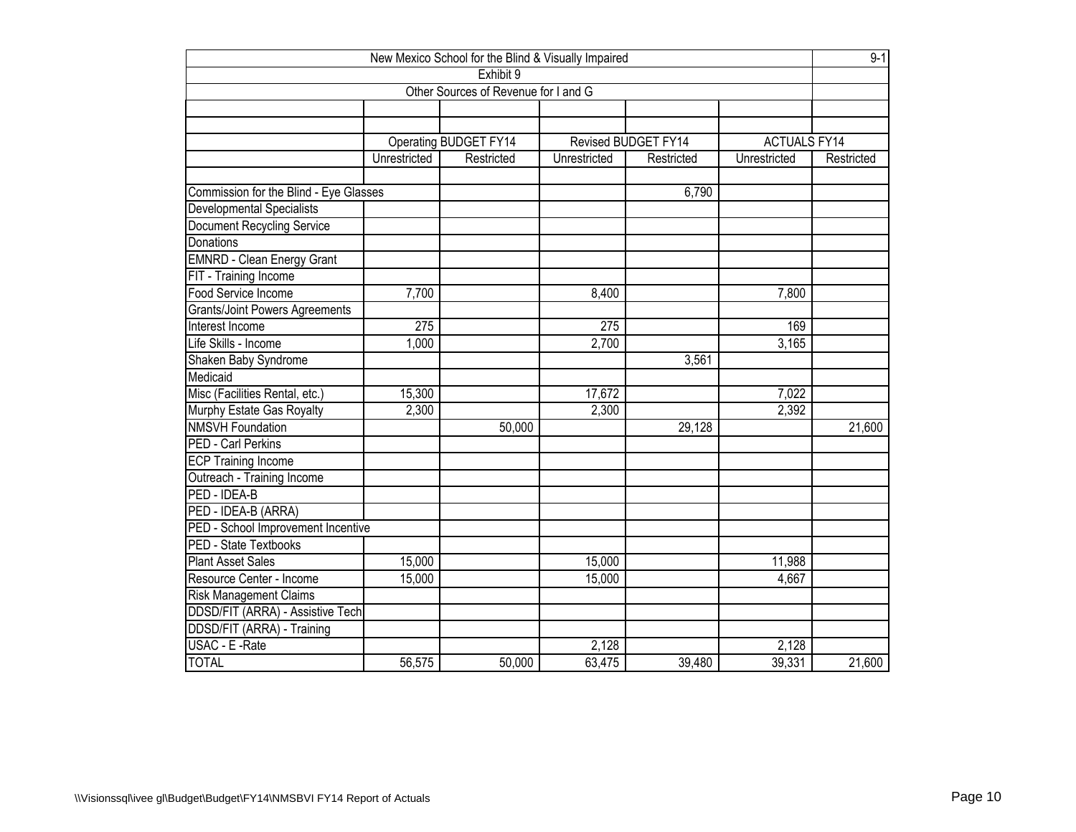| New Mexico School for the Blind & Visually Impaired |                  |                                      |              |                     |                     |            |  |  |  |  |
|-----------------------------------------------------|------------------|--------------------------------------|--------------|---------------------|---------------------|------------|--|--|--|--|
| Exhibit 9                                           |                  |                                      |              |                     |                     |            |  |  |  |  |
|                                                     |                  | Other Sources of Revenue for I and G |              |                     |                     |            |  |  |  |  |
|                                                     |                  |                                      |              |                     |                     |            |  |  |  |  |
|                                                     |                  |                                      |              |                     |                     |            |  |  |  |  |
|                                                     |                  | Operating BUDGET FY14                |              | Revised BUDGET FY14 | <b>ACTUALS FY14</b> |            |  |  |  |  |
|                                                     | Unrestricted     | Restricted                           | Unrestricted | Restricted          | Unrestricted        | Restricted |  |  |  |  |
|                                                     |                  |                                      |              |                     |                     |            |  |  |  |  |
| Commission for the Blind - Eye Glasses              |                  |                                      |              | 6,790               |                     |            |  |  |  |  |
| Developmental Specialists                           |                  |                                      |              |                     |                     |            |  |  |  |  |
| Document Recycling Service                          |                  |                                      |              |                     |                     |            |  |  |  |  |
| Donations                                           |                  |                                      |              |                     |                     |            |  |  |  |  |
| <b>EMNRD - Clean Energy Grant</b>                   |                  |                                      |              |                     |                     |            |  |  |  |  |
| FIT - Training Income                               |                  |                                      |              |                     |                     |            |  |  |  |  |
| Food Service Income                                 | 7,700            |                                      | 8,400        |                     | 7,800               |            |  |  |  |  |
| <b>Grants/Joint Powers Agreements</b>               |                  |                                      |              |                     |                     |            |  |  |  |  |
| Interest Income                                     | $\overline{275}$ |                                      | 275          |                     | 169                 |            |  |  |  |  |
| Life Skills - Income                                | 1,000            |                                      | 2,700        |                     | 3,165               |            |  |  |  |  |
| Shaken Baby Syndrome                                |                  |                                      |              | 3,561               |                     |            |  |  |  |  |
| Medicaid                                            |                  |                                      |              |                     |                     |            |  |  |  |  |
| Misc (Facilities Rental, etc.)                      | 15,300           |                                      | 17,672       |                     | 7,022               |            |  |  |  |  |
| Murphy Estate Gas Royalty                           | 2,300            |                                      | 2,300        |                     | 2,392               |            |  |  |  |  |
| <b>NMSVH Foundation</b>                             |                  | 50,000                               |              | 29,128              |                     | 21,600     |  |  |  |  |
| <b>PED - Carl Perkins</b>                           |                  |                                      |              |                     |                     |            |  |  |  |  |
| <b>ECP Training Income</b>                          |                  |                                      |              |                     |                     |            |  |  |  |  |
| Outreach - Training Income                          |                  |                                      |              |                     |                     |            |  |  |  |  |
| PED - IDEA-B                                        |                  |                                      |              |                     |                     |            |  |  |  |  |
| PED - IDEA-B (ARRA)                                 |                  |                                      |              |                     |                     |            |  |  |  |  |
| PED - School Improvement Incentive                  |                  |                                      |              |                     |                     |            |  |  |  |  |
| <b>PED - State Textbooks</b>                        |                  |                                      |              |                     |                     |            |  |  |  |  |
| <b>Plant Asset Sales</b>                            | 15,000           |                                      | 15,000       |                     | 11,988              |            |  |  |  |  |
| Resource Center - Income                            | 15,000           |                                      | 15,000       |                     | 4,667               |            |  |  |  |  |
| <b>Risk Management Claims</b>                       |                  |                                      |              |                     |                     |            |  |  |  |  |
| DDSD/FIT (ARRA) - Assistive Tech                    |                  |                                      |              |                     |                     |            |  |  |  |  |
| DDSD/FIT (ARRA) - Training                          |                  |                                      |              |                     |                     |            |  |  |  |  |
| USAC - E -Rate                                      |                  |                                      | 2,128        |                     | 2,128               |            |  |  |  |  |
| <b>TOTAL</b>                                        | 56,575           | 50,000                               | 63,475       | 39,480              | 39,331              | 21,600     |  |  |  |  |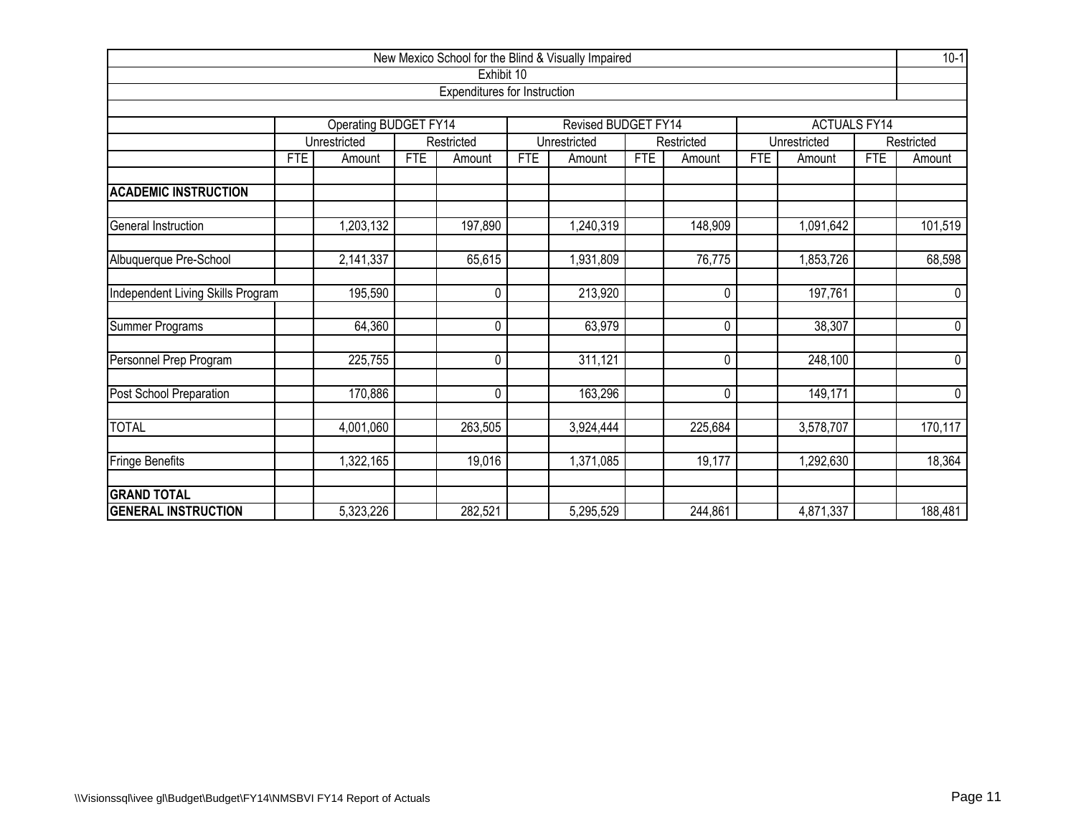|                                                                     |            |              |            |            |            | New Mexico School for the Blind & Visually Impaired |            |              |            |              |             | $10-1$     |
|---------------------------------------------------------------------|------------|--------------|------------|------------|------------|-----------------------------------------------------|------------|--------------|------------|--------------|-------------|------------|
|                                                                     | Exhibit 10 |              |            |            |            |                                                     |            |              |            |              |             |            |
| Expenditures for Instruction                                        |            |              |            |            |            |                                                     |            |              |            |              |             |            |
| Operating BUDGET FY14<br>Revised BUDGET FY14<br><b>ACTUALS FY14</b> |            |              |            |            |            |                                                     |            |              |            |              |             |            |
|                                                                     |            | Unrestricted |            | Restricted |            | Unrestricted                                        |            | Restricted   |            | Unrestricted |             | Restricted |
|                                                                     | <b>FTE</b> | Amount       | <b>FTE</b> | Amount     | <b>FTE</b> | Amount                                              | <b>FTE</b> | Amount       | <b>FTE</b> | Amount       | <b>FTE</b>  | Amount     |
|                                                                     |            |              |            |            |            |                                                     |            |              |            |              |             |            |
| <b>ACADEMIC INSTRUCTION</b>                                         |            |              |            |            |            |                                                     |            |              |            |              |             |            |
| General Instruction                                                 |            | 1,203,132    |            | 197,890    |            | 1,240,319                                           |            | 148,909      |            | 1,091,642    |             | 101,519    |
| Albuquerque Pre-School                                              |            | 2,141,337    |            | 65,615     |            | 1,931,809                                           |            | 76,775       |            | 1,853,726    |             | 68,598     |
| Independent Living Skills Program                                   |            | 195,590      |            | 0          |            | 213,920                                             |            | $\Omega$     | 197,761    |              | $\mathbf 0$ |            |
| Summer Programs                                                     |            | 64,360       |            | 0          |            | 63,979                                              |            | 0            |            | 38,307       |             | $\pmb{0}$  |
| Personnel Prep Program                                              |            | 225,755      |            | 0          |            | 311,121                                             |            | $\pmb{0}$    |            | 248,100      |             | $\pmb{0}$  |
| Post School Preparation                                             |            | 170,886      |            | 0          |            | 163,296                                             |            | $\mathbf{0}$ |            | 149,171      |             | $\pmb{0}$  |
| <b>TOTAL</b>                                                        |            | 4,001,060    |            | 263,505    |            | 3,924,444                                           |            | 225,684      |            | 3,578,707    |             | 170,117    |
| Fringe Benefits                                                     |            | 1,322,165    |            | 19,016     |            | 1,371,085                                           |            | 19,177       |            | 1,292,630    |             | 18,364     |
| <b>GRAND TOTAL</b>                                                  |            |              |            |            |            |                                                     |            |              |            |              |             |            |
| <b>GENERAL INSTRUCTION</b>                                          |            | 5,323,226    |            | 282,521    |            | 5,295,529                                           |            | 244,861      |            | 4,871,337    |             | 188,481    |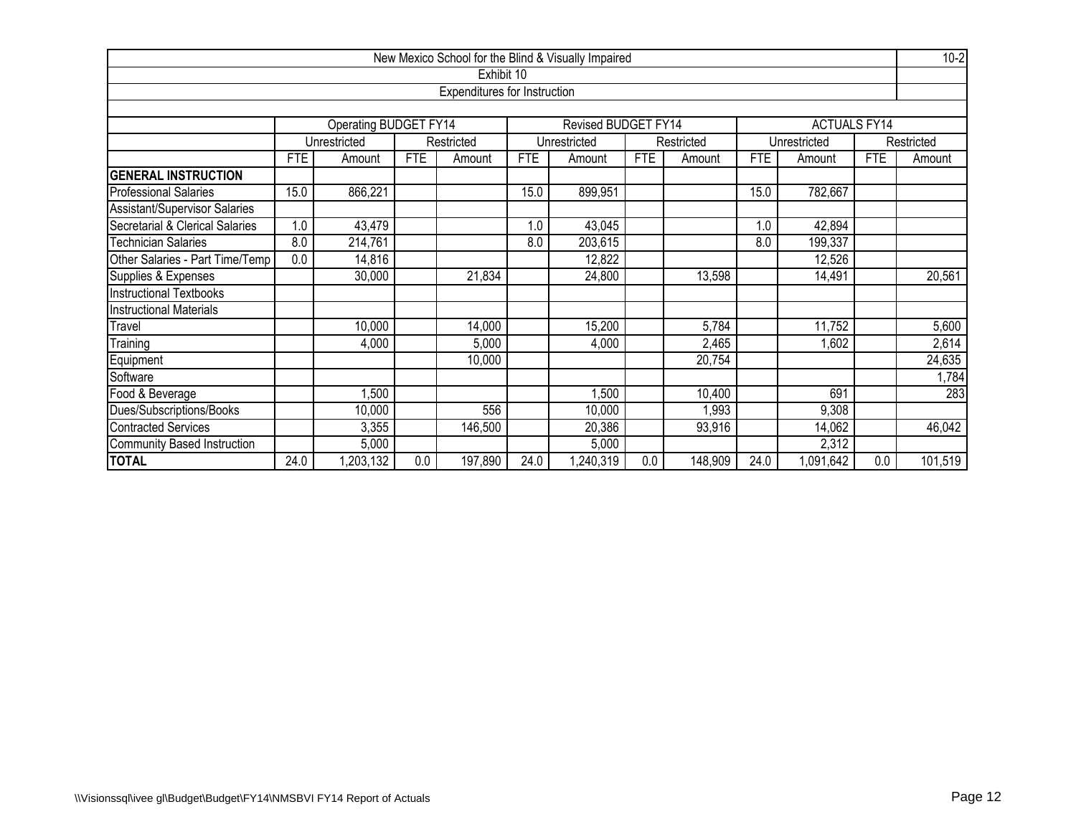|                                                                     |                                     |                            |            |         |            | New Mexico School for the Blind & Visually Impaired |            |            |            |              |            | $10-2$     |  |  |
|---------------------------------------------------------------------|-------------------------------------|----------------------------|------------|---------|------------|-----------------------------------------------------|------------|------------|------------|--------------|------------|------------|--|--|
|                                                                     | Exhibit 10                          |                            |            |         |            |                                                     |            |            |            |              |            |            |  |  |
|                                                                     | <b>Expenditures for Instruction</b> |                            |            |         |            |                                                     |            |            |            |              |            |            |  |  |
|                                                                     |                                     |                            |            |         |            |                                                     |            |            |            |              |            |            |  |  |
| Operating BUDGET FY14<br>Revised BUDGET FY14<br><b>ACTUALS FY14</b> |                                     |                            |            |         |            |                                                     |            |            |            |              |            |            |  |  |
|                                                                     |                                     | Unrestricted<br>Restricted |            |         |            | Unrestricted                                        |            | Restricted |            | Unrestricted |            | Restricted |  |  |
|                                                                     | <b>FTE</b>                          | Amount                     | <b>FTE</b> | Amount  | <b>FTE</b> | Amount                                              | <b>FTE</b> | Amount     | <b>FTE</b> | Amount       | <b>FTE</b> | Amount     |  |  |
| <b>GENERAL INSTRUCTION</b>                                          |                                     |                            |            |         |            |                                                     |            |            |            |              |            |            |  |  |
| <b>Professional Salaries</b>                                        | 15.0                                | 866,221                    |            |         | 15.0       | 899,951                                             |            |            | 15.0       | 782,667      |            |            |  |  |
| Assistant/Supervisor Salaries                                       |                                     |                            |            |         |            |                                                     |            |            |            |              |            |            |  |  |
| Secretarial & Clerical Salaries                                     | $\cdot$                             | 43,479                     |            |         | 1.0        | 43,045                                              |            |            | 1.0        | 42,894       |            |            |  |  |
| <b>Technician Salaries</b>                                          | 8.0                                 | 214,761                    |            |         | 8.0        | 203,615                                             |            |            | 8.0        | 199,337      |            |            |  |  |
| Other Salaries - Part Time/Temp                                     | 0.0                                 | 14,816                     |            |         |            | 12,822                                              |            |            |            | 12,526       |            |            |  |  |
| Supplies & Expenses                                                 |                                     | 30,000                     |            | 21,834  |            | 24,800                                              |            | 13,598     |            | 14,491       |            | 20,561     |  |  |
| Instructional Textbooks                                             |                                     |                            |            |         |            |                                                     |            |            |            |              |            |            |  |  |
| <b>Instructional Materials</b>                                      |                                     |                            |            |         |            |                                                     |            |            |            |              |            |            |  |  |
| Travel                                                              |                                     | 10,000                     |            | 14,000  |            | 15,200                                              |            | 5,784      |            | 11,752       |            | 5,600      |  |  |
| Training                                                            |                                     | 4,000                      |            | 5,000   |            | 4,000                                               |            | 2,465      |            | ,602         |            | 2,614      |  |  |
| Equipment                                                           |                                     |                            |            | 10,000  |            |                                                     |            | 20,754     |            |              |            | 24,635     |  |  |
| Software                                                            |                                     |                            |            |         |            |                                                     |            |            |            |              |            | 1,784      |  |  |
| Food & Beverage                                                     |                                     | 1,500                      |            |         |            | 1,500                                               |            | 10,400     |            | 691          |            | 283        |  |  |
| Dues/Subscriptions/Books                                            |                                     | 10,000                     |            | 556     |            | 10,000                                              |            | 1,993      |            | 9,308        |            |            |  |  |
| Contracted Services                                                 |                                     | 3,355                      |            | 146,500 |            | 20,386                                              |            | 93,916     |            | 14,062       |            | 46,042     |  |  |
| Community Based Instruction                                         |                                     | 5,000                      |            |         |            | 5,000                                               |            |            |            | 2,312        |            |            |  |  |
| <b>TOTAL</b>                                                        | 24.0                                | ,203,132                   | 0.0        | 197,890 | 24.0       | ,240,319                                            | 0.0        | 148,909    | 24.0       | 1,091,642    | 0.0        | 101,519    |  |  |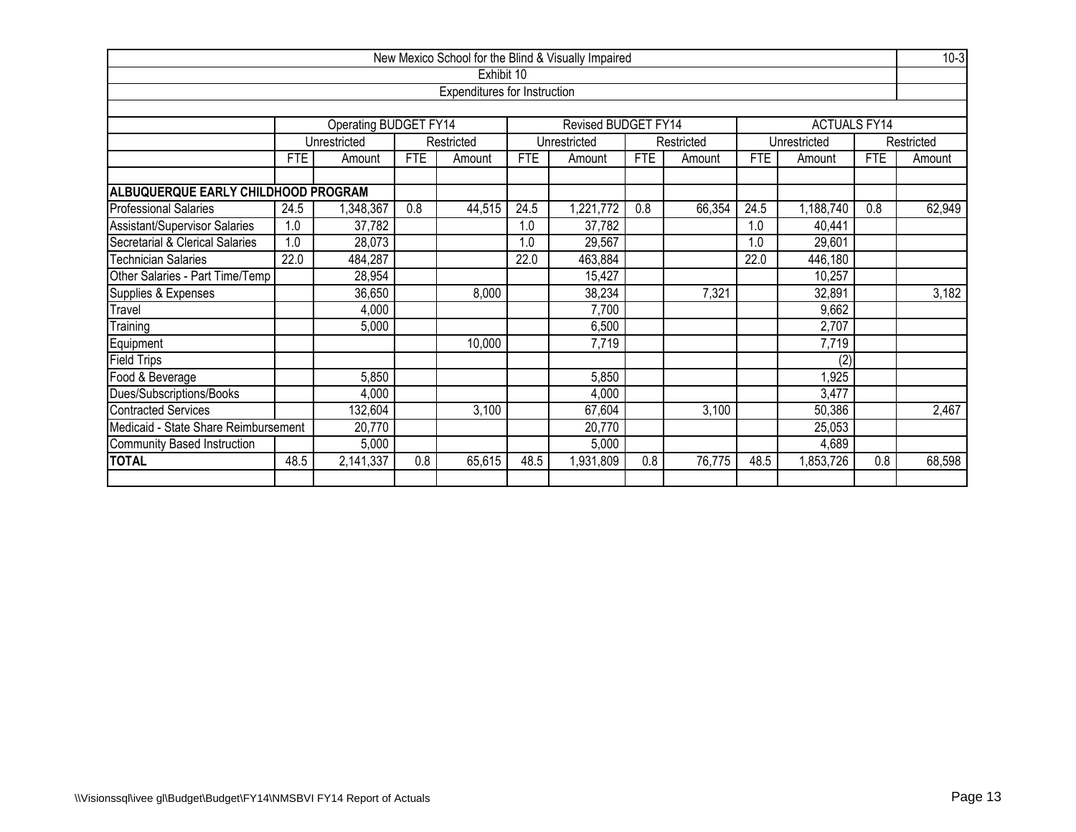|                                                            |                                                                                                      |                       |            |                              |            | New Mexico School for the Blind & Visually Impaired |            |            |            |                     |            | $10-3$     |
|------------------------------------------------------------|------------------------------------------------------------------------------------------------------|-----------------------|------------|------------------------------|------------|-----------------------------------------------------|------------|------------|------------|---------------------|------------|------------|
|                                                            |                                                                                                      |                       |            | Exhibit 10                   |            |                                                     |            |            |            |                     |            |            |
|                                                            |                                                                                                      |                       |            | Expenditures for Instruction |            |                                                     |            |            |            |                     |            |            |
|                                                            |                                                                                                      |                       |            |                              |            |                                                     |            |            |            |                     |            |            |
|                                                            |                                                                                                      | Operating BUDGET FY14 |            |                              |            | Revised BUDGET FY14                                 |            |            |            | <b>ACTUALS FY14</b> |            |            |
|                                                            |                                                                                                      | Unrestricted          |            | Restricted                   |            | Unrestricted                                        |            | Restricted |            | Unrestricted        |            | Restricted |
|                                                            | <b>FTE</b>                                                                                           | Amount                | <b>FTE</b> | Amount                       | <b>FTE</b> | Amount                                              | <b>FTE</b> | Amount     | <b>FTE</b> | Amount              | <b>FTE</b> | Amount     |
| ALBUQUERQUE EARLY CHILDHOOD PROGRAM                        |                                                                                                      |                       |            |                              |            |                                                     |            |            |            |                     |            |            |
| <b>Professional Salaries</b>                               | 24.5                                                                                                 | ,348,367              | 0.8        | 44,515                       | 24.5       | ,221,772                                            | 0.8        | 66,354     | 24.5       | 1,188,740           | 0.8        | 62,949     |
| Assistant/Supervisor Salaries                              | 1.0                                                                                                  | 37,782                |            |                              | 1.0        | 37,782                                              |            |            | 1.0        | 40,441              |            |            |
| Secretarial & Clerical Salaries                            | 1.0                                                                                                  | 28,073                |            |                              | 1.0        | 29,567                                              |            |            | 1.0        | 29,601              |            |            |
| <b>Technician Salaries</b>                                 | 22.0<br>22.0<br>463,884<br>484,287<br>22.0                                                           |                       |            |                              |            |                                                     |            |            |            | 446,180             |            |            |
| Other Salaries - Part Time/Temp                            |                                                                                                      | 28,954                |            |                              |            | 15,427                                              |            |            |            | 10,257              |            |            |
| Supplies & Expenses                                        |                                                                                                      | 36,650                |            | 8,000                        |            | 38,234                                              |            | 7,321      |            | 32,891              |            | 3,182      |
| Travel                                                     |                                                                                                      | 4,000                 |            |                              |            | 7,700                                               |            |            |            | 9,662               |            |            |
| Training                                                   |                                                                                                      | 5,000                 |            |                              |            | 6,500                                               |            |            |            | 2,707               |            |            |
| Equipment                                                  |                                                                                                      |                       |            | 10,000                       |            | 7,719                                               |            |            |            | 7,719               |            |            |
| <b>Field Trips</b>                                         |                                                                                                      |                       |            |                              |            |                                                     |            |            |            | (2)                 |            |            |
| Food & Beverage                                            |                                                                                                      | 5,850                 |            |                              |            | 5,850                                               |            |            |            | 1,925               |            |            |
| Dues/Subscriptions/Books                                   |                                                                                                      | 4,000                 |            |                              |            | 4,000                                               |            |            |            | 3,477               |            |            |
| 67,604<br>Contracted Services<br>132,604<br>3,100<br>3,100 |                                                                                                      |                       |            |                              |            |                                                     |            | 50,386     |            | 2,467               |            |            |
| Medicaid - State Share Reimbursement                       |                                                                                                      | 20,770                |            |                              |            | 20,770                                              |            |            |            | 25,053              |            |            |
| Community Based Instruction                                |                                                                                                      | 5,000                 |            |                              |            | 5,000                                               |            |            |            | 4,689               |            |            |
| <b>TOTAL</b>                                               | 48.5<br>2,141,337<br>0.8<br>65,615<br>48.5<br>0.8<br>76,775<br>0.8<br>1,931,809<br>48.5<br>1,853,726 |                       |            |                              |            |                                                     |            |            |            | 68,598              |            |            |
|                                                            |                                                                                                      |                       |            |                              |            |                                                     |            |            |            |                     |            |            |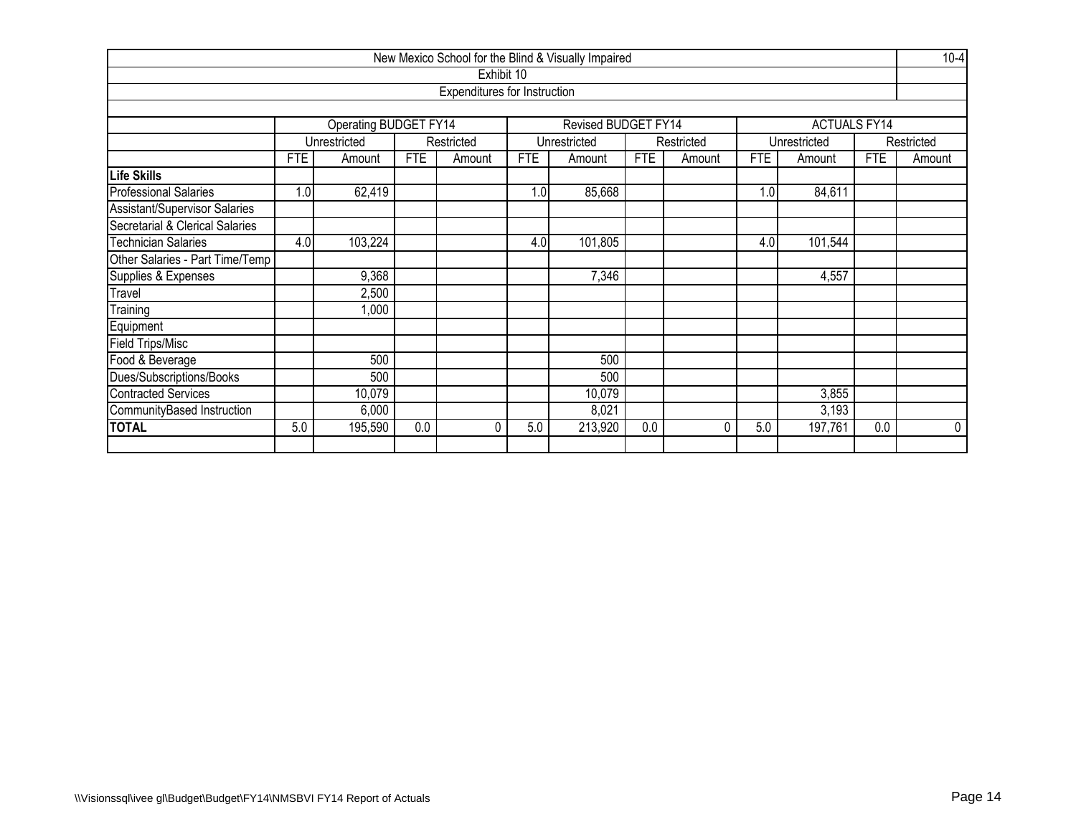|                                 |                           |                                             |            |                                     |            | New Mexico School for the Blind & Visually Impaired |            |            |            |                     |            | $10-4$      |  |  |
|---------------------------------|---------------------------|---------------------------------------------|------------|-------------------------------------|------------|-----------------------------------------------------|------------|------------|------------|---------------------|------------|-------------|--|--|
|                                 |                           |                                             |            | Exhibit 10                          |            |                                                     |            |            |            |                     |            |             |  |  |
|                                 |                           |                                             |            | <b>Expenditures for Instruction</b> |            |                                                     |            |            |            |                     |            |             |  |  |
|                                 |                           |                                             |            |                                     |            |                                                     |            |            |            |                     |            |             |  |  |
|                                 |                           | Operating BUDGET FY14                       |            |                                     |            | Revised BUDGET FY14                                 |            |            |            | <b>ACTUALS FY14</b> |            |             |  |  |
|                                 |                           | Unrestricted                                |            | Restricted                          |            | Unrestricted                                        |            | Restricted |            | Unrestricted        |            | Restricted  |  |  |
|                                 | <b>FTE</b>                | Amount                                      | <b>FTE</b> | Amount                              | <b>FTE</b> | Amount                                              | <b>FTE</b> | Amount     | <b>FTE</b> | Amount              | <b>FTE</b> | Amount      |  |  |
| Life Skills                     |                           |                                             |            |                                     |            |                                                     |            |            |            |                     |            |             |  |  |
| <b>Professional Salaries</b>    | 1.0                       | 62,419                                      |            |                                     | 1.0        | 85,668                                              |            |            | 1.0        | 84,611              |            |             |  |  |
| Assistant/Supervisor Salaries   |                           |                                             |            |                                     |            |                                                     |            |            |            |                     |            |             |  |  |
| Secretarial & Clerical Salaries |                           |                                             |            |                                     |            |                                                     |            |            |            |                     |            |             |  |  |
| Technician Salaries             | 4.0                       | 103,224<br>4.0<br>101,805<br>101,544<br>4.0 |            |                                     |            |                                                     |            |            |            |                     |            |             |  |  |
| Other Salaries - Part Time/Temp |                           |                                             |            |                                     |            |                                                     |            |            |            |                     |            |             |  |  |
| Supplies & Expenses             |                           | 9,368                                       |            |                                     |            | 7,346                                               |            |            |            | 4,557               |            |             |  |  |
| Travel                          |                           | 2,500                                       |            |                                     |            |                                                     |            |            |            |                     |            |             |  |  |
| Training                        |                           | 1,000                                       |            |                                     |            |                                                     |            |            |            |                     |            |             |  |  |
| Equipment                       |                           |                                             |            |                                     |            |                                                     |            |            |            |                     |            |             |  |  |
| <b>Field Trips/Misc</b>         |                           |                                             |            |                                     |            |                                                     |            |            |            |                     |            |             |  |  |
| Food & Beverage                 |                           | 500                                         |            |                                     |            | 500                                                 |            |            |            |                     |            |             |  |  |
| Dues/Subscriptions/Books        | 500<br>500                |                                             |            |                                     |            |                                                     |            |            |            |                     |            |             |  |  |
| <b>Contracted Services</b>      | 10,079<br>10,079<br>3,855 |                                             |            |                                     |            |                                                     |            |            |            |                     |            |             |  |  |
| CommunityBased Instruction      |                           | 6,000                                       |            |                                     |            | 8,021                                               |            |            |            | 3,193               |            |             |  |  |
| <b>TOTAL</b>                    | 5.0                       | 195,590                                     | 0.0        | $\Omega$                            | 5.0        | 213,920                                             | 0.0        | 0          | 5.0        | 197,761             | 0.0        | $\mathbf 0$ |  |  |
|                                 |                           |                                             |            |                                     |            |                                                     |            |            |            |                     |            |             |  |  |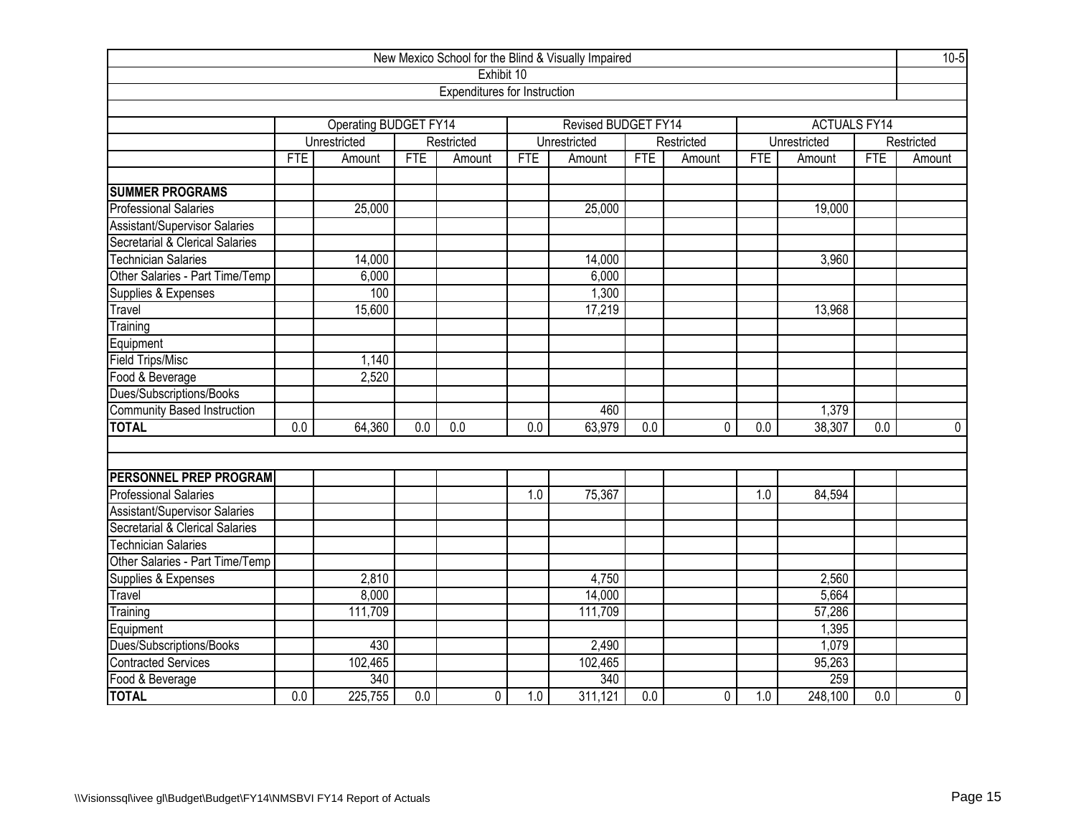| New Mexico School for the Blind & Visually Impaired |                  |                       |                  |                                     |            |                     |                  |            |            |                     |                  |                |  |
|-----------------------------------------------------|------------------|-----------------------|------------------|-------------------------------------|------------|---------------------|------------------|------------|------------|---------------------|------------------|----------------|--|
|                                                     |                  |                       |                  | Exhibit 10                          |            |                     |                  |            |            |                     |                  |                |  |
|                                                     |                  |                       |                  | <b>Expenditures for Instruction</b> |            |                     |                  |            |            |                     |                  |                |  |
|                                                     |                  |                       |                  |                                     |            |                     |                  |            |            |                     |                  |                |  |
|                                                     |                  | Operating BUDGET FY14 |                  |                                     |            | Revised BUDGET FY14 |                  |            |            | <b>ACTUALS FY14</b> |                  |                |  |
|                                                     |                  | Unrestricted          |                  | Restricted                          |            | Unrestricted        |                  | Restricted |            | Unrestricted        |                  | Restricted     |  |
|                                                     | <b>FTE</b>       | Amount                | <b>FTE</b>       | Amount                              | <b>FTE</b> | Amount              | <b>FTE</b>       | Amount     | <b>FTE</b> | Amount              | <b>FTE</b>       | Amount         |  |
|                                                     |                  |                       |                  |                                     |            |                     |                  |            |            |                     |                  |                |  |
| <b>SUMMER PROGRAMS</b>                              |                  |                       |                  |                                     |            |                     |                  |            |            |                     |                  |                |  |
| <b>Professional Salaries</b>                        |                  | 25,000                |                  |                                     |            | 25,000              |                  |            |            | 19,000              |                  |                |  |
| Assistant/Supervisor Salaries                       |                  |                       |                  |                                     |            |                     |                  |            |            |                     |                  |                |  |
| Secretarial & Clerical Salaries                     |                  |                       |                  |                                     |            |                     |                  |            |            |                     |                  |                |  |
| <b>Technician Salaries</b>                          |                  | 14,000                |                  |                                     |            | 14,000              |                  |            |            | 3,960               |                  |                |  |
| Other Salaries - Part Time/Temp                     |                  | 6,000                 |                  |                                     |            | 6,000               |                  |            |            |                     |                  |                |  |
| Supplies & Expenses                                 |                  | 100                   |                  |                                     |            | 1,300               |                  |            |            |                     |                  |                |  |
| <b>Travel</b>                                       |                  | 15,600                |                  |                                     |            | 17,219              |                  |            |            | 13,968              |                  |                |  |
| Training                                            |                  |                       |                  |                                     |            |                     |                  |            |            |                     |                  |                |  |
| Equipment                                           |                  |                       |                  |                                     |            |                     |                  |            |            |                     |                  |                |  |
| <b>Field Trips/Misc</b>                             |                  | 1,140                 |                  |                                     |            |                     |                  |            |            |                     |                  |                |  |
| Food & Beverage                                     |                  | 2,520                 |                  |                                     |            |                     |                  |            |            |                     |                  |                |  |
| Dues/Subscriptions/Books                            |                  |                       |                  |                                     |            |                     |                  |            |            |                     |                  |                |  |
| <b>Community Based Instruction</b>                  |                  |                       |                  |                                     |            | 460                 |                  |            |            | 1,379               |                  |                |  |
| <b>TOTAL</b>                                        | $\overline{0.0}$ | 64,360                | 0.0              | 0.0                                 | 0.0        | 63,979              | 0.0              | $\Omega$   | 0.0        | 38,307              | 0.0              | $\mathbf 0$    |  |
|                                                     |                  |                       |                  |                                     |            |                     |                  |            |            |                     |                  |                |  |
|                                                     |                  |                       |                  |                                     |            |                     |                  |            |            |                     |                  |                |  |
| <b>PERSONNEL PREP PROGRAM</b>                       |                  |                       |                  |                                     |            |                     |                  |            |            |                     |                  |                |  |
| <b>Professional Salaries</b>                        |                  |                       |                  |                                     | 1.0        | 75,367              |                  |            | 1.0        | 84,594              |                  |                |  |
| <b>Assistant/Supervisor Salaries</b>                |                  |                       |                  |                                     |            |                     |                  |            |            |                     |                  |                |  |
| Secretarial & Clerical Salaries                     |                  |                       |                  |                                     |            |                     |                  |            |            |                     |                  |                |  |
| <b>Technician Salaries</b>                          |                  |                       |                  |                                     |            |                     |                  |            |            |                     |                  |                |  |
| Other Salaries - Part Time/Temp                     |                  |                       |                  |                                     |            |                     |                  |            |            |                     |                  |                |  |
| Supplies & Expenses                                 |                  | 2,810                 |                  |                                     |            | 4,750               |                  |            |            | 2,560               |                  |                |  |
| Travel                                              |                  | 8,000                 |                  |                                     |            | 14,000              |                  |            |            | 5,664               |                  |                |  |
| Training                                            |                  | 111,709               |                  |                                     |            | 111,709             |                  |            |            | 57,286              |                  |                |  |
| Equipment                                           |                  |                       |                  |                                     |            |                     |                  |            |            | 1,395               |                  |                |  |
| Dues/Subscriptions/Books                            |                  | 430                   |                  |                                     |            | 2,490               |                  |            |            | 1,079               |                  |                |  |
| <b>Contracted Services</b>                          |                  | 102,465               |                  |                                     |            | 102,465             |                  |            |            | 95,263              |                  |                |  |
| Food & Beverage                                     |                  | 340                   |                  |                                     |            | 340                 |                  |            |            | 259                 |                  |                |  |
| <b>TOTAL</b>                                        | $\overline{0.0}$ | 225,755               | $\overline{0.0}$ | 0                                   | 1.0        | 311,121             | $\overline{0.0}$ | 0          | 1.0        | 248,100             | $\overline{0.0}$ | $\overline{0}$ |  |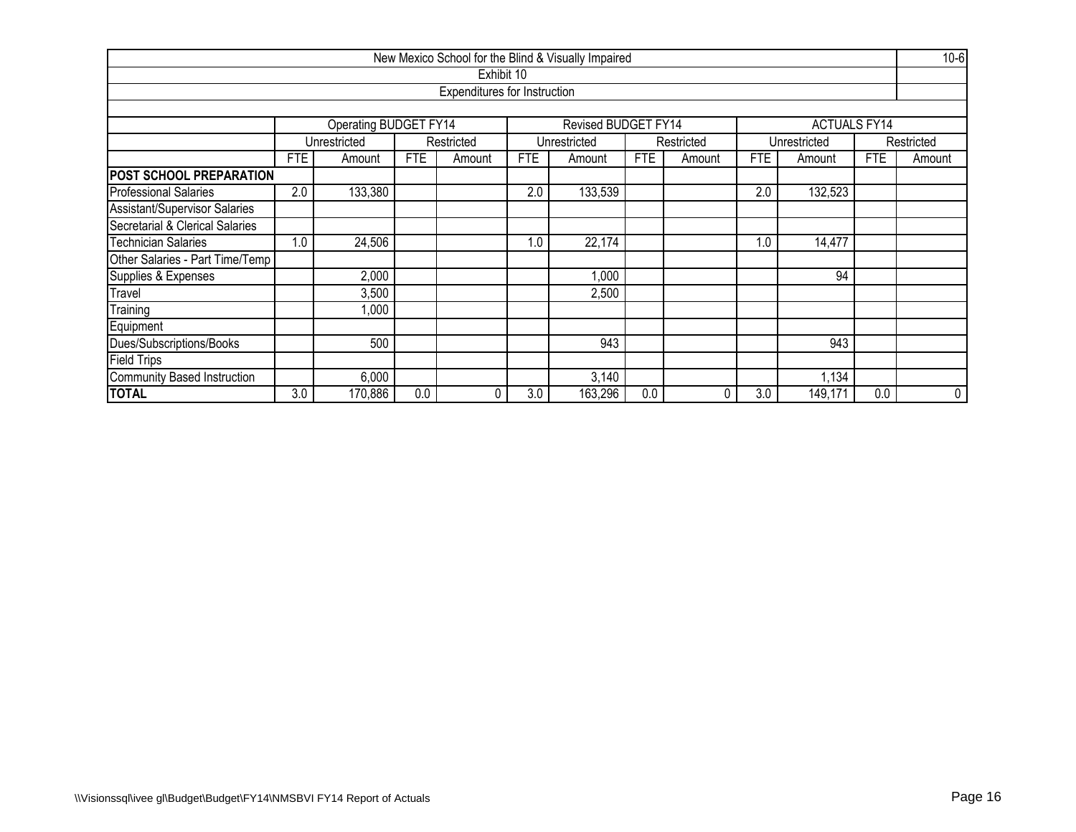|                                 |                         |                              |     |                              |            | New Mexico School for the Blind & Visually Impaired |     |            |            |                     |            | $10 - 6$   |  |  |
|---------------------------------|-------------------------|------------------------------|-----|------------------------------|------------|-----------------------------------------------------|-----|------------|------------|---------------------|------------|------------|--|--|
|                                 |                         |                              |     | Exhibit 10                   |            |                                                     |     |            |            |                     |            |            |  |  |
|                                 |                         |                              |     | Expenditures for Instruction |            |                                                     |     |            |            |                     |            |            |  |  |
|                                 |                         |                              |     |                              |            |                                                     |     |            |            |                     |            |            |  |  |
|                                 |                         | <b>Operating BUDGET FY14</b> |     |                              |            | Revised BUDGET FY14                                 |     |            |            | <b>ACTUALS FY14</b> |            |            |  |  |
|                                 |                         | Unrestricted                 |     | Restricted                   |            | Unrestricted                                        |     | Restricted |            | Unrestricted        |            | Restricted |  |  |
|                                 | FTE                     | Amount                       | FTE | Amount                       | <b>FTE</b> | Amount                                              | FTE | Amount     | <b>FTE</b> | Amount              | <b>FTE</b> | Amount     |  |  |
| <b>POST SCHOOL PREPARATION</b>  |                         |                              |     |                              |            |                                                     |     |            |            |                     |            |            |  |  |
| <b>Professional Salaries</b>    | 2.0                     | 133,380                      |     |                              | 2.0        | 133,539                                             |     |            | 2.0        | 132,523             |            |            |  |  |
| Assistant/Supervisor Salaries   |                         |                              |     |                              |            |                                                     |     |            |            |                     |            |            |  |  |
| Secretarial & Clerical Salaries |                         |                              |     |                              |            |                                                     |     |            |            |                     |            |            |  |  |
| <b>Technician Salaries</b>      | 1.0                     | 24,506                       |     |                              | 1.0        | 22,174                                              |     |            | 1.0        | 14,477              |            |            |  |  |
| Other Salaries - Part Time/Temp |                         |                              |     |                              |            |                                                     |     |            |            |                     |            |            |  |  |
| Supplies & Expenses             |                         | 2,000                        |     |                              |            | 1,000                                               |     |            |            | 94                  |            |            |  |  |
| Travel                          |                         | 3,500                        |     |                              |            | 2,500                                               |     |            |            |                     |            |            |  |  |
| Training                        |                         | ,000                         |     |                              |            |                                                     |     |            |            |                     |            |            |  |  |
| Equipment                       |                         |                              |     |                              |            |                                                     |     |            |            |                     |            |            |  |  |
| Dues/Subscriptions/Books        | 943<br>500<br>943       |                              |     |                              |            |                                                     |     |            |            |                     |            |            |  |  |
| <b>Field Trips</b>              |                         |                              |     |                              |            |                                                     |     |            |            |                     |            |            |  |  |
| Community Based Instruction     | 6,000<br>3,140<br>1,134 |                              |     |                              |            |                                                     |     |            |            |                     |            |            |  |  |
| <b>TOTAL</b>                    | 3.0                     | 170,886                      | 0.0 |                              | 3.0        | 163,296                                             | 0.0 |            | 3.0        | 149,171             | 0.0        | 0          |  |  |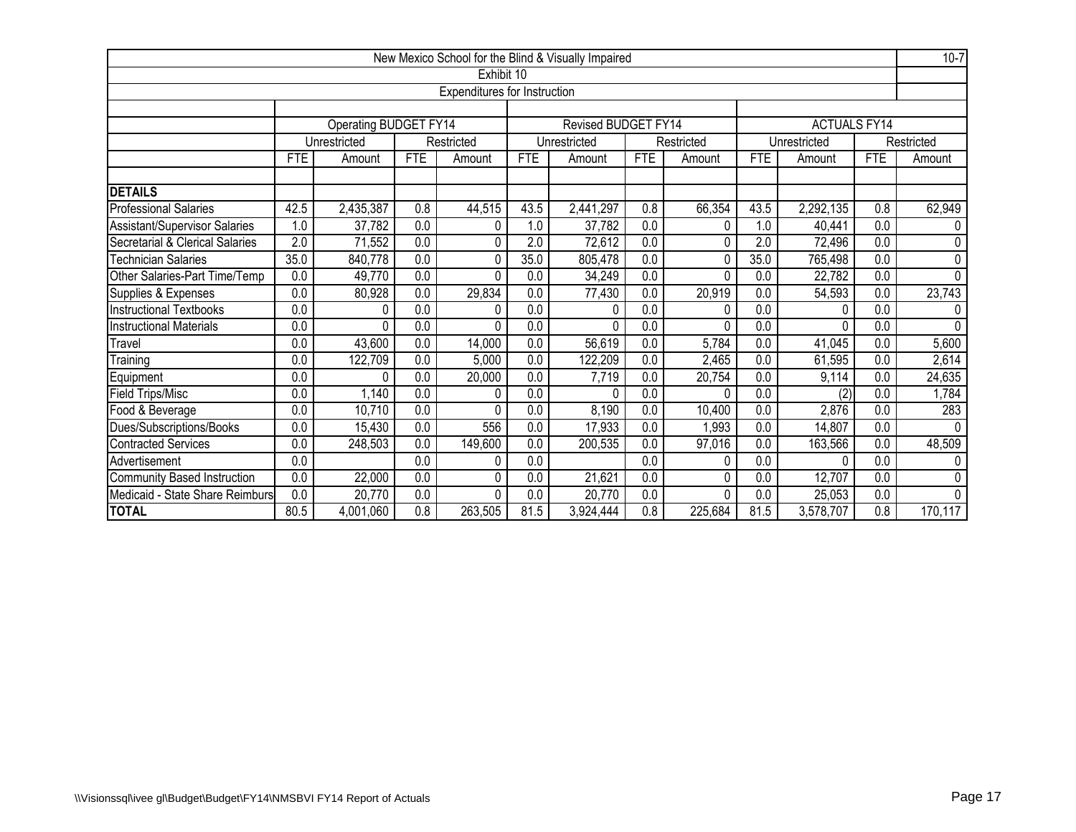|                                 |                  |                       |                  |                                     |                  | New Mexico School for the Blind & Visually Impaired |                  |              |                  |                     |                  | $10 - 7$     |
|---------------------------------|------------------|-----------------------|------------------|-------------------------------------|------------------|-----------------------------------------------------|------------------|--------------|------------------|---------------------|------------------|--------------|
|                                 |                  |                       |                  | Exhibit 10                          |                  |                                                     |                  |              |                  |                     |                  |              |
|                                 |                  |                       |                  | <b>Expenditures for Instruction</b> |                  |                                                     |                  |              |                  |                     |                  |              |
|                                 |                  |                       |                  |                                     |                  |                                                     |                  |              |                  |                     |                  |              |
|                                 |                  | Operating BUDGET FY14 |                  |                                     |                  | <b>Revised BUDGET FY14</b>                          |                  |              |                  | <b>ACTUALS FY14</b> |                  |              |
|                                 |                  | Unrestricted          |                  | Restricted                          |                  | Unrestricted                                        |                  | Restricted   |                  | Unrestricted        |                  | Restricted   |
|                                 | <b>FTE</b>       | Amount                | <b>FTE</b>       | Amount                              | <b>FTE</b>       | Amount                                              | <b>FTE</b>       | Amount       | <b>FTE</b>       | Amount              | <b>FTE</b>       | Amount       |
| <b>DETAILS</b>                  |                  |                       |                  |                                     |                  |                                                     |                  |              |                  |                     |                  |              |
| <b>Professional Salaries</b>    | 42.5             | 2,435,387             | 0.8              | 44,515                              | 43.5             | 2,441,297                                           | 0.8              | 66,354       | 43.5             | 2,292,135           | 0.8              | 62,949       |
| Assistant/Supervisor Salaries   | 0.               | 37,782                | $\overline{0.0}$ | 0                                   | 1.0              | 37,782                                              | 0.0              | 0            | 1.0              | 40,441              | 0.0              | 0            |
| Secretarial & Clerical Salaries | 2.0              | 71,552                | 0.0              | 0                                   | 2.0              | 72,612                                              | 0.0              | $\Omega$     | 2.0              | 72,496              | 0.0              | $\Omega$     |
| <b>Technician Salaries</b>      | 35.0             | 840,778               | 0.0              | 0                                   | 35.0             | 805,478                                             | 0.0              | 0            | 35.0             | 765,498             | 0.0              | $\mathbf{0}$ |
| Other Salaries-Part Time/Temp   | 0.0              | 49,770                | $\overline{0.0}$ | 0                                   | 0.0              | 34,249                                              | 0.0              | $\Omega$     | 0.0              | 22,782              | 0.0              | $\Omega$     |
| Supplies & Expenses             | 0.0              | 80,928                | $\overline{0.0}$ | 29,834                              | 0.0              | 77,430                                              | 0.0              | 20,919       | 0.0              | 54,593              | 0.0              | 23,743       |
| <b>Instructional Textbooks</b>  | 0.0              | 0                     | $\overline{0.0}$ | 0                                   | 0.0              | 0                                                   | 0.0              | 0            | 0.0              | 0                   | 0.0              |              |
| <b>Instructional Materials</b>  | $\overline{0.0}$ | 0                     | $\overline{0.0}$ | 0                                   | $\overline{0.0}$ | $\Omega$                                            | $\overline{0.0}$ | $\Omega$     | $\overline{0.0}$ | 0                   | $\overline{0.0}$ | $\Omega$     |
| Travel                          | 0.0              | 43,600                | 0.0              | 14,000                              | 0.0              | 56,619                                              | 0.0              | 5,784        | 0.0              | 41,045              | 0.0              | 5,600        |
| $\overline{T}$ raining          | $\overline{0.0}$ | 122,709               | $\overline{0.0}$ | 5,000                               | 0.0              | 122,209                                             | 0.0              | 2,465        | $\overline{0.0}$ | 61,595              | 0.0              | 2,614        |
| Equipment                       | 0.0              | 0                     | $\overline{0.0}$ | 20,000                              | 0.0              | 7,719                                               | 0.0              | 20,754       | 0.0              | 9,114               | 0.0              | 24,635       |
| <b>Field Trips/Misc</b>         | 0.0              | 1,140                 | 0.0              | 0                                   | 0.0              | 0                                                   | 0.0              | 0            | 0.0              | (2)                 | 0.0              | 1,784        |
| Food & Beverage                 | $\overline{0.0}$ | 10,710                | 0.0              | 0                                   | 0.0              | 8,190                                               | 0.0              | 10,400       | $\overline{0.0}$ | 2,876               | 0.0              | 283          |
| Dues/Subscriptions/Books        | 0.0              | 15,430                | $\overline{0.0}$ | 556                                 | 0.0              | 17,933                                              | 0.0              | ,993         | 0.0              | 14,807              | 0.0              | $\Omega$     |
| Contracted Services             | 0.0              | 248,503               | 0.0              | 149,600                             | 0.0              | 200,535                                             | 0.0              | 97,016       | 0.0              | 163,566             | 0.0              | 48,509       |
| Advertisement                   | 0.0              |                       | 0.0              | 0                                   | 0.0              |                                                     | 0.0              | 0            | 0.0              | 0                   | 0.0              | $\Omega$     |
| Community Based Instruction     | 0.0              | 22,000                | 0.0              | 0                                   | 0.0              | 21,621                                              | 0.0              | 0            | 0.0              | 12,707              | 0.0              | 0            |
| Medicaid - State Share Reimburs | $\overline{0.0}$ | 20,770                | 0.0              | 0                                   | 0.0              | 20,770                                              | 0.0              | <sup>0</sup> | 0.0              | 25,053              | 0.0              | $\Omega$     |
| <b>TOTAL</b>                    | 80.5             | 4,001,060             | 0.8              | 263,505                             | 81.5             | 3,924,444                                           | 0.8              | 225,684      | 81.5             | 3,578,707           | 0.8              | 170,117      |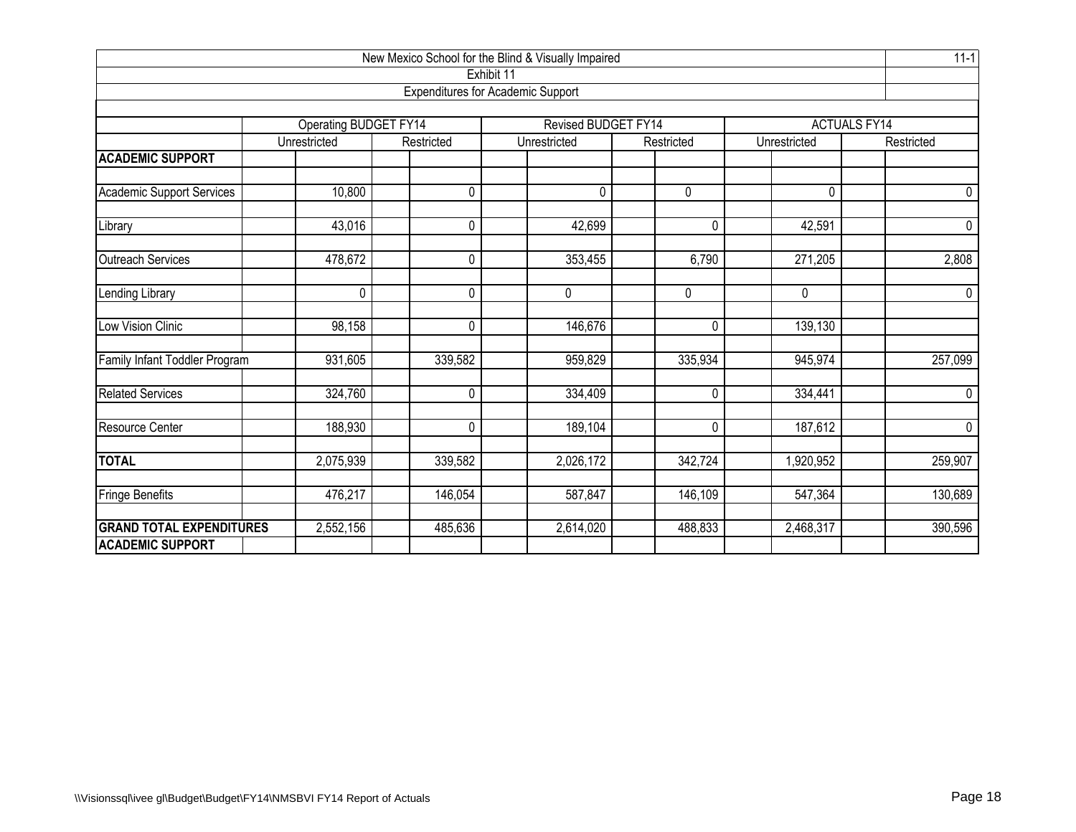| New Mexico School for the Blind & Visually Impaired<br>Exhibit 11 |                       |            |                                          |                |              |                     |  |  |  |  |  |  |  |
|-------------------------------------------------------------------|-----------------------|------------|------------------------------------------|----------------|--------------|---------------------|--|--|--|--|--|--|--|
|                                                                   |                       |            | <b>Expenditures for Academic Support</b> |                |              |                     |  |  |  |  |  |  |  |
|                                                                   |                       |            |                                          |                |              |                     |  |  |  |  |  |  |  |
|                                                                   | Operating BUDGET FY14 |            | Revised BUDGET FY14                      |                |              | <b>ACTUALS FY14</b> |  |  |  |  |  |  |  |
|                                                                   | Unrestricted          | Restricted | Unrestricted                             | Restricted     | Unrestricted | Restricted          |  |  |  |  |  |  |  |
| <b>ACADEMIC SUPPORT</b>                                           |                       |            |                                          |                |              |                     |  |  |  |  |  |  |  |
| <b>Academic Support Services</b>                                  | 10,800                | 0          | $\Omega$                                 | 0              | 0            | 0                   |  |  |  |  |  |  |  |
| Library                                                           | 43,016                | 0          | 42,699                                   | $\mathbf 0$    | 42,591       | 0                   |  |  |  |  |  |  |  |
| <b>Outreach Services</b>                                          | 478,672               | $\Omega$   | 353,455                                  | 6,790          | 271,205      | 2,808               |  |  |  |  |  |  |  |
| Lending Library                                                   | $\mathbf 0$           | 0          | 0                                        | $\overline{0}$ | 0            | $\mathbf 0$         |  |  |  |  |  |  |  |
| Low Vision Clinic                                                 | 98,158                | 0          | 146,676                                  | 0              | 139,130      |                     |  |  |  |  |  |  |  |
| Family Infant Toddler Program                                     | 931,605               | 339,582    | 959,829                                  | 335,934        | 945,974      | 257,099             |  |  |  |  |  |  |  |
| <b>Related Services</b>                                           | 324,760               | 0          | 334,409                                  | $\mathbf 0$    | 334,441      | $\pmb{0}$           |  |  |  |  |  |  |  |
| Resource Center                                                   | 188,930               | 0          | 189,104                                  | 0              | 187,612      | $\pmb{0}$           |  |  |  |  |  |  |  |
| <b>TOTAL</b>                                                      | 2,075,939             | 339,582    | 2,026,172                                | 342,724        | 1,920,952    | 259,907             |  |  |  |  |  |  |  |
| <b>Fringe Benefits</b>                                            | 476,217               | 146,054    | 587,847                                  | 146,109        | 547,364      | 130,689             |  |  |  |  |  |  |  |
| <b>GRAND TOTAL EXPENDITURES</b><br><b>ACADEMIC SUPPORT</b>        | 2,552,156             | 485,636    | 2,614,020                                | 488,833        | 2,468,317    | 390,596             |  |  |  |  |  |  |  |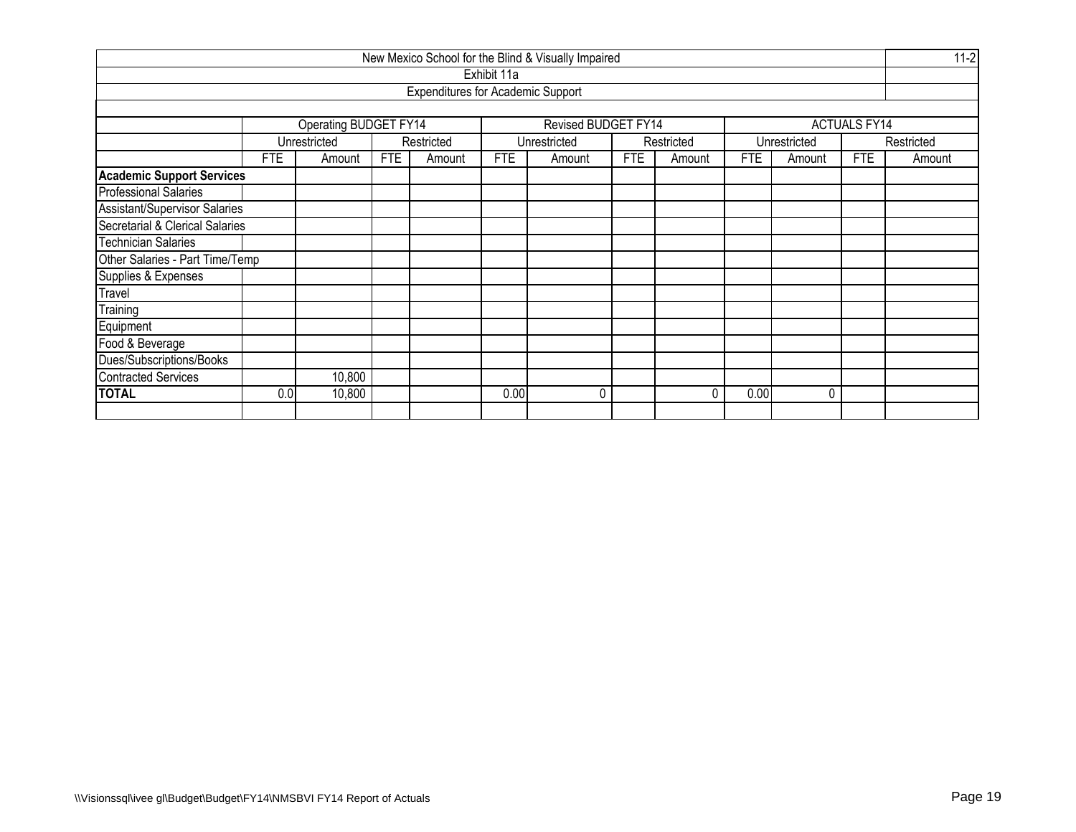|                                  |        |                       |     |                                          |             | New Mexico School for the Blind & Visually Impaired |            |            |            |              |                     | $11 - 2$   |  |
|----------------------------------|--------|-----------------------|-----|------------------------------------------|-------------|-----------------------------------------------------|------------|------------|------------|--------------|---------------------|------------|--|
|                                  |        |                       |     |                                          | Exhibit 11a |                                                     |            |            |            |              |                     |            |  |
|                                  |        |                       |     | <b>Expenditures for Academic Support</b> |             |                                                     |            |            |            |              |                     |            |  |
|                                  |        |                       |     |                                          |             |                                                     |            |            |            |              |                     |            |  |
|                                  |        | Operating BUDGET FY14 |     |                                          |             | Revised BUDGET FY14                                 |            |            |            |              | <b>ACTUALS FY14</b> |            |  |
|                                  |        | Unrestricted          |     | Restricted                               |             | Unrestricted                                        |            | Restricted |            | Unrestricted |                     | Restricted |  |
|                                  | FTE    | Amount                | FTE | Amount                                   | <b>FTE</b>  | Amount                                              | <b>FTE</b> | Amount     | <b>FTE</b> | Amount       | FTE                 | Amount     |  |
| <b>Academic Support Services</b> |        |                       |     |                                          |             |                                                     |            |            |            |              |                     |            |  |
| <b>Professional Salaries</b>     |        |                       |     |                                          |             |                                                     |            |            |            |              |                     |            |  |
| Assistant/Supervisor Salaries    |        |                       |     |                                          |             |                                                     |            |            |            |              |                     |            |  |
| Secretarial & Clerical Salaries  |        |                       |     |                                          |             |                                                     |            |            |            |              |                     |            |  |
| <b>Technician Salaries</b>       |        |                       |     |                                          |             |                                                     |            |            |            |              |                     |            |  |
| Other Salaries - Part Time/Temp  |        |                       |     |                                          |             |                                                     |            |            |            |              |                     |            |  |
| Supplies & Expenses              |        |                       |     |                                          |             |                                                     |            |            |            |              |                     |            |  |
| Travel                           |        |                       |     |                                          |             |                                                     |            |            |            |              |                     |            |  |
| Training                         |        |                       |     |                                          |             |                                                     |            |            |            |              |                     |            |  |
| Equipment                        |        |                       |     |                                          |             |                                                     |            |            |            |              |                     |            |  |
| Food & Beverage                  |        |                       |     |                                          |             |                                                     |            |            |            |              |                     |            |  |
| Dues/Subscriptions/Books         |        |                       |     |                                          |             |                                                     |            |            |            |              |                     |            |  |
| <b>Contracted Services</b>       | 10,800 |                       |     |                                          |             |                                                     |            |            |            |              |                     |            |  |
| <b>TOTAL</b>                     | 0.0    | 10,800                |     |                                          | 0.00        | N                                                   |            | 0          | 0.00       | $\mathbf{0}$ |                     |            |  |
|                                  |        |                       |     |                                          |             |                                                     |            |            |            |              |                     |            |  |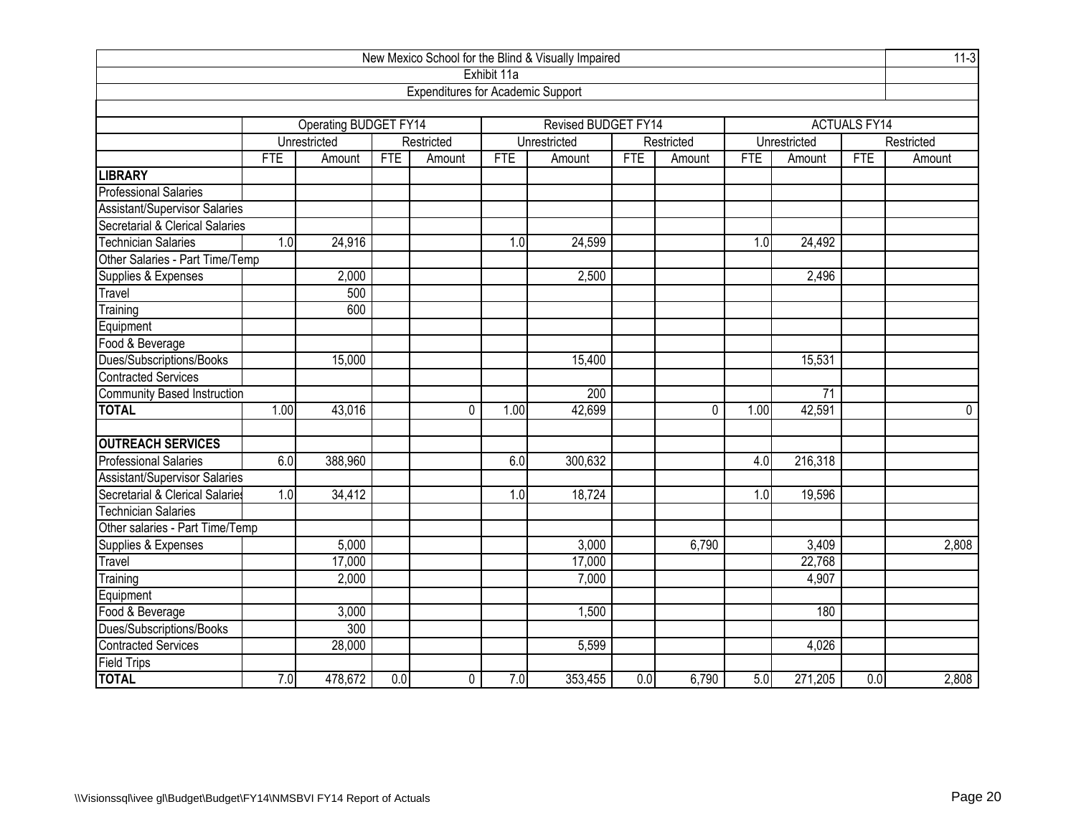| New Mexico School for the Blind & Visually Impaired |            |                         |            |                                          |             |                     |                  |              |      |              |                     |            |  |
|-----------------------------------------------------|------------|-------------------------|------------|------------------------------------------|-------------|---------------------|------------------|--------------|------|--------------|---------------------|------------|--|
|                                                     |            |                         |            |                                          | Exhibit 11a |                     |                  |              |      |              |                     |            |  |
|                                                     |            |                         |            | <b>Expenditures for Academic Support</b> |             |                     |                  |              |      |              |                     |            |  |
|                                                     |            |                         |            |                                          |             |                     |                  |              |      |              |                     |            |  |
|                                                     |            | Operating BUDGET FY14   |            |                                          |             | Revised BUDGET FY14 |                  |              |      |              | <b>ACTUALS FY14</b> |            |  |
|                                                     |            | Unrestricted            |            | Restricted                               |             | Unrestricted        |                  | Restricted   |      | Unrestricted |                     | Restricted |  |
|                                                     | <b>FTE</b> | Amount                  | <b>FTE</b> | Amount                                   | <b>FTE</b>  | Amount              | <b>FTE</b>       | Amount       | FTE  | Amount       | FTE                 | Amount     |  |
| <b>LIBRARY</b>                                      |            |                         |            |                                          |             |                     |                  |              |      |              |                     |            |  |
| <b>Professional Salaries</b>                        |            |                         |            |                                          |             |                     |                  |              |      |              |                     |            |  |
| <b>Assistant/Supervisor Salaries</b>                |            |                         |            |                                          |             |                     |                  |              |      |              |                     |            |  |
| Secretarial & Clerical Salaries                     |            |                         |            |                                          |             |                     |                  |              |      |              |                     |            |  |
| Technician Salaries                                 | 1.0        | 24,916                  |            |                                          | 1.0         | 24,599              |                  |              | 1.0  | 24,492       |                     |            |  |
| Other Salaries - Part Time/Temp                     |            |                         |            |                                          |             |                     |                  |              |      |              |                     |            |  |
| Supplies & Expenses                                 |            | 2,000<br>2,500<br>2,496 |            |                                          |             |                     |                  |              |      |              |                     |            |  |
| Travel                                              |            | 500                     |            |                                          |             |                     |                  |              |      |              |                     |            |  |
| Training                                            |            | 600                     |            |                                          |             |                     |                  |              |      |              |                     |            |  |
| Equipment                                           |            |                         |            |                                          |             |                     |                  |              |      |              |                     |            |  |
| Food & Beverage                                     |            |                         |            |                                          |             |                     |                  |              |      |              |                     |            |  |
| Dues/Subscriptions/Books                            |            | 15,000                  |            |                                          |             | 15,400              |                  |              |      | 15,531       |                     |            |  |
| <b>Contracted Services</b>                          |            |                         |            |                                          |             |                     |                  |              |      |              |                     |            |  |
| <b>Community Based Instruction</b>                  |            |                         |            |                                          |             | 200                 |                  |              |      | 71           |                     |            |  |
| <b>TOTAL</b>                                        | 1.00       | 43,016                  |            | $\Omega$                                 | 1.00        | 42,699              |                  | $\mathbf{0}$ | 1.00 | 42,591       |                     | $\Omega$   |  |
| <b>OUTREACH SERVICES</b>                            |            |                         |            |                                          |             |                     |                  |              |      |              |                     |            |  |
| <b>Professional Salaries</b>                        | 6.0        | 388,960                 |            |                                          | 6.0         | 300,632             |                  |              | 4.0  | 216,318      |                     |            |  |
| <b>Assistant/Supervisor Salaries</b>                |            |                         |            |                                          |             |                     |                  |              |      |              |                     |            |  |
| Secretarial & Clerical Salaries                     | 1.0        | 34,412                  |            |                                          | 1.0         | 18,724              |                  |              | 1.0  | 19,596       |                     |            |  |
| <b>Technician Salaries</b>                          |            |                         |            |                                          |             |                     |                  |              |      |              |                     |            |  |
| Other salaries - Part Time/Temp                     |            |                         |            |                                          |             |                     |                  |              |      |              |                     |            |  |
| Supplies & Expenses                                 |            | 5,000                   |            |                                          |             | 3,000               |                  | 6,790        |      | 3,409        |                     | 2,808      |  |
| Travel                                              |            | 17,000                  |            |                                          |             | 17,000              |                  |              |      | 22,768       |                     |            |  |
| Training                                            |            | 2,000                   |            |                                          |             | 7,000               |                  |              |      | 4,907        |                     |            |  |
| Equipment                                           |            |                         |            |                                          |             |                     |                  |              |      |              |                     |            |  |
| Food & Beverage                                     |            | 3,000                   |            |                                          |             | 1,500               |                  |              |      | 180          |                     |            |  |
| Dues/Subscriptions/Books                            |            | 300                     |            |                                          |             |                     |                  |              |      |              |                     |            |  |
| <b>Contracted Services</b>                          |            | 28,000                  |            |                                          |             | 5,599               |                  |              |      | 4,026        |                     |            |  |
| Field Trips                                         |            |                         |            |                                          |             |                     |                  |              |      |              |                     |            |  |
| <b>TOTAL</b>                                        | 7.0        | 478,672                 | 0.0        | 0                                        | 7.0         | 353,455             | $\overline{0.0}$ | 6,790        | 5.0  | 271,205      | 0.0                 | 2,808      |  |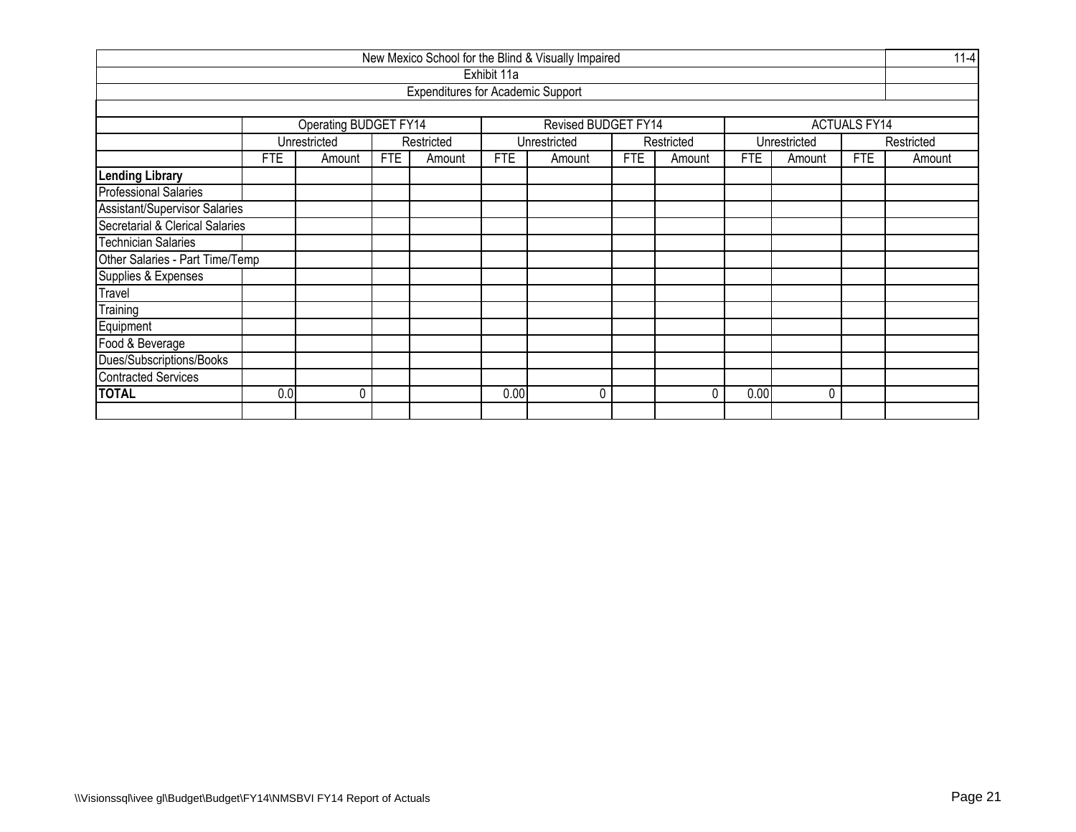|                                      |                                    |                              |  |                                          |             | New Mexico School for the Blind & Visually Impaired |            |            |            |              |                     | $11 - 4$   |  |
|--------------------------------------|------------------------------------|------------------------------|--|------------------------------------------|-------------|-----------------------------------------------------|------------|------------|------------|--------------|---------------------|------------|--|
|                                      |                                    |                              |  |                                          | Exhibit 11a |                                                     |            |            |            |              |                     |            |  |
|                                      |                                    |                              |  | <b>Expenditures for Academic Support</b> |             |                                                     |            |            |            |              |                     |            |  |
|                                      |                                    |                              |  |                                          |             |                                                     |            |            |            |              |                     |            |  |
|                                      |                                    | <b>Operating BUDGET FY14</b> |  |                                          |             | Revised BUDGET FY14                                 |            |            |            |              | <b>ACTUALS FY14</b> |            |  |
|                                      |                                    | Unrestricted                 |  | Restricted                               |             | Unrestricted                                        |            | Restricted |            | Unrestricted |                     | Restricted |  |
|                                      | <b>FTE</b><br><b>FTE</b><br>Amount |                              |  |                                          |             | Amount                                              | <b>FTE</b> | Amount     | <b>FTE</b> | Amount       | <b>FTE</b>          | Amount     |  |
| <b>Lending Library</b>               |                                    |                              |  |                                          |             |                                                     |            |            |            |              |                     |            |  |
| <b>Professional Salaries</b>         |                                    |                              |  |                                          |             |                                                     |            |            |            |              |                     |            |  |
| <b>Assistant/Supervisor Salaries</b> |                                    |                              |  |                                          |             |                                                     |            |            |            |              |                     |            |  |
| Secretarial & Clerical Salaries      |                                    |                              |  |                                          |             |                                                     |            |            |            |              |                     |            |  |
| <b>Technician Salaries</b>           |                                    |                              |  |                                          |             |                                                     |            |            |            |              |                     |            |  |
| Other Salaries - Part Time/Temp      |                                    |                              |  |                                          |             |                                                     |            |            |            |              |                     |            |  |
| Supplies & Expenses                  |                                    |                              |  |                                          |             |                                                     |            |            |            |              |                     |            |  |
| Travel                               |                                    |                              |  |                                          |             |                                                     |            |            |            |              |                     |            |  |
| Training                             |                                    |                              |  |                                          |             |                                                     |            |            |            |              |                     |            |  |
| Equipment                            |                                    |                              |  |                                          |             |                                                     |            |            |            |              |                     |            |  |
| Food & Beverage                      |                                    |                              |  |                                          |             |                                                     |            |            |            |              |                     |            |  |
| Dues/Subscriptions/Books             |                                    |                              |  |                                          |             |                                                     |            |            |            |              |                     |            |  |
| <b>Contracted Services</b>           |                                    |                              |  |                                          |             |                                                     |            |            |            |              |                     |            |  |
| <b>TOTAL</b>                         | 0.0                                | 0                            |  |                                          | 0.00        | 0                                                   |            | 0          | 0.00       | 0            |                     |            |  |
|                                      |                                    |                              |  |                                          |             |                                                     |            |            |            |              |                     |            |  |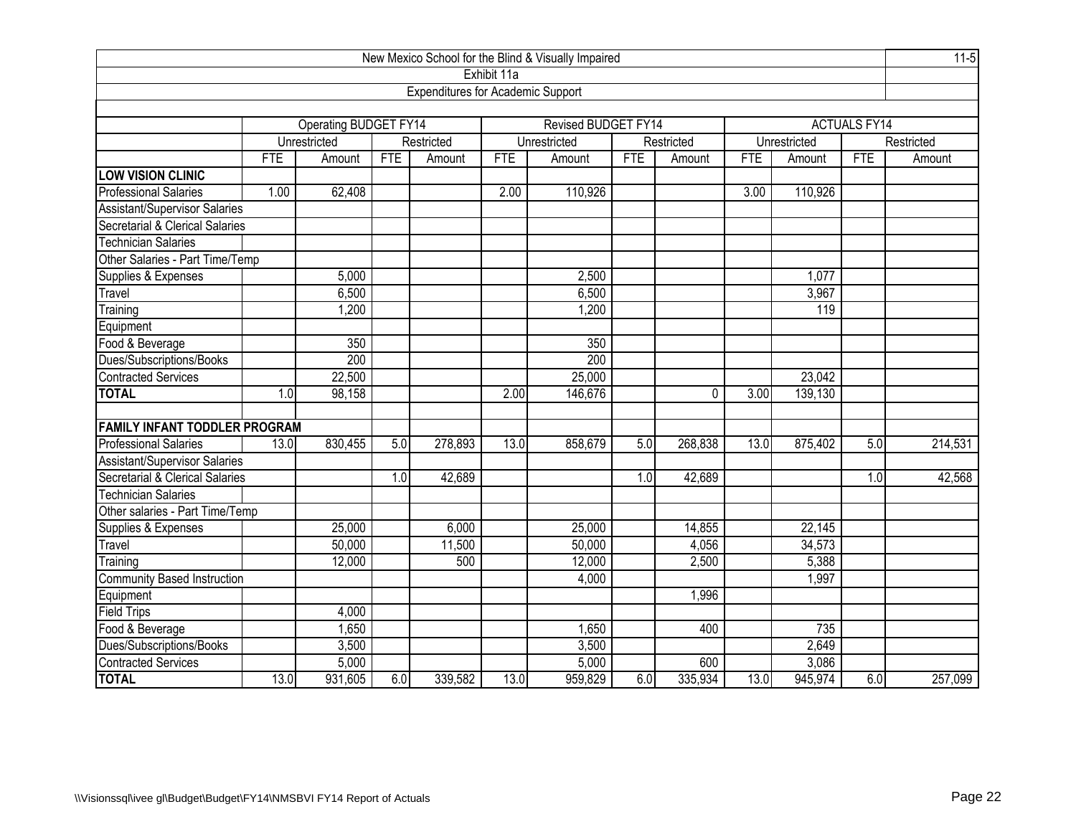|                                      |            |                              | New Mexico School for the Blind & Visually Impaired |                                          |             |                            |            |            |            |              |                     |            |  |  |  |  |
|--------------------------------------|------------|------------------------------|-----------------------------------------------------|------------------------------------------|-------------|----------------------------|------------|------------|------------|--------------|---------------------|------------|--|--|--|--|
|                                      |            |                              |                                                     |                                          | Exhibit 11a |                            |            |            |            |              |                     |            |  |  |  |  |
|                                      |            |                              |                                                     | <b>Expenditures for Academic Support</b> |             |                            |            |            |            |              |                     |            |  |  |  |  |
|                                      |            |                              |                                                     |                                          |             |                            |            |            |            |              |                     |            |  |  |  |  |
|                                      |            | <b>Operating BUDGET FY14</b> |                                                     |                                          |             | <b>Revised BUDGET FY14</b> |            |            |            |              | <b>ACTUALS FY14</b> |            |  |  |  |  |
|                                      |            | Unrestricted                 |                                                     | Restricted                               |             | Unrestricted               |            | Restricted |            | Unrestricted |                     | Restricted |  |  |  |  |
|                                      | <b>FTE</b> | Amount                       | <b>FTE</b>                                          | Amount                                   | FTE         | Amount                     | <b>FTE</b> | Amount     | <b>FTE</b> | Amount       | <b>FTE</b>          | Amount     |  |  |  |  |
| <b>LOW VISION CLINIC</b>             |            |                              |                                                     |                                          |             |                            |            |            |            |              |                     |            |  |  |  |  |
| <b>Professional Salaries</b>         | 1.00       | 62,408                       |                                                     |                                          | 2.00        | 110,926                    |            |            | 3.00       | 110,926      |                     |            |  |  |  |  |
| Assistant/Supervisor Salaries        |            |                              |                                                     |                                          |             |                            |            |            |            |              |                     |            |  |  |  |  |
| Secretarial & Clerical Salaries      |            |                              |                                                     |                                          |             |                            |            |            |            |              |                     |            |  |  |  |  |
| <b>Technician Salaries</b>           |            |                              |                                                     |                                          |             |                            |            |            |            |              |                     |            |  |  |  |  |
| Other Salaries - Part Time/Temp      |            |                              |                                                     |                                          |             |                            |            |            |            |              |                     |            |  |  |  |  |
| Supplies & Expenses                  |            | 5,000                        |                                                     |                                          |             | 2,500                      |            |            |            | 1,077        |                     |            |  |  |  |  |
| Travel                               |            | 6,500                        |                                                     |                                          |             | 6,500                      |            |            |            | 3,967        |                     |            |  |  |  |  |
| 1,200<br>1,200<br>Training           |            |                              |                                                     |                                          |             |                            |            |            |            | 119          |                     |            |  |  |  |  |
| Equipment                            |            |                              |                                                     |                                          |             |                            |            |            |            |              |                     |            |  |  |  |  |
| Food & Beverage                      |            | 350                          |                                                     |                                          |             | 350                        |            |            |            |              |                     |            |  |  |  |  |
| Dues/Subscriptions/Books             |            | 200                          |                                                     |                                          |             | 200                        |            |            |            |              |                     |            |  |  |  |  |
| <b>Contracted Services</b>           |            | 22,500                       |                                                     |                                          |             | 25,000                     |            |            |            | 23,042       |                     |            |  |  |  |  |
| <b>TOTAL</b>                         | 1.0        | 98,158                       |                                                     |                                          | 2.00        | 146,676                    |            | 0          | 3.00       | 139,130      |                     |            |  |  |  |  |
|                                      |            |                              |                                                     |                                          |             |                            |            |            |            |              |                     |            |  |  |  |  |
| <b>FAMILY INFANT TODDLER PROGRAM</b> |            |                              |                                                     |                                          |             |                            |            |            |            |              |                     |            |  |  |  |  |
| <b>Professional Salaries</b>         | 13.0       | 830,455                      | 5.0                                                 | 278,893                                  | 13.0        | 858,679                    | 5.0        | 268,838    | 13.0       | 875,402      | 5.0                 | 214,531    |  |  |  |  |
| Assistant/Supervisor Salaries        |            |                              |                                                     |                                          |             |                            |            |            |            |              |                     |            |  |  |  |  |
| Secretarial & Clerical Salaries      |            |                              | 1.0                                                 | 42,689                                   |             |                            | 1.0        | 42,689     |            |              | 1.0                 | 42,568     |  |  |  |  |
| <b>Technician Salaries</b>           |            |                              |                                                     |                                          |             |                            |            |            |            |              |                     |            |  |  |  |  |
| Other salaries - Part Time/Temp      |            |                              |                                                     |                                          |             |                            |            |            |            |              |                     |            |  |  |  |  |
| Supplies & Expenses                  |            | 25,000                       |                                                     | 6,000                                    |             | 25,000                     |            | 14,855     |            | 22,145       |                     |            |  |  |  |  |
| Travel                               |            | 50,000                       |                                                     | 11,500                                   |             | 50,000                     |            | 4,056      |            | 34,573       |                     |            |  |  |  |  |
| Training                             |            | 12,000                       |                                                     | 500                                      |             | 12,000                     |            | 2,500      |            | 5,388        |                     |            |  |  |  |  |
| <b>Community Based Instruction</b>   |            |                              | 4,000                                               |                                          |             |                            | 1,997      |            |            |              |                     |            |  |  |  |  |
| Equipment                            |            |                              |                                                     |                                          |             |                            |            | 1,996      |            |              |                     |            |  |  |  |  |
| Field Trips                          |            | 4,000                        |                                                     |                                          |             |                            |            |            |            |              |                     |            |  |  |  |  |
| Food & Beverage                      |            | 1,650                        |                                                     |                                          |             | 1,650                      |            | 400        |            | 735          |                     |            |  |  |  |  |
| Dues/Subscriptions/Books             |            | 3,500                        |                                                     |                                          |             | 3,500                      |            |            |            | 2,649        |                     |            |  |  |  |  |
| <b>Contracted Services</b>           |            | 5,000                        |                                                     |                                          |             | 5,000                      |            | 600        |            | 3,086        |                     |            |  |  |  |  |
| <b>TOTAL</b>                         | 13.0       | 931,605                      | 6.0                                                 | 339,582                                  | 13.0        | 959,829                    | 6.0        | 335,934    | 13.0       | 945,974      | 6.0                 | 257,099    |  |  |  |  |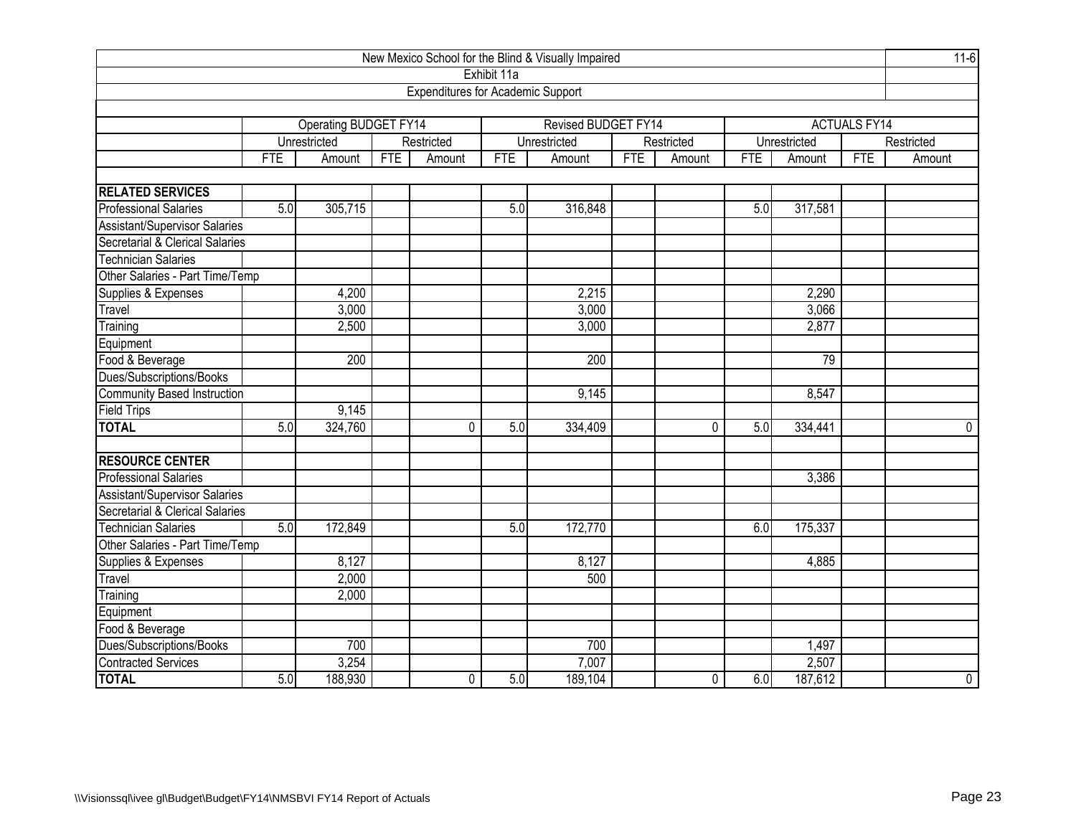| New Mexico School for the Blind & Visually Impaired |                         |                              |     |                                          |             |                     |            |            |            |              |                     |            |  |
|-----------------------------------------------------|-------------------------|------------------------------|-----|------------------------------------------|-------------|---------------------|------------|------------|------------|--------------|---------------------|------------|--|
|                                                     |                         |                              |     |                                          | Exhibit 11a |                     |            |            |            |              |                     |            |  |
|                                                     |                         |                              |     | <b>Expenditures for Academic Support</b> |             |                     |            |            |            |              |                     |            |  |
|                                                     |                         |                              |     |                                          |             |                     |            |            |            |              |                     |            |  |
|                                                     |                         | <b>Operating BUDGET FY14</b> |     |                                          |             | Revised BUDGET FY14 |            |            |            |              | <b>ACTUALS FY14</b> |            |  |
|                                                     |                         | Unrestricted                 |     | Restricted                               |             | Unrestricted        |            | Restricted |            | Unrestricted |                     | Restricted |  |
|                                                     | <b>FTE</b>              | Amount                       | FTE | Amount                                   | <b>FTE</b>  | Amount              | <b>FTE</b> | Amount     | <b>FTE</b> | Amount       | <b>FTE</b>          | Amount     |  |
| <b>RELATED SERVICES</b>                             |                         |                              |     |                                          |             |                     |            |            |            |              |                     |            |  |
| <b>Professional Salaries</b>                        | 5.0                     | 305,715                      |     |                                          | 5.0         | 316,848             |            |            | 5.0        | 317,581      |                     |            |  |
| <b>Assistant/Supervisor Salaries</b>                |                         |                              |     |                                          |             |                     |            |            |            |              |                     |            |  |
| Secretarial & Clerical Salaries                     |                         |                              |     |                                          |             |                     |            |            |            |              |                     |            |  |
| <b>Technician Salaries</b>                          |                         |                              |     |                                          |             |                     |            |            |            |              |                     |            |  |
| Other Salaries - Part Time/Temp                     |                         |                              |     |                                          |             |                     |            |            |            |              |                     |            |  |
| Supplies & Expenses                                 |                         | 4,200                        |     |                                          |             | 2,215               |            |            |            | 2,290        |                     |            |  |
| Travel                                              | 3,000<br>3,000<br>3,066 |                              |     |                                          |             |                     |            |            |            |              |                     |            |  |
| Training                                            | 2,500<br>3,000<br>2,877 |                              |     |                                          |             |                     |            |            |            |              |                     |            |  |
| Equipment                                           |                         |                              |     |                                          |             |                     |            |            |            |              |                     |            |  |
| Food & Beverage                                     |                         | 200                          |     |                                          |             | 200                 |            |            |            | 79           |                     |            |  |
| Dues/Subscriptions/Books                            |                         |                              |     |                                          |             |                     |            |            |            |              |                     |            |  |
| Community Based Instruction                         |                         |                              |     |                                          |             | 9,145               |            |            |            | 8,547        |                     |            |  |
| <b>Field Trips</b>                                  |                         | 9,145                        |     |                                          |             |                     |            |            |            |              |                     |            |  |
| <b>TOTAL</b>                                        | 5.0                     | 324,760                      |     | $\Omega$                                 | 5.0         | 334,409             |            | 0          | 5.0        | 334,441      |                     | 0          |  |
| <b>RESOURCE CENTER</b>                              |                         |                              |     |                                          |             |                     |            |            |            |              |                     |            |  |
| <b>Professional Salaries</b>                        |                         |                              |     |                                          |             |                     |            |            |            | 3,386        |                     |            |  |
| <b>Assistant/Supervisor Salaries</b>                |                         |                              |     |                                          |             |                     |            |            |            |              |                     |            |  |
| Secretarial & Clerical Salaries                     |                         |                              |     |                                          |             |                     |            |            |            |              |                     |            |  |
| <b>Technician Salaries</b>                          | 5.0                     | 172,849                      |     |                                          | 5.0         | 172,770             |            |            | 6.0        | 175,337      |                     |            |  |
| Other Salaries - Part Time/Temp                     |                         |                              |     |                                          |             |                     |            |            |            |              |                     |            |  |
| Supplies & Expenses                                 |                         | 8,127                        |     |                                          |             | 8,127               |            |            |            | 4,885        |                     |            |  |
| Travel                                              |                         | 2,000                        |     |                                          |             | 500                 |            |            |            |              |                     |            |  |
| Training                                            |                         | 2,000                        |     |                                          |             |                     |            |            |            |              |                     |            |  |
| Equipment                                           |                         |                              |     |                                          |             |                     |            |            |            |              |                     |            |  |
| Food & Beverage                                     |                         |                              |     |                                          |             |                     |            |            |            |              |                     |            |  |
| Dues/Subscriptions/Books                            |                         | 700                          |     |                                          |             | 700                 |            |            |            | 1,497        |                     |            |  |
| Contracted Services                                 |                         | 3,254                        |     |                                          |             | 7,007               |            |            |            | 2,507        |                     |            |  |
| <b>TOTAL</b>                                        | 5.0                     | 188,930                      |     | $\mathbf 0$                              | 5.0         | 189,104             |            | 0          | 6.0        | 187,612      |                     | 0          |  |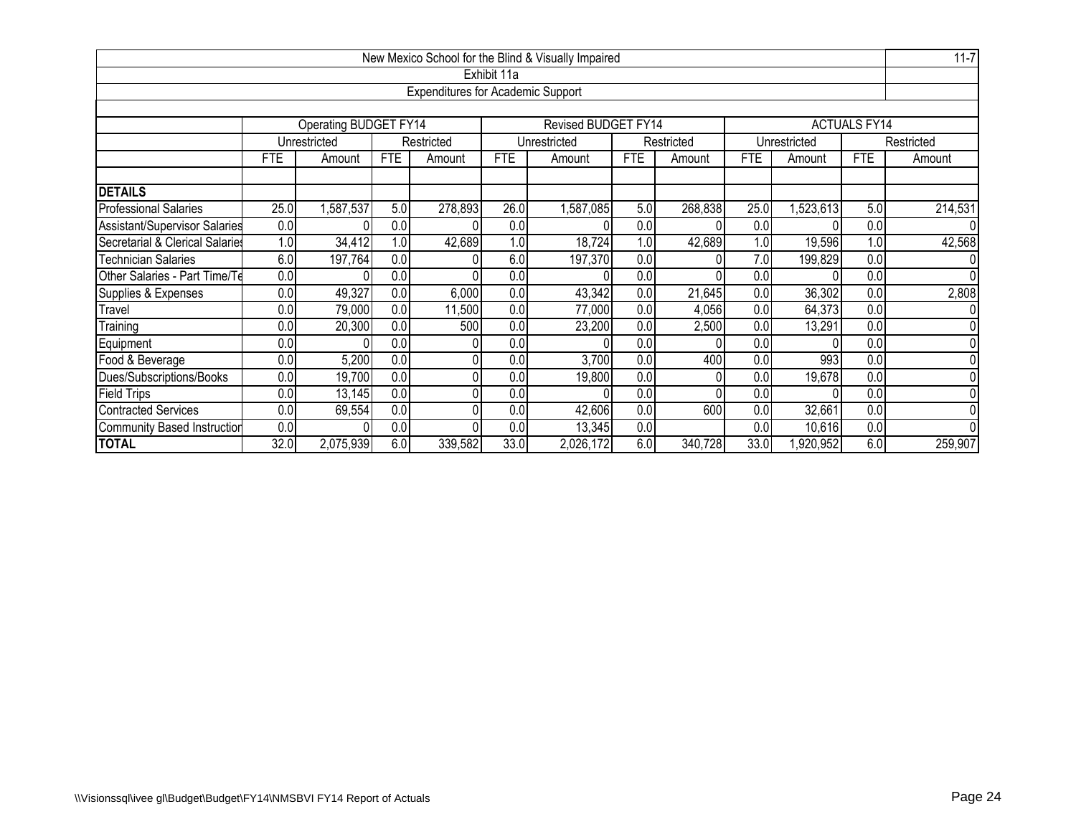|                                    |                                                                                          |                                                                                              |            |                                          |             | New Mexico School for the Blind & Visually Impaired |                  |            |            |                |                     | $11 - 7$       |
|------------------------------------|------------------------------------------------------------------------------------------|----------------------------------------------------------------------------------------------|------------|------------------------------------------|-------------|-----------------------------------------------------|------------------|------------|------------|----------------|---------------------|----------------|
|                                    |                                                                                          |                                                                                              |            |                                          | Exhibit 11a |                                                     |                  |            |            |                |                     |                |
|                                    |                                                                                          |                                                                                              |            | <b>Expenditures for Academic Support</b> |             |                                                     |                  |            |            |                |                     |                |
|                                    |                                                                                          |                                                                                              |            |                                          |             |                                                     |                  |            |            |                |                     |                |
|                                    |                                                                                          | Operating BUDGET FY14                                                                        |            |                                          |             | <b>Revised BUDGET FY14</b>                          |                  |            |            |                | <b>ACTUALS FY14</b> |                |
|                                    |                                                                                          | Unrestricted                                                                                 |            | Restricted                               |             | Unrestricted                                        |                  | Restricted |            | Unrestricted   |                     | Restricted     |
|                                    | <b>FTE</b>                                                                               | Amount                                                                                       | <b>FTE</b> | Amount                                   | <b>FTE</b>  | Amount                                              | <b>FTE</b>       | Amount     | <b>FTE</b> | Amount         | <b>FTE</b>          | Amount         |
|                                    |                                                                                          |                                                                                              |            |                                          |             |                                                     |                  |            |            |                |                     |                |
| <b>DETAILS</b>                     |                                                                                          |                                                                                              |            |                                          |             |                                                     |                  |            |            |                |                     |                |
| <b>Professional Salaries</b>       | 25.0                                                                                     | 26.0<br>,587,537<br>5.0<br>278,893<br>1,587,085<br>5.0<br>268,838<br>25.0<br>,523,613<br>5.0 |            |                                          |             |                                                     |                  |            |            |                |                     | 214,531        |
| Assistant/Supervisor Salaries      | 0.0<br>0.0<br>0.0<br>0.0<br>0.0<br>0.0<br>0                                              |                                                                                              |            |                                          |             |                                                     |                  |            |            | 0              |                     |                |
| Secretarial & Clerical Salaries    | 42,689<br>1.0<br>18,724<br>42,689<br>19,596<br>1.0<br>34,412<br>1.0<br>1.0<br>1.0<br>1.0 |                                                                                              |            |                                          |             |                                                     |                  |            |            | 42,568         |                     |                |
| <b>Technician Salaries</b>         | 6.0                                                                                      | 197,764                                                                                      | 0.0        |                                          | 6.0         | 197,370                                             | 0.0              |            | 7.0        | 199,829        | 0.0                 | 0              |
| Other Salaries - Part Time/Te      | $\overline{0.0}$                                                                         |                                                                                              | 0.0        |                                          | 0.0         |                                                     | 0.0              |            | 0.0        |                | $\overline{0.0}$    | $\overline{0}$ |
| Supplies & Expenses                | 0.0                                                                                      | 49,327                                                                                       | 0.0        | 6,000                                    | 0.0         | 43,342                                              | 0.0              | 21,645     | 0.0        | 36,302         | 0.0                 | 2,808          |
| Travel                             | $\overline{0}$                                                                           | 79,000                                                                                       | 0.0        | 11,500                                   | 0.0         | 77,000                                              | $\overline{0.0}$ | 4,056      | 0.0        | 64,373         | $\overline{0.0}$    | $\overline{0}$ |
| Training                           | 0.0                                                                                      | 20,300                                                                                       | 0.0        | 500                                      | 0.0         | 23,200                                              | 0.0              | 2,500      | 0.0        | 13,291         | $\overline{0.0}$    | $\overline{0}$ |
| Equipment                          | 0.0                                                                                      |                                                                                              | 0.0        |                                          | 0.0         |                                                     | 0.0              |            | 0.0        |                | 0.0                 | $\overline{0}$ |
| Food & Beverage                    | 0.0                                                                                      | 5,200                                                                                        | 0.0        |                                          | 0.0         | 3,700                                               | 0.0              | 400        | 0.0        | 993            | $\overline{0.0}$    | $\overline{0}$ |
| Dues/Subscriptions/Books           | 0.0<br>0.0<br>0.0<br>0.0<br>19,700<br>0.0 <sub>l</sub><br>19,800<br>0.0<br>19,678<br>Ŋ   |                                                                                              |            |                                          |             |                                                     |                  |            |            | $\overline{0}$ |                     |                |
| Field Trips                        | 0.0                                                                                      | 13,145                                                                                       | 0.0        |                                          | 0.0         |                                                     | 0.0              |            | 0.0        |                | 0.0                 | $\overline{0}$ |
| <b>Contracted Services</b>         | 0.0<br>0.0<br>600<br>0.0<br>0.0<br>0.0<br>42,606<br>32,661<br>0.0<br>69,554              |                                                                                              |            |                                          |             |                                                     |                  |            |            | $\overline{0}$ |                     |                |
| <b>Community Based Instruction</b> | 0.0                                                                                      |                                                                                              | 0.0        | n                                        | 0.0         | 13,345                                              | 0.0              |            | 0.0        | 10,616         | 0.0                 | $\overline{0}$ |
| <b>TOTAL</b>                       | 32.0                                                                                     | 2,075,939                                                                                    | 6.0        | 339,582                                  | 33.0        | 2,026,172                                           | 6.0              | 340,728    | 33.0       | ,920,952       | 6.0                 | 259,907        |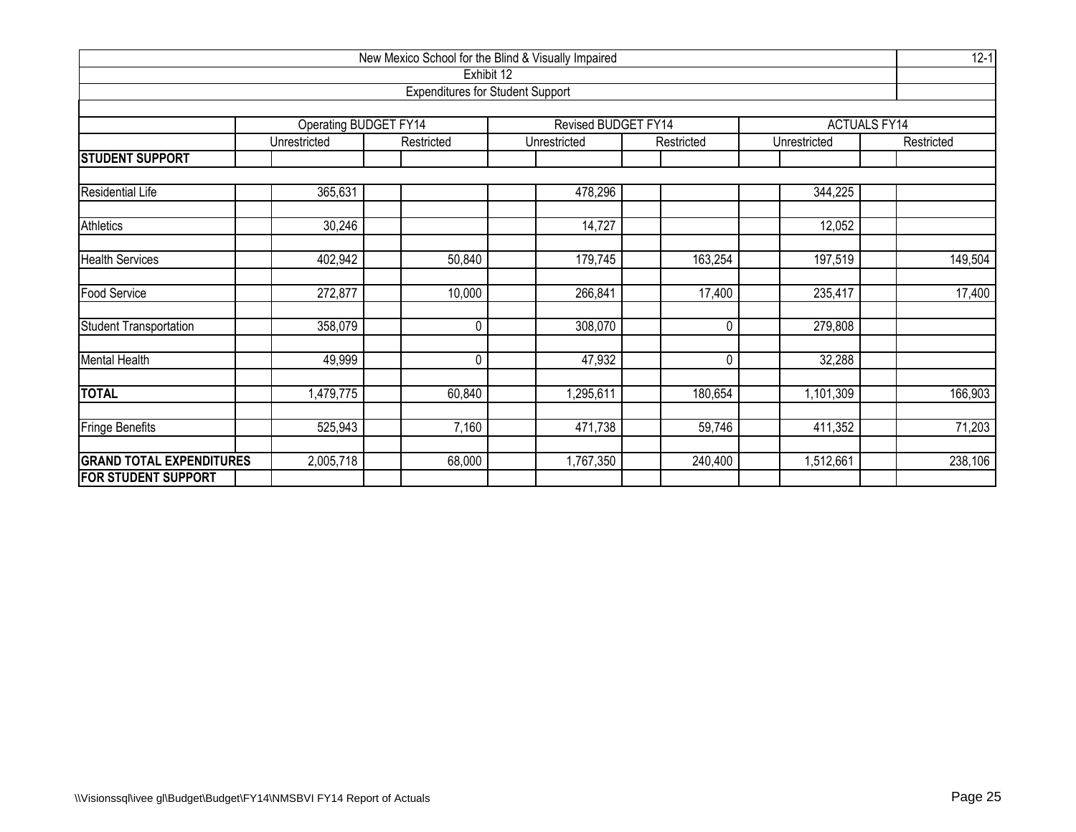| New Mexico School for the Blind & Visually Impaired<br>Exhibit 12 |                              |                                         |                     |                |              |                     |  |  |  |  |  |
|-------------------------------------------------------------------|------------------------------|-----------------------------------------|---------------------|----------------|--------------|---------------------|--|--|--|--|--|
|                                                                   |                              | <b>Expenditures for Student Support</b> |                     |                |              |                     |  |  |  |  |  |
|                                                                   |                              |                                         |                     |                |              |                     |  |  |  |  |  |
|                                                                   | <b>Operating BUDGET FY14</b> |                                         | Revised BUDGET FY14 |                |              | <b>ACTUALS FY14</b> |  |  |  |  |  |
|                                                                   | Unrestricted                 | Restricted                              | Unrestricted        | Restricted     | Unrestricted | Restricted          |  |  |  |  |  |
| <b>STUDENT SUPPORT</b>                                            |                              |                                         |                     |                |              |                     |  |  |  |  |  |
| <b>Residential Life</b>                                           | 365,631                      |                                         | 478,296             |                | 344,225      |                     |  |  |  |  |  |
| <b>Athletics</b>                                                  | 30,246                       |                                         | 14,727              |                | 12,052       |                     |  |  |  |  |  |
|                                                                   |                              |                                         |                     |                |              |                     |  |  |  |  |  |
| <b>Health Services</b>                                            | 402,942                      | 50,840                                  | 179,745             | 163,254        | 197,519      | 149,504             |  |  |  |  |  |
| Food Service                                                      | 272,877                      | 10,000                                  | 266,841             | 17,400         | 235,417      | 17,400              |  |  |  |  |  |
| <b>Student Transportation</b>                                     | 358,079                      | $\mathbf 0$                             | 308,070             | 0              | 279,808      |                     |  |  |  |  |  |
| <b>Mental Health</b>                                              | 49,999                       | $\mathbf{0}$                            | 47,932              | $\overline{0}$ | 32,288       |                     |  |  |  |  |  |
| <b>TOTAL</b>                                                      | 1,479,775                    | 60,840                                  | 1,295,611           | 180,654        | 1,101,309    | 166,903             |  |  |  |  |  |
| <b>Fringe Benefits</b>                                            | 525,943                      | 7,160                                   | 471,738             | 59,746         | 411,352      | 71,203              |  |  |  |  |  |
| <b>GRAND TOTAL EXPENDITURES</b>                                   | 2,005,718                    | 68,000                                  | 1,767,350           | 240,400        | 1,512,661    | 238,106             |  |  |  |  |  |
| <b>FOR STUDENT SUPPORT</b>                                        |                              |                                         |                     |                |              |                     |  |  |  |  |  |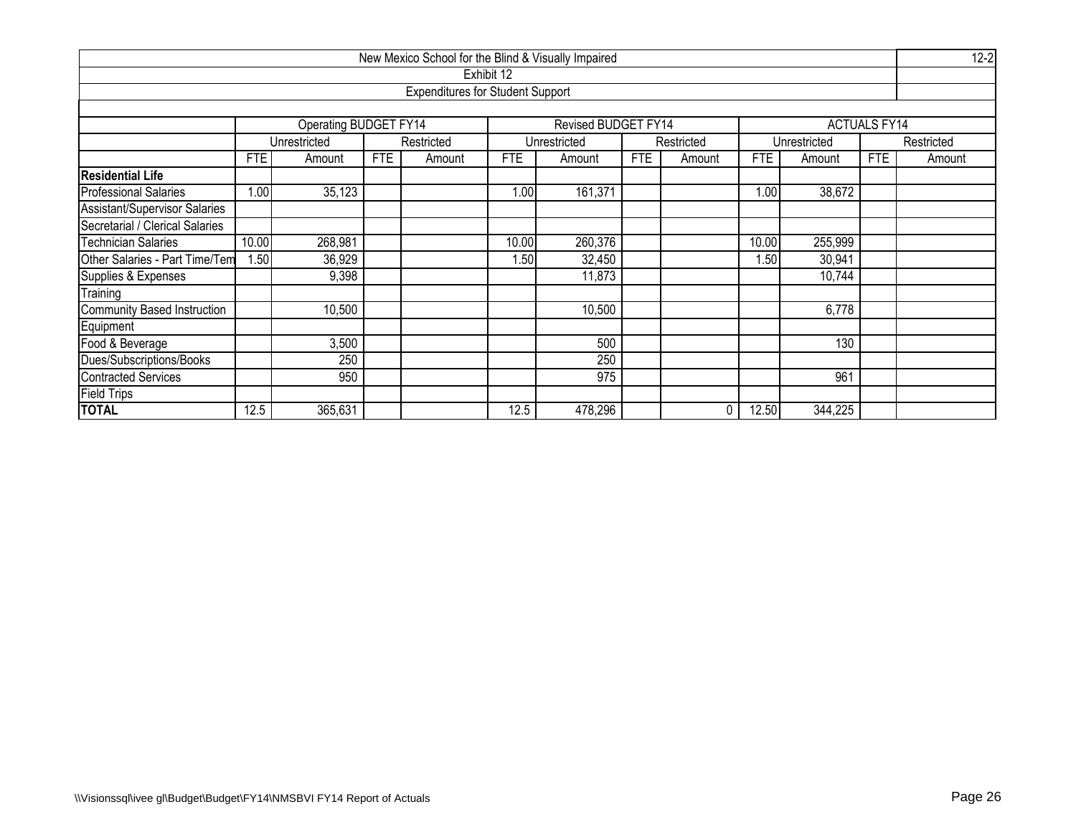| New Mexico School for the Blind & Visually Impaired |            |                                                 |     |                                         |            |                     |            |            |       |              |                     |            |  |
|-----------------------------------------------------|------------|-------------------------------------------------|-----|-----------------------------------------|------------|---------------------|------------|------------|-------|--------------|---------------------|------------|--|
|                                                     |            |                                                 |     |                                         | Exhibit 12 |                     |            |            |       |              |                     |            |  |
|                                                     |            |                                                 |     | <b>Expenditures for Student Support</b> |            |                     |            |            |       |              |                     |            |  |
|                                                     |            |                                                 |     |                                         |            |                     |            |            |       |              |                     |            |  |
|                                                     |            | Operating BUDGET FY14                           |     |                                         |            | Revised BUDGET FY14 |            |            |       |              | <b>ACTUALS FY14</b> |            |  |
|                                                     |            | Unrestricted                                    |     | Restricted                              |            | Unrestricted        |            | Restricted |       | Unrestricted |                     | Restricted |  |
|                                                     | <b>FTE</b> | Amount                                          | FTE | Amount                                  | <b>FTE</b> | Amount              | <b>FTE</b> | Amount     | FTE   | Amount       | <b>FTE</b>          | Amount     |  |
| <b>Residential Life</b>                             |            |                                                 |     |                                         |            |                     |            |            |       |              |                     |            |  |
| <b>Professional Salaries</b>                        | 1.00       | 35,123<br>1.00<br>161,371<br>1.00<br>38,672     |     |                                         |            |                     |            |            |       |              |                     |            |  |
| Assistant/Supervisor Salaries                       |            |                                                 |     |                                         |            |                     |            |            |       |              |                     |            |  |
| Secretarial / Clerical Salaries                     |            |                                                 |     |                                         |            |                     |            |            |       |              |                     |            |  |
| <b>Technician Salaries</b>                          | 10.00      | 10.00<br>260,376<br>268,981<br>10.00<br>255,999 |     |                                         |            |                     |            |            |       |              |                     |            |  |
| Other Salaries - Part Time/Tem                      | 1.50       | 36,929                                          |     |                                         | 1.50       | 32,450              |            |            | .50   | 30,941       |                     |            |  |
| Supplies & Expenses                                 |            | 9,398                                           |     |                                         |            | 11,873              |            |            |       | 10,744       |                     |            |  |
| Training                                            |            |                                                 |     |                                         |            |                     |            |            |       |              |                     |            |  |
| <b>Community Based Instruction</b>                  |            | 10,500                                          |     |                                         |            | 10,500              |            |            |       | 6,778        |                     |            |  |
| Equipment                                           |            |                                                 |     |                                         |            |                     |            |            |       |              |                     |            |  |
| Food & Beverage                                     |            | 3,500                                           |     |                                         |            | 500                 |            |            |       | 130          |                     |            |  |
| Dues/Subscriptions/Books                            |            | 250<br>250                                      |     |                                         |            |                     |            |            |       |              |                     |            |  |
| <b>Contracted Services</b>                          |            | 950                                             |     |                                         |            | 975                 |            |            |       | 961          |                     |            |  |
| <b>Field Trips</b>                                  |            |                                                 |     |                                         |            |                     |            |            |       |              |                     |            |  |
| <b>TOTAL</b>                                        | 12.5       | 365,631                                         |     |                                         | 12.5       | 478,296             |            | 0          | 12.50 | 344,225      |                     |            |  |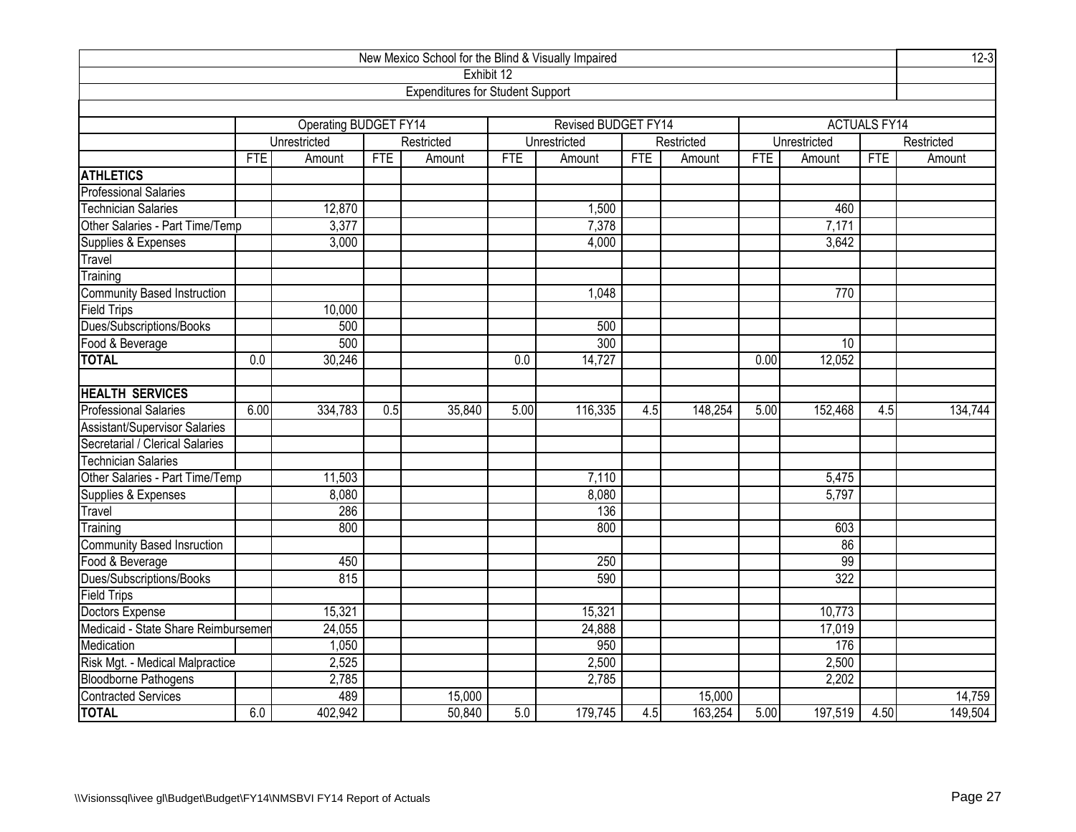| New Mexico School for the Blind & Visually Impaired |            |                               |            |                                         |            |                     |            |            |            |              |                     | $12-3$     |  |
|-----------------------------------------------------|------------|-------------------------------|------------|-----------------------------------------|------------|---------------------|------------|------------|------------|--------------|---------------------|------------|--|
|                                                     |            |                               |            |                                         | Exhibit 12 |                     |            |            |            |              |                     |            |  |
|                                                     |            |                               |            | <b>Expenditures for Student Support</b> |            |                     |            |            |            |              |                     |            |  |
|                                                     |            |                               |            |                                         |            |                     |            |            |            |              |                     |            |  |
|                                                     |            | Operating BUDGET FY14         |            |                                         |            | Revised BUDGET FY14 |            |            |            |              | <b>ACTUALS FY14</b> |            |  |
|                                                     |            | Unrestricted                  |            | Restricted                              |            | Unrestricted        |            | Restricted |            | Unrestricted |                     | Restricted |  |
|                                                     | <b>FTE</b> | Amount                        | <b>FTE</b> | Amount                                  | <b>FTE</b> | Amount              | <b>FTE</b> | Amount     | <b>FTE</b> | Amount       | <b>FTE</b>          | Amount     |  |
| <b>ATHLETICS</b>                                    |            |                               |            |                                         |            |                     |            |            |            |              |                     |            |  |
| <b>Professional Salaries</b>                        |            |                               |            |                                         |            |                     |            |            |            |              |                     |            |  |
| <b>Technician Salaries</b>                          |            | 12,870                        |            |                                         |            | 1,500               |            |            |            | 460          |                     |            |  |
| Other Salaries - Part Time/Temp                     |            | 3,377                         |            |                                         |            | 7,378               |            |            |            | 7,171        |                     |            |  |
| Supplies & Expenses                                 |            | 3,000                         |            |                                         |            | 4,000               |            |            |            | 3,642        |                     |            |  |
| Travel                                              |            |                               |            |                                         |            |                     |            |            |            |              |                     |            |  |
| Training                                            |            |                               |            |                                         |            |                     |            |            |            |              |                     |            |  |
| <b>Community Based Instruction</b>                  |            |                               |            |                                         |            | 1,048               |            |            |            | 770          |                     |            |  |
| <b>Field Trips</b>                                  |            | 10,000                        |            |                                         |            |                     |            |            |            |              |                     |            |  |
| Dues/Subscriptions/Books                            |            | 500<br>500                    |            |                                         |            |                     |            |            |            |              |                     |            |  |
| Food & Beverage                                     |            | 500<br>$\overline{300}$<br>10 |            |                                         |            |                     |            |            |            |              |                     |            |  |
| <b>TOTAL</b>                                        | 0.0        | 30,246                        |            |                                         | 0.0        | 14,727              |            |            | 0.00       | 12,052       |                     |            |  |
|                                                     |            |                               |            |                                         |            |                     |            |            |            |              |                     |            |  |
| <b>HEALTH SERVICES</b>                              |            |                               |            |                                         |            |                     |            |            |            |              |                     |            |  |
| <b>Professional Salaries</b>                        | 6.00       | 334,783                       | 0.5        | 35,840                                  | 5.00       | 116,335             | 4.5        | 148,254    | 5.00       | 152,468      | 4.5                 | 134,744    |  |
| Assistant/Supervisor Salaries                       |            |                               |            |                                         |            |                     |            |            |            |              |                     |            |  |
| Secretarial / Clerical Salaries                     |            |                               |            |                                         |            |                     |            |            |            |              |                     |            |  |
| <b>Technician Salaries</b>                          |            |                               |            |                                         |            |                     |            |            |            |              |                     |            |  |
| Other Salaries - Part Time/Temp                     |            | 11,503                        |            |                                         |            | 7,110               |            |            |            | 5,475        |                     |            |  |
| Supplies & Expenses                                 |            | 8,080                         |            |                                         |            | 8,080               |            |            |            | 5,797        |                     |            |  |
| Travel                                              |            | 286                           |            |                                         |            | 136                 |            |            |            |              |                     |            |  |
| Training                                            |            | 800                           |            |                                         |            | 800                 |            |            |            | 603          |                     |            |  |
| Community Based Insruction                          |            |                               |            |                                         |            |                     |            |            |            | 86           |                     |            |  |
| Food & Beverage                                     |            | 450                           |            |                                         |            | 250                 |            |            |            | 99           |                     |            |  |
| Dues/Subscriptions/Books                            |            | 815                           |            |                                         |            | 590                 |            |            |            | 322          |                     |            |  |
| <b>Field Trips</b>                                  |            |                               |            |                                         |            |                     |            |            |            |              |                     |            |  |
| Doctors Expense                                     |            | 15,321                        |            |                                         |            | 15,321              |            |            |            | 10,773       |                     |            |  |
| Medicaid - State Share Reimbursemer                 |            | 24,055                        |            |                                         |            | 24,888              |            |            |            | 17,019       |                     |            |  |
| Medication                                          |            | 1,050                         |            |                                         |            | 950                 |            |            |            | 176          |                     |            |  |
| Risk Mgt. - Medical Malpractice                     |            | 2,525                         |            |                                         |            | 2,500               |            |            |            | 2,500        |                     |            |  |
|                                                     |            | 2,785                         |            |                                         |            | 2,785               |            |            |            | 2,202        |                     |            |  |
| Bloodborne Pathogens<br>Contracted Services         |            | 489                           |            | 15,000                                  |            |                     |            | 15,000     |            |              |                     | 14,759     |  |
| <b>TOTAL</b>                                        | 6.0        | 402,942                       |            | 50,840                                  | 5.0        | 179,745             | 4.5        | 163,254    | 5.00       | 197,519      | 4.50                | 149,504    |  |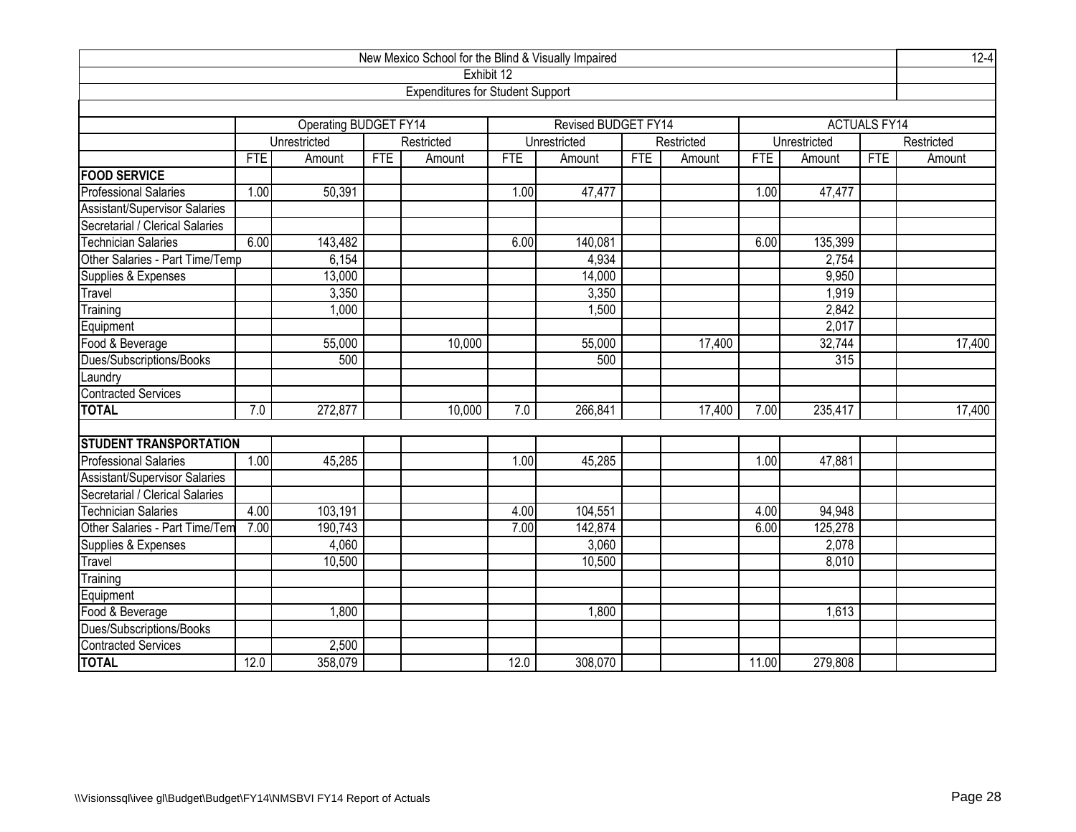|                                      |                 |                                                |            | New Mexico School for the Blind & Visually Impaired |            |                     |            |            |       |              |                     | $12 - 4$   |  |
|--------------------------------------|-----------------|------------------------------------------------|------------|-----------------------------------------------------|------------|---------------------|------------|------------|-------|--------------|---------------------|------------|--|
|                                      |                 |                                                |            | Exhibit 12                                          |            |                     |            |            |       |              |                     |            |  |
|                                      |                 |                                                |            | <b>Expenditures for Student Support</b>             |            |                     |            |            |       |              |                     |            |  |
|                                      |                 |                                                |            |                                                     |            |                     |            |            |       |              |                     |            |  |
|                                      |                 | <b>Operating BUDGET FY14</b>                   |            |                                                     |            | Revised BUDGET FY14 |            |            |       |              | <b>ACTUALS FY14</b> |            |  |
|                                      |                 | Unrestricted                                   |            | Restricted                                          |            | Unrestricted        |            | Restricted |       | Unrestricted |                     | Restricted |  |
|                                      | <b>FTE</b>      | Amount                                         | <b>FTE</b> | Amount                                              | <b>FTE</b> | Amount              | <b>FTE</b> | Amount     | FTE   | Amount       | <b>FTE</b>          | Amount     |  |
| <b>FOOD SERVICE</b>                  |                 |                                                |            |                                                     |            |                     |            |            |       |              |                     |            |  |
| <b>Professional Salaries</b>         | 1.00            | 50,391                                         |            |                                                     | 1.00       | 47,477              |            |            | 1.00  | 47,477       |                     |            |  |
| <b>Assistant/Supervisor Salaries</b> |                 |                                                |            |                                                     |            |                     |            |            |       |              |                     |            |  |
| Secretarial / Clerical Salaries      |                 |                                                |            |                                                     |            |                     |            |            |       |              |                     |            |  |
| <b>Technician Salaries</b>           | 6.00            | 143,482                                        |            |                                                     | 6.00       | 140,081             |            |            | 6.00  | 135,399      |                     |            |  |
| Other Salaries - Part Time/Temp      |                 | 6,154                                          |            |                                                     |            | 4,934               |            |            |       | 2,754        |                     |            |  |
| Supplies & Expenses                  |                 | 13,000                                         |            |                                                     |            | 14,000              |            |            |       | 9,950        |                     |            |  |
| Travel                               |                 | 3,350                                          |            |                                                     |            | 3,350               |            |            |       | 1,919        |                     |            |  |
| Training<br>2,842<br>1,000<br>1,500  |                 |                                                |            |                                                     |            |                     |            |            |       |              |                     |            |  |
| Equipment                            | 2,017<br>17,400 |                                                |            |                                                     |            |                     |            |            |       |              |                     |            |  |
| Food & Beverage                      |                 | 10,000<br>32,744<br>55,000<br>55,000<br>17,400 |            |                                                     |            |                     |            |            |       |              |                     |            |  |
| Dues/Subscriptions/Books             |                 | 500                                            |            |                                                     |            | 500                 |            |            |       | 315          |                     |            |  |
| aundry                               |                 |                                                |            |                                                     |            |                     |            |            |       |              |                     |            |  |
| <b>Contracted Services</b>           |                 |                                                |            |                                                     |            |                     |            |            |       |              |                     |            |  |
| <b>TOTAL</b>                         | 7.0             | 272,877                                        |            | 10,000                                              | 7.0        | 266,841             |            | 17,400     | 7.00  | 235,417      |                     | 17,400     |  |
|                                      |                 |                                                |            |                                                     |            |                     |            |            |       |              |                     |            |  |
| <b>STUDENT TRANSPORTATION</b>        |                 |                                                |            |                                                     |            |                     |            |            |       |              |                     |            |  |
| <b>Professional Salaries</b>         | 1.00            | 45,285                                         |            |                                                     | 1.00       | 45,285              |            |            | 1.00  | 47,881       |                     |            |  |
| <b>Assistant/Supervisor Salaries</b> |                 |                                                |            |                                                     |            |                     |            |            |       |              |                     |            |  |
| Secretarial / Clerical Salaries      |                 |                                                |            |                                                     |            |                     |            |            |       |              |                     |            |  |
| <b>Technician Salaries</b>           | 4.00            | 103,191                                        |            |                                                     | 4.00       | 104,551             |            |            | 4.00  | 94,948       |                     |            |  |
| Other Salaries - Part Time/Tem       | 7.00            | 190,743                                        |            |                                                     | 7.00       | 142,874             |            |            | 6.00  | 125,278      |                     |            |  |
| Supplies & Expenses                  |                 | 4,060                                          |            |                                                     |            | 3,060               |            |            |       | 2,078        |                     |            |  |
| Travel                               |                 | 10,500                                         |            |                                                     |            | 10,500              |            |            |       | 8,010        |                     |            |  |
| Training                             |                 |                                                |            |                                                     |            |                     |            |            |       |              |                     |            |  |
| Equipment                            |                 |                                                |            |                                                     |            |                     |            |            |       |              |                     |            |  |
| Food & Beverage                      |                 | 1,800                                          |            |                                                     |            | 1,800               |            |            |       | 1,613        |                     |            |  |
| Dues/Subscriptions/Books             |                 |                                                |            |                                                     |            |                     |            |            |       |              |                     |            |  |
| Contracted Services                  |                 | 2,500                                          |            |                                                     |            |                     |            |            |       |              |                     |            |  |
| <b>TOTAL</b>                         | 12.0            | 358,079                                        |            |                                                     | 12.0       | 308,070             |            |            | 11.00 | 279,808      |                     |            |  |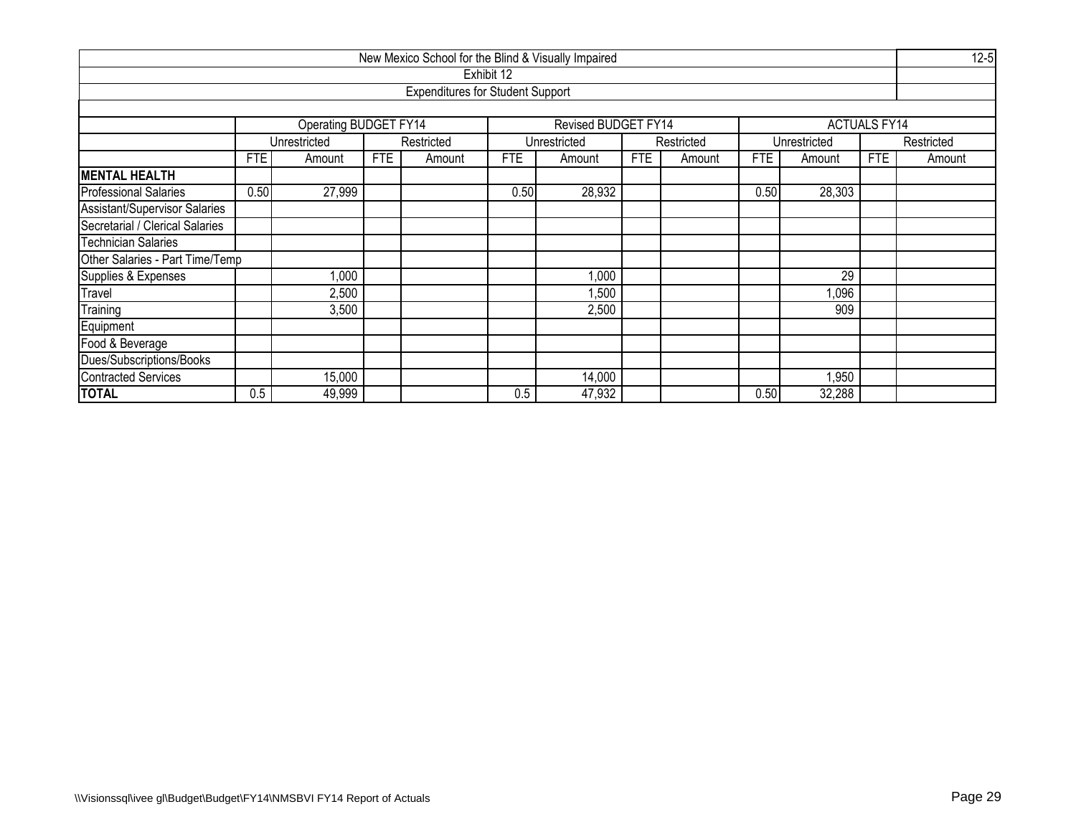| New Mexico School for the Blind & Visually Impaired |      |                              |            |                                         |            |                     |            |            |            |              |                     |            |  |
|-----------------------------------------------------|------|------------------------------|------------|-----------------------------------------|------------|---------------------|------------|------------|------------|--------------|---------------------|------------|--|
|                                                     |      |                              |            |                                         | Exhibit 12 |                     |            |            |            |              |                     |            |  |
|                                                     |      |                              |            | <b>Expenditures for Student Support</b> |            |                     |            |            |            |              |                     |            |  |
|                                                     |      |                              |            |                                         |            |                     |            |            |            |              |                     |            |  |
|                                                     |      | <b>Operating BUDGET FY14</b> |            |                                         |            | Revised BUDGET FY14 |            |            |            |              | <b>ACTUALS FY14</b> |            |  |
|                                                     |      | Unrestricted                 |            | Restricted                              |            | Unrestricted        |            | Restricted |            | Unrestricted |                     | Restricted |  |
|                                                     | FTE  | Amount                       | <b>FTE</b> | Amount                                  | FTE        | Amount              | <b>FTE</b> | Amount     | <b>FTE</b> | Amount       | <b>FTE</b>          | Amount     |  |
| <b>MENTAL HEALTH</b>                                |      |                              |            |                                         |            |                     |            |            |            |              |                     |            |  |
| <b>Professional Salaries</b>                        | 0.50 | 27,999                       |            |                                         | 0.50       | 28,932              |            |            | 0.50       | 28,303       |                     |            |  |
| Assistant/Supervisor Salaries                       |      |                              |            |                                         |            |                     |            |            |            |              |                     |            |  |
| Secretarial / Clerical Salaries                     |      |                              |            |                                         |            |                     |            |            |            |              |                     |            |  |
| Technician Salaries                                 |      |                              |            |                                         |            |                     |            |            |            |              |                     |            |  |
| Other Salaries - Part Time/Temp                     |      |                              |            |                                         |            |                     |            |            |            |              |                     |            |  |
| Supplies & Expenses                                 |      | $\overline{000}$             |            |                                         |            | 000, 1              |            |            |            | 29           |                     |            |  |
| Travel                                              |      | 2,500                        |            |                                         |            | ,500                |            |            |            | 1,096        |                     |            |  |
| Training                                            |      | 3,500                        |            |                                         |            | 2,500               |            |            |            | 909          |                     |            |  |
| Equipment                                           |      |                              |            |                                         |            |                     |            |            |            |              |                     |            |  |
| Food & Beverage                                     |      |                              |            |                                         |            |                     |            |            |            |              |                     |            |  |
| Dues/Subscriptions/Books                            |      |                              |            |                                         |            |                     |            |            |            |              |                     |            |  |
| <b>Contracted Services</b>                          |      | 15,000                       |            |                                         |            | 14,000              |            |            |            | 1,950        |                     |            |  |
| <b>TOTAL</b>                                        | 0.5  | 49,999                       |            |                                         | 0.5        | 47,932              |            |            | 0.50       | 32,288       |                     |            |  |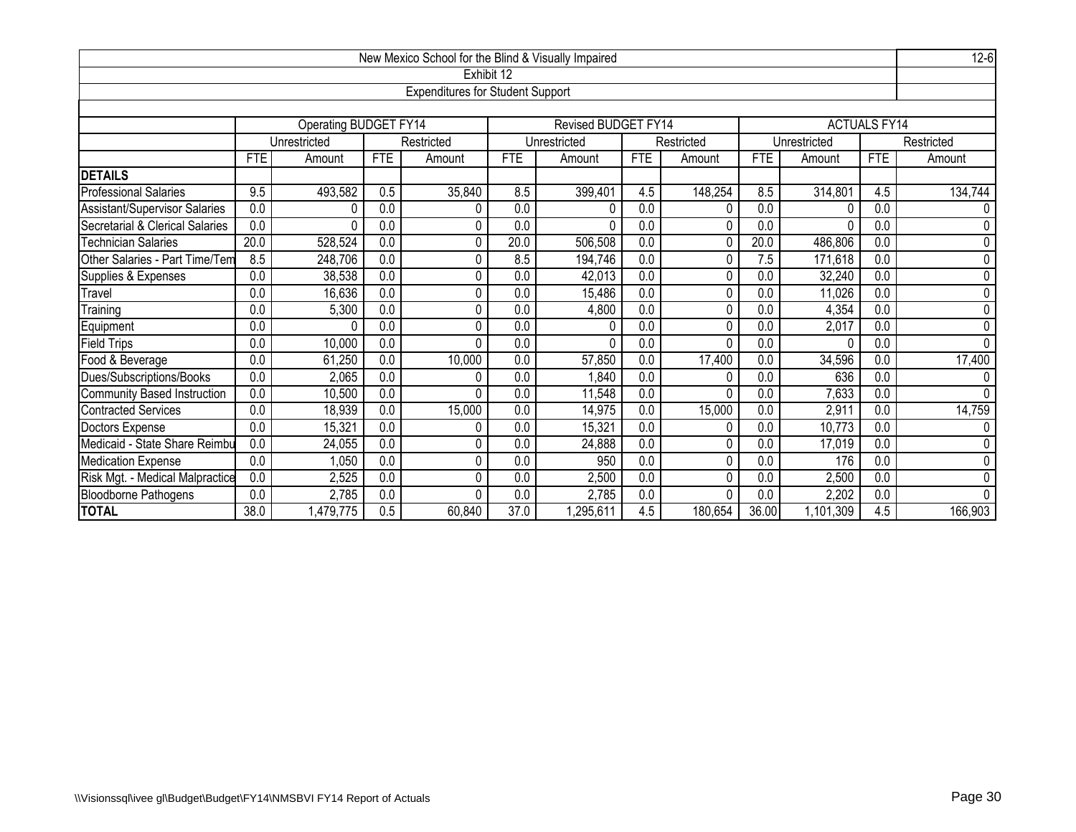|                                 |                                                                                                 |                                                                              |                  | New Mexico School for the Blind & Visually Impaired |            |                            |                  |            |                  |              |                     | $12-6$         |  |  |
|---------------------------------|-------------------------------------------------------------------------------------------------|------------------------------------------------------------------------------|------------------|-----------------------------------------------------|------------|----------------------------|------------------|------------|------------------|--------------|---------------------|----------------|--|--|
|                                 |                                                                                                 |                                                                              |                  | Exhibit 12                                          |            |                            |                  |            |                  |              |                     |                |  |  |
|                                 |                                                                                                 |                                                                              |                  | <b>Expenditures for Student Support</b>             |            |                            |                  |            |                  |              |                     |                |  |  |
|                                 |                                                                                                 |                                                                              |                  |                                                     |            |                            |                  |            |                  |              |                     |                |  |  |
|                                 |                                                                                                 | Operating BUDGET FY14                                                        |                  |                                                     |            | <b>Revised BUDGET FY14</b> |                  |            |                  |              | <b>ACTUALS FY14</b> |                |  |  |
|                                 |                                                                                                 | Unrestricted                                                                 |                  | Restricted                                          |            | Unrestricted               |                  | Restricted |                  | Unrestricted |                     | Restricted     |  |  |
|                                 | <b>FTE</b>                                                                                      | Amount                                                                       | <b>FTE</b>       | Amount                                              | <b>FTE</b> | Amount                     | <b>FTE</b>       | Amount     | FTE              | Amount       | <b>FTE</b>          | Amount         |  |  |
| <b>DETAILS</b>                  |                                                                                                 |                                                                              |                  |                                                     |            |                            |                  |            |                  |              |                     |                |  |  |
| <b>Professional Salaries</b>    | 9.5                                                                                             | 493,582                                                                      | 0.5              | 35,840                                              | 8.5        | 399,401                    | 4.5              | 148,254    | 8.5              | 314,801      | 4.5                 | 134,744        |  |  |
| Assistant/Supervisor Salaries   | 0.0                                                                                             | 0                                                                            | 0.0              | 0                                                   | 0.0        | 0                          | 0.0              | 0          | 0.0              |              | 0.0                 | 0              |  |  |
| Secretarial & Clerical Salaries | $\overline{0.0}$                                                                                | $\Omega$                                                                     | 0.0              | 0                                                   | 0.0        | $\Omega$                   | $\overline{0.0}$ | 0          | 0.0              |              | $\overline{0.0}$    | 0              |  |  |
| <b>Technician Salaries</b>      | 20.0                                                                                            | 528,524<br>0.0<br>20.0<br>506,508<br>0.0<br>20.0<br>486,806<br>0.0<br>0<br>0 |                  |                                                     |            |                            |                  |            |                  |              |                     |                |  |  |
| Other Salaries - Part Time/Tem  | 8.5                                                                                             | 0.0<br>0.0<br>7.5<br>171,618<br>0.0<br>248,706<br>0<br>8.5<br>194,746<br>0   |                  |                                                     |            |                            |                  |            |                  |              |                     |                |  |  |
| Supplies & Expenses             | 0.0                                                                                             | 38,538<br>0.0<br>0.0<br>0.0<br>32,240<br>0.0<br>0<br>0.0<br>42,013<br>0      |                  |                                                     |            |                            |                  |            |                  |              |                     |                |  |  |
| Travel                          | $\overline{0.0}$                                                                                | 16,636                                                                       | $\overline{0.0}$ | 0                                                   | 0.0        | 15,486                     | 0.0              | 0          | $\overline{0.0}$ | 11,026       | 0.0                 | $\overline{0}$ |  |  |
| Training                        | 0.0                                                                                             | 5,300                                                                        | 0.0              | 0                                                   | 0.0        | 4,800                      | $\overline{0.0}$ | 0          | 0.0              | 4,354        | 0.0                 | 0              |  |  |
| Equipment                       | $\overline{0.0}$                                                                                | $\Omega$                                                                     | 0.0              | 0                                                   | 0.0        | 0                          | $\overline{0.0}$ | 0          | 0.0              | 2,017        | $\overline{0.0}$    | 0              |  |  |
| <b>Field Trips</b>              | 0.0                                                                                             | 10,000                                                                       | 0.0              | $\Omega$                                            | 0.0        | $\Omega$                   | 0.0              | 0          | 0.0              | U            | $\overline{0.0}$    | $\overline{0}$ |  |  |
| Food & Beverage                 | 0.0                                                                                             | 61,250                                                                       | 0.0              | 10,000                                              | 0.0        | 57,850                     | $\overline{0.0}$ | 17,400     | 0.0              | 34,596       | 0.0                 | 17,400         |  |  |
| Dues/Subscriptions/Books        | $\overline{0.0}$                                                                                | 2,065                                                                        | 0.0              | 0                                                   | 0.0        | ,840                       | $\overline{0.0}$ | 0          | 0.0              | 636          | $\overline{0.0}$    | 0              |  |  |
| Community Based Instruction     | 0.0                                                                                             | 10,500                                                                       | 0.0              | $\Omega$                                            | 0.0        | 11,548                     | 0.0              | 0          | 0.0              | 7,633        | 0.0                 | 0              |  |  |
| Contracted Services             | 0.0                                                                                             | 18,939                                                                       | 0.0              | 15,000                                              | 0.0        | 14,975                     | $\overline{0.0}$ | 15,000     | $\overline{0.0}$ | 2,911        | $\overline{0.0}$    | 14,759         |  |  |
| Doctors Expense                 | 0.0                                                                                             | 15,321                                                                       | 0.0              | 0                                                   | 0.0        | 15,321                     | 0.0              | 0          | 0.0              | 10,773       | 0.0                 | 0              |  |  |
| Medicaid - State Share Reimbu   | $\overline{0.0}$<br>0.0<br>0.0<br>0.0<br>17,019<br>24,055<br>0<br>0.0<br>24,888<br>0<br>0.0     |                                                                              |                  |                                                     |            |                            |                  |            |                  |              | 0                   |                |  |  |
| Medication Expense              | $\overline{0.0}$                                                                                | 1,050                                                                        | $\overline{0.0}$ | 0                                                   | 0.0        | 950                        | $\overline{0.0}$ | 0          | 0.0              | 176          | $\overline{0.0}$    | 0              |  |  |
| Risk Mgt. - Medical Malpractice | 0.0                                                                                             | 2,525                                                                        | 0.0              | 0                                                   | 0.0        | 2,500                      | 0.0              | 0          | 0.0              | 2,500        | 0.0                 | $\pmb{0}$      |  |  |
| <b>Bloodborne Pathogens</b>     | $\overline{0.0}$<br>0.0<br>2,785<br>0.0<br>$\Omega$<br>2,785<br>0.0<br>0.0<br>2,202<br>0.0<br>0 |                                                                              |                  |                                                     |            |                            |                  |            |                  |              | 0                   |                |  |  |
| <b>TOTAL</b>                    | 38.0                                                                                            | 1,479,775                                                                    | 0.5              | 60,840                                              | 37.0       | ,295,611                   | 4.5              | 180,654    | 36.00            | 1,101,309    | 4.5                 | 166,903        |  |  |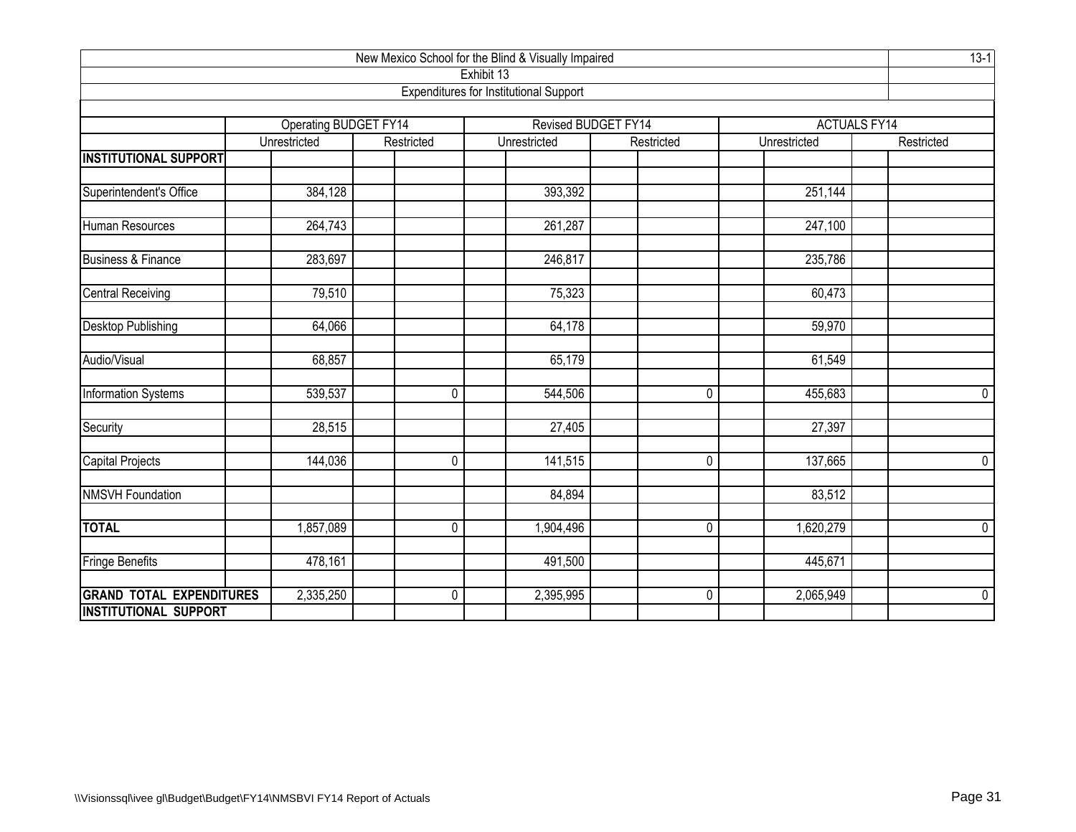| New Mexico School for the Blind & Visually Impaired |                                                                                            |              |                                               |                                   |              |                                   |  |  |  |  |  |  |
|-----------------------------------------------------|--------------------------------------------------------------------------------------------|--------------|-----------------------------------------------|-----------------------------------|--------------|-----------------------------------|--|--|--|--|--|--|
|                                                     |                                                                                            |              | Exhibit 13                                    |                                   |              |                                   |  |  |  |  |  |  |
|                                                     |                                                                                            |              | <b>Expenditures for Institutional Support</b> |                                   |              |                                   |  |  |  |  |  |  |
|                                                     |                                                                                            |              |                                               |                                   |              |                                   |  |  |  |  |  |  |
|                                                     | <b>Operating BUDGET FY14</b><br>Unrestricted                                               | Restricted   | Unrestricted                                  | Revised BUDGET FY14<br>Restricted | Unrestricted | <b>ACTUALS FY14</b><br>Restricted |  |  |  |  |  |  |
| <b>INSTITUTIONAL SUPPORT</b>                        |                                                                                            |              |                                               |                                   |              |                                   |  |  |  |  |  |  |
|                                                     |                                                                                            |              |                                               |                                   |              |                                   |  |  |  |  |  |  |
| Superintendent's Office                             | 384,128                                                                                    |              | 393,392                                       |                                   | 251,144      |                                   |  |  |  |  |  |  |
|                                                     |                                                                                            |              |                                               |                                   |              |                                   |  |  |  |  |  |  |
| Human Resources                                     | $\sqrt{264}$ , 743                                                                         |              | 261,287                                       |                                   | 247,100      |                                   |  |  |  |  |  |  |
| <b>Business &amp; Finance</b>                       | 283,697                                                                                    |              | 246,817                                       |                                   | 235,786      |                                   |  |  |  |  |  |  |
|                                                     |                                                                                            |              |                                               |                                   |              |                                   |  |  |  |  |  |  |
| <b>Central Receiving</b>                            | 79,510                                                                                     |              | 75,323                                        |                                   | 60,473       |                                   |  |  |  |  |  |  |
|                                                     |                                                                                            |              |                                               |                                   |              |                                   |  |  |  |  |  |  |
| <b>Desktop Publishing</b>                           | 64,066                                                                                     |              | 64,178                                        |                                   | 59,970       |                                   |  |  |  |  |  |  |
|                                                     |                                                                                            |              |                                               |                                   |              |                                   |  |  |  |  |  |  |
| Audio/Visual                                        | 68,857                                                                                     |              | 65,179                                        |                                   | 61,549       |                                   |  |  |  |  |  |  |
| Information Systems                                 | 539,537                                                                                    | $\mathbf{0}$ | 544,506                                       | 0                                 | 455,683      | $\mathbf 0$                       |  |  |  |  |  |  |
| Security                                            | 28,515                                                                                     |              | 27,405                                        |                                   | 27,397       |                                   |  |  |  |  |  |  |
|                                                     |                                                                                            |              |                                               |                                   |              |                                   |  |  |  |  |  |  |
| <b>Capital Projects</b>                             | 144,036                                                                                    | $\mathbf 0$  | 141,515                                       | $\pmb{0}$                         | 137,665      | $\overline{0}$                    |  |  |  |  |  |  |
| <b>NMSVH Foundation</b>                             |                                                                                            |              | 84,894                                        |                                   | 83,512       |                                   |  |  |  |  |  |  |
|                                                     |                                                                                            |              |                                               |                                   |              |                                   |  |  |  |  |  |  |
| <b>TOTAL</b>                                        | 1,857,089                                                                                  | $\mathbf 0$  | 1,904,496                                     | $\mathbf 0$                       | 1,620,279    | $\mathbf 0$                       |  |  |  |  |  |  |
|                                                     |                                                                                            |              |                                               |                                   |              |                                   |  |  |  |  |  |  |
| Fringe Benefits                                     | 478,161                                                                                    |              | 491,500                                       |                                   | 445,671      |                                   |  |  |  |  |  |  |
|                                                     |                                                                                            |              |                                               |                                   |              | $\overline{0}$                    |  |  |  |  |  |  |
|                                                     | <b>GRAND TOTAL EXPENDITURES</b><br>2,335,250<br>$\mathbf 0$<br>2,065,949<br>2,395,995<br>0 |              |                                               |                                   |              |                                   |  |  |  |  |  |  |
| <b>INSTITUTIONAL SUPPORT</b>                        |                                                                                            |              |                                               |                                   |              |                                   |  |  |  |  |  |  |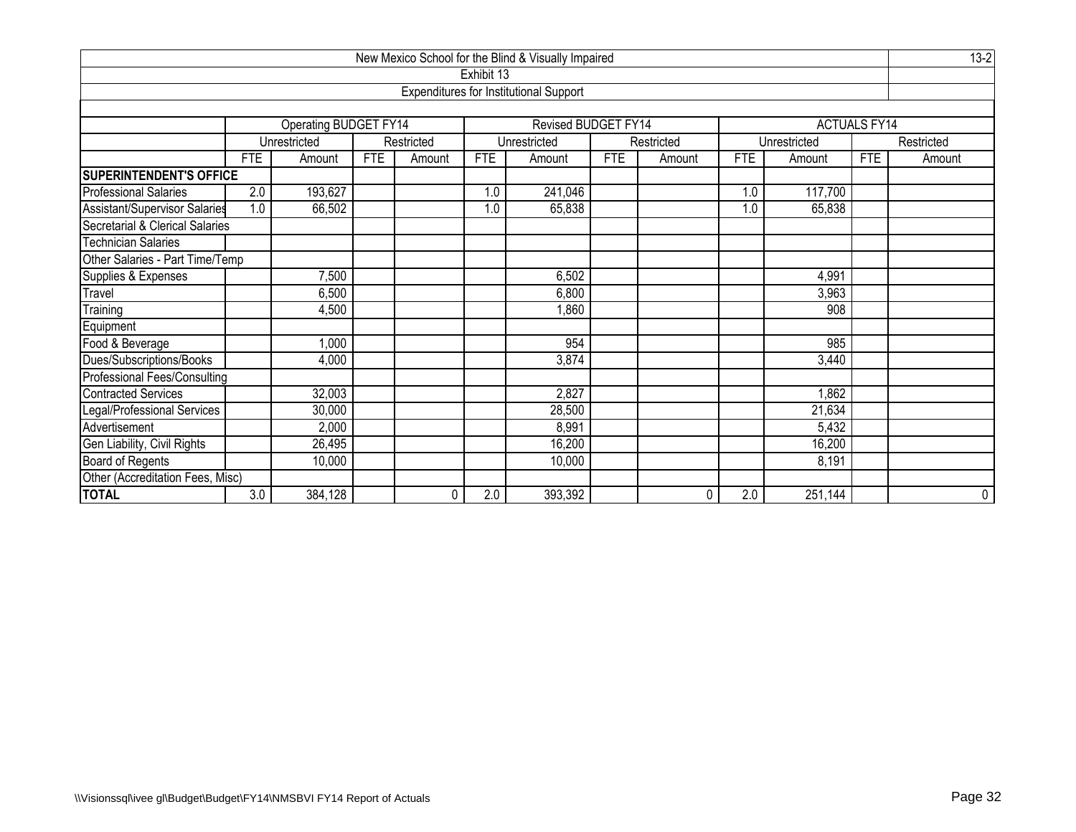| New Mexico School for the Blind & Visually Impaired |                            |                       |            |            |            |                                               |            |            |     |                  |                     |            |  |
|-----------------------------------------------------|----------------------------|-----------------------|------------|------------|------------|-----------------------------------------------|------------|------------|-----|------------------|---------------------|------------|--|
|                                                     |                            |                       |            |            | Exhibit 13 |                                               |            |            |     |                  |                     |            |  |
|                                                     |                            |                       |            |            |            | <b>Expenditures for Institutional Support</b> |            |            |     |                  |                     |            |  |
|                                                     |                            |                       |            |            |            |                                               |            |            |     |                  |                     |            |  |
|                                                     |                            | Operating BUDGET FY14 |            |            |            | Revised BUDGET FY14                           |            |            |     |                  | <b>ACTUALS FY14</b> |            |  |
|                                                     |                            | Unrestricted          |            | Restricted |            | Unrestricted                                  |            | Restricted |     | Unrestricted     |                     | Restricted |  |
|                                                     | <b>FTE</b>                 | Amount                | <b>FTE</b> | Amount     | <b>FTE</b> | Amount                                        | <b>FTE</b> | Amount     | FTE | Amount           | <b>FTE</b>          | Amount     |  |
| <b>SUPERINTENDENT'S OFFICE</b>                      |                            |                       |            |            |            |                                               |            |            |     |                  |                     |            |  |
| <b>Professional Salaries</b>                        | 2.0                        | 193,627               |            |            | 1.0        | 241,046                                       |            |            | 1.0 | 117,700          |                     |            |  |
| Assistant/Supervisor Salaries                       | 1.0                        | 66,502                |            |            | 1.0        | 65,838                                        |            |            | 1.0 | 65,838           |                     |            |  |
| Secretarial & Clerical Salaries                     |                            |                       |            |            |            |                                               |            |            |     |                  |                     |            |  |
| <b>Technician Salaries</b>                          |                            |                       |            |            |            |                                               |            |            |     |                  |                     |            |  |
| Other Salaries - Part Time/Temp                     |                            |                       |            |            |            |                                               |            |            |     |                  |                     |            |  |
| Supplies & Expenses                                 |                            | 7,500                 |            |            |            | 6,502                                         |            |            |     | 4,991            |                     |            |  |
| Travel                                              |                            | 6,500                 |            |            |            | 6,800                                         |            |            |     | 3,963            |                     |            |  |
| Training                                            |                            | 4,500                 |            |            |            | 1,860                                         |            |            |     | $\overline{908}$ |                     |            |  |
| Equipment                                           |                            |                       |            |            |            |                                               |            |            |     |                  |                     |            |  |
| Food & Beverage                                     |                            | 1,000                 |            |            |            | 954                                           |            |            |     | 985              |                     |            |  |
| Dues/Subscriptions/Books                            |                            | 4,000                 |            |            |            | 3,874                                         |            |            |     | 3,440            |                     |            |  |
| Professional Fees/Consulting                        |                            |                       |            |            |            |                                               |            |            |     |                  |                     |            |  |
| Contracted Services                                 |                            | 32,003                |            |            |            | 2,827                                         |            |            |     | 1,862            |                     |            |  |
| Legal/Professional Services                         | 21,634<br>30,000<br>28,500 |                       |            |            |            |                                               |            |            |     |                  |                     |            |  |
| Advertisement                                       |                            | 2,000                 |            |            |            | 8,991                                         |            |            |     | 5,432            |                     |            |  |
| Gen Liability, Civil Rights                         |                            | 26,495                |            |            |            | 16,200                                        |            |            |     | 16,200           |                     |            |  |
| Board of Regents                                    |                            | 10,000                |            |            |            | 10,000                                        |            |            |     | 8,191            |                     |            |  |
| Other (Accreditation Fees, Misc)                    |                            |                       |            |            |            |                                               |            |            |     |                  |                     |            |  |
| <b>TOTAL</b>                                        | 3.0                        | 384, 128              |            | 0          | 2.0        | 393,392                                       |            | 0          | 2.0 | 251,144          |                     | 0          |  |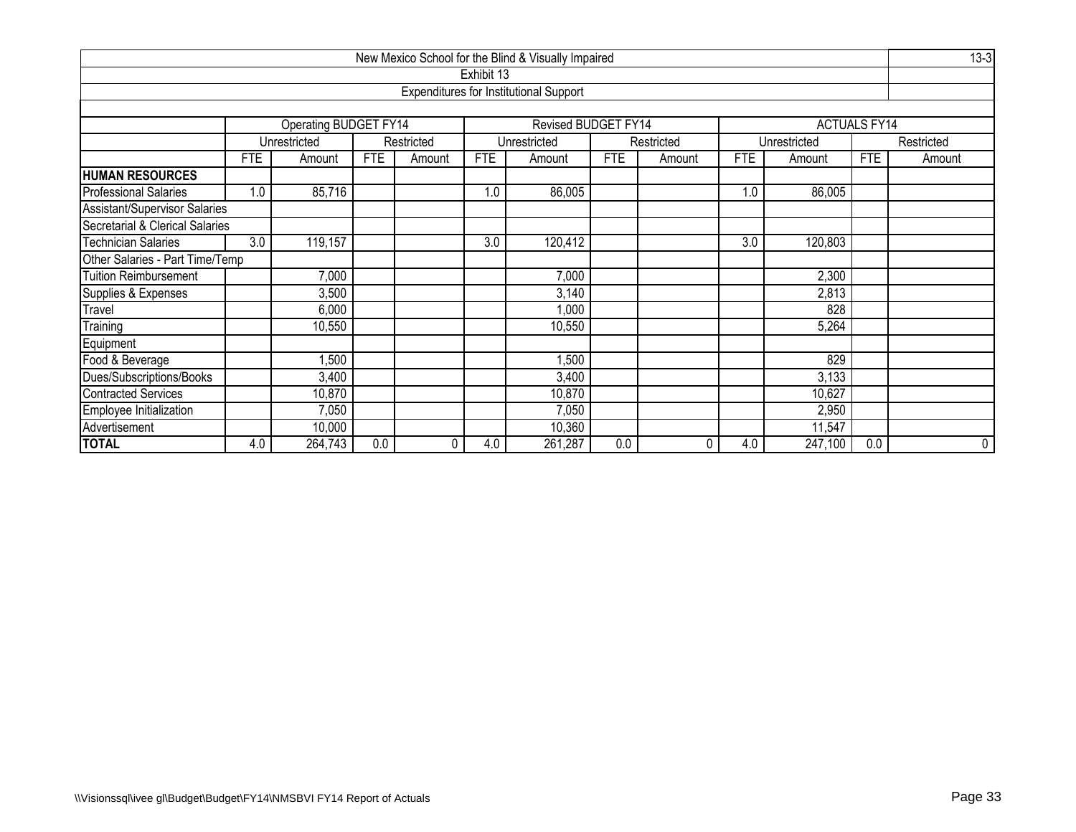| New Mexico School for the Blind & Visually Impaired                              |            |                              |            |            |            |                                               |            |            |            |              |                     |            |  |
|----------------------------------------------------------------------------------|------------|------------------------------|------------|------------|------------|-----------------------------------------------|------------|------------|------------|--------------|---------------------|------------|--|
|                                                                                  |            |                              |            |            | Exhibit 13 |                                               |            |            |            |              |                     |            |  |
|                                                                                  |            |                              |            |            |            | <b>Expenditures for Institutional Support</b> |            |            |            |              |                     |            |  |
|                                                                                  |            |                              |            |            |            |                                               |            |            |            |              |                     |            |  |
|                                                                                  |            | <b>Operating BUDGET FY14</b> |            |            |            | Revised BUDGET FY14                           |            |            |            |              | <b>ACTUALS FY14</b> |            |  |
|                                                                                  |            | Unrestricted                 |            | Restricted |            | Unrestricted                                  |            | Restricted |            | Unrestricted |                     | Restricted |  |
|                                                                                  | <b>FTE</b> | Amount                       | <b>FTE</b> | Amount     | <b>FTE</b> | Amount                                        | <b>FTE</b> | Amount     | <b>FTE</b> | Amount       | <b>FTE</b>          | Amount     |  |
| <b>HUMAN RESOURCES</b>                                                           |            |                              |            |            |            |                                               |            |            |            |              |                     |            |  |
| <b>Professional Salaries</b>                                                     | 1.0        | 85,716                       |            |            | 1.0        | 86,005                                        |            |            | 1.0        | 86,005       |                     |            |  |
| Assistant/Supervisor Salaries                                                    |            |                              |            |            |            |                                               |            |            |            |              |                     |            |  |
| Secretarial & Clerical Salaries                                                  |            |                              |            |            |            |                                               |            |            |            |              |                     |            |  |
| <b>Technician Salaries</b><br>3.0<br>119,157<br>3.0<br>120,412<br>3.0<br>120,803 |            |                              |            |            |            |                                               |            |            |            |              |                     |            |  |
| Other Salaries - Part Time/Temp                                                  |            |                              |            |            |            |                                               |            |            |            |              |                     |            |  |
| <b>Tuition Reimbursement</b>                                                     |            | 7,000                        |            |            |            | 7,000                                         |            |            |            | 2,300        |                     |            |  |
| Supplies & Expenses                                                              |            | 3,500                        |            |            |            | 3,140                                         |            |            |            | 2,813        |                     |            |  |
| Travel                                                                           |            | 6,000                        |            |            |            | 1,000                                         |            |            |            | 828          |                     |            |  |
| Training                                                                         |            | 10,550                       |            |            |            | 10,550                                        |            |            |            | 5,264        |                     |            |  |
| Equipment                                                                        |            |                              |            |            |            |                                               |            |            |            |              |                     |            |  |
| Food & Beverage                                                                  |            | ,500                         |            |            |            | ,500                                          |            |            |            | 829          |                     |            |  |
| Dues/Subscriptions/Books<br>3,400<br>3,133<br>3,400                              |            |                              |            |            |            |                                               |            |            |            |              |                     |            |  |
| <b>Contracted Services</b>                                                       |            | 10,870                       |            |            |            | 10,870                                        |            |            |            | 10,627       |                     |            |  |
| Employee Initialization                                                          |            | 7,050                        |            |            |            | 7,050                                         |            |            |            | 2,950        |                     |            |  |
| Advertisement                                                                    |            | 10,000<br>10,360<br>11,547   |            |            |            |                                               |            |            |            |              |                     |            |  |
| <b>TOTAL</b>                                                                     | 4.0        | 264,743                      | 0.0        | 0          | 4.0        | 261,287                                       | 0.0        | 0          | 4.0        | 247,100      | 0.0                 | 0          |  |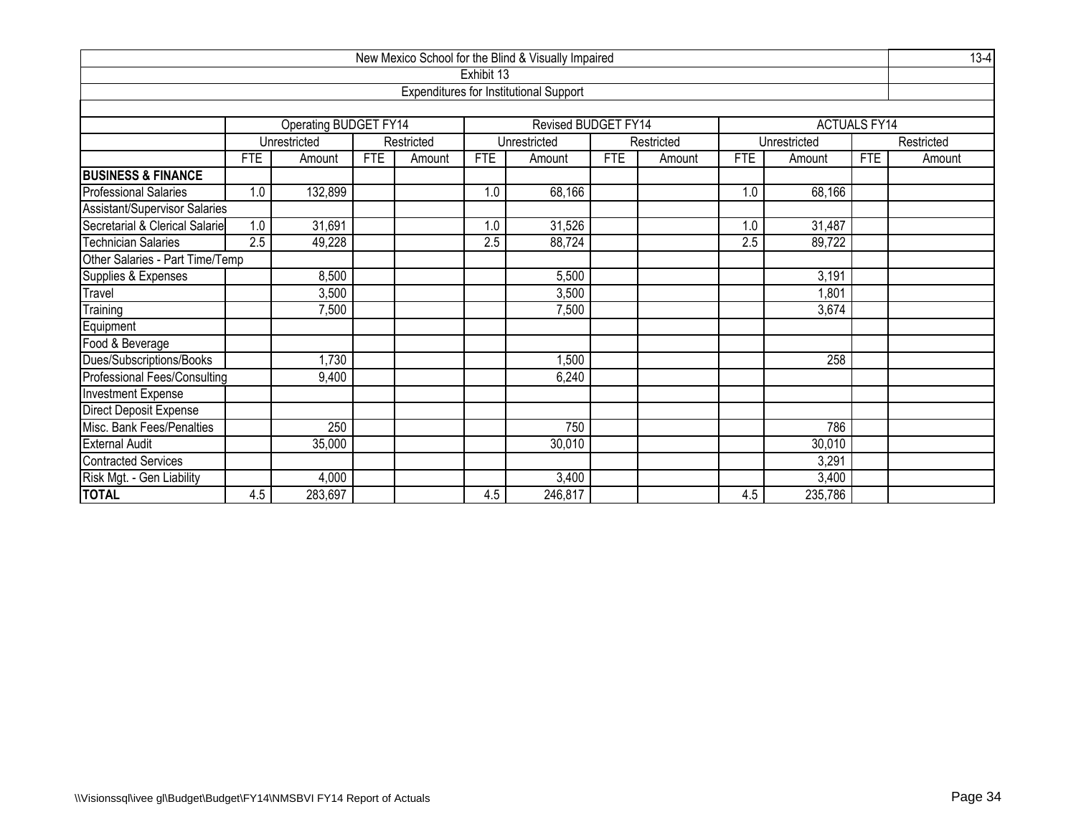| New Mexico School for the Blind & Visually Impaired                                                                  |     |                       |            |            |            |                                               |            |            |     |              |                     |            |
|----------------------------------------------------------------------------------------------------------------------|-----|-----------------------|------------|------------|------------|-----------------------------------------------|------------|------------|-----|--------------|---------------------|------------|
|                                                                                                                      |     |                       |            |            | Exhibit 13 |                                               |            |            |     |              |                     |            |
|                                                                                                                      |     |                       |            |            |            | <b>Expenditures for Institutional Support</b> |            |            |     |              |                     |            |
|                                                                                                                      |     |                       |            |            |            |                                               |            |            |     |              |                     |            |
|                                                                                                                      |     | Operating BUDGET FY14 |            |            |            | Revised BUDGET FY14                           |            |            |     |              | <b>ACTUALS FY14</b> |            |
|                                                                                                                      |     | Unrestricted          |            | Restricted |            | Unrestricted                                  |            | Restricted |     | Unrestricted |                     | Restricted |
|                                                                                                                      | FTE | Amount                | <b>FTE</b> | Amount     | <b>FTE</b> | Amount                                        | <b>FTE</b> | Amount     | FTE | Amount       | <b>FTE</b>          | Amount     |
| <b>BUSINESS &amp; FINANCE</b>                                                                                        |     |                       |            |            |            |                                               |            |            |     |              |                     |            |
| <b>Professional Salaries</b>                                                                                         | 1.0 | 132,899               |            |            | 1.0        | 68,166                                        |            |            | 1.0 | 68,166       |                     |            |
| Assistant/Supervisor Salaries                                                                                        |     |                       |            |            |            |                                               |            |            |     |              |                     |            |
| Secretarial & Clerical Salarie<br>1.0<br>31,691<br>31,526<br>1.0<br>31,487<br>1.0                                    |     |                       |            |            |            |                                               |            |            |     |              |                     |            |
| <b>Technician Salaries</b><br>$\overline{2.5}$<br>49,228<br>$\overline{2.5}$<br>88,724<br>$\overline{2.5}$<br>89,722 |     |                       |            |            |            |                                               |            |            |     |              |                     |            |
| Other Salaries - Part Time/Temp                                                                                      |     |                       |            |            |            |                                               |            |            |     |              |                     |            |
| Supplies & Expenses                                                                                                  |     | 8,500                 |            |            |            | 5,500                                         |            |            |     | 3,191        |                     |            |
| Travel                                                                                                               |     | 3,500                 |            |            |            | 3,500                                         |            |            |     | 1,801        |                     |            |
| Training                                                                                                             |     | 7,500                 |            |            |            | 7,500                                         |            |            |     | 3,674        |                     |            |
| Equipment                                                                                                            |     |                       |            |            |            |                                               |            |            |     |              |                     |            |
| Food & Beverage                                                                                                      |     |                       |            |            |            |                                               |            |            |     |              |                     |            |
| Dues/Subscriptions/Books                                                                                             |     | ,730                  |            |            |            | 1,500                                         |            |            |     | 258          |                     |            |
| <b>Professional Fees/Consulting</b>                                                                                  |     | 9,400                 |            |            |            | 6,240                                         |            |            |     |              |                     |            |
| <b>Investment Expense</b>                                                                                            |     |                       |            |            |            |                                               |            |            |     |              |                     |            |
| Direct Deposit Expense                                                                                               |     |                       |            |            |            |                                               |            |            |     |              |                     |            |
| Misc. Bank Fees/Penalties                                                                                            |     | 250                   |            |            |            | 750                                           |            |            |     | 786          |                     |            |
| <b>External Audit</b>                                                                                                |     | 35,000                |            |            |            | 30,010                                        |            |            |     | 30,010       |                     |            |
| Contracted Services                                                                                                  |     |                       |            |            |            |                                               |            |            |     | 3,291        |                     |            |
| Risk Mgt. - Gen Liability                                                                                            |     | 4,000                 |            |            |            | 3,400                                         |            |            |     | 3,400        |                     |            |
| <b>TOTAL</b>                                                                                                         | 4.5 | 283,697               |            |            | 4.5        | 246,817                                       |            |            | 4.5 | 235,786      |                     |            |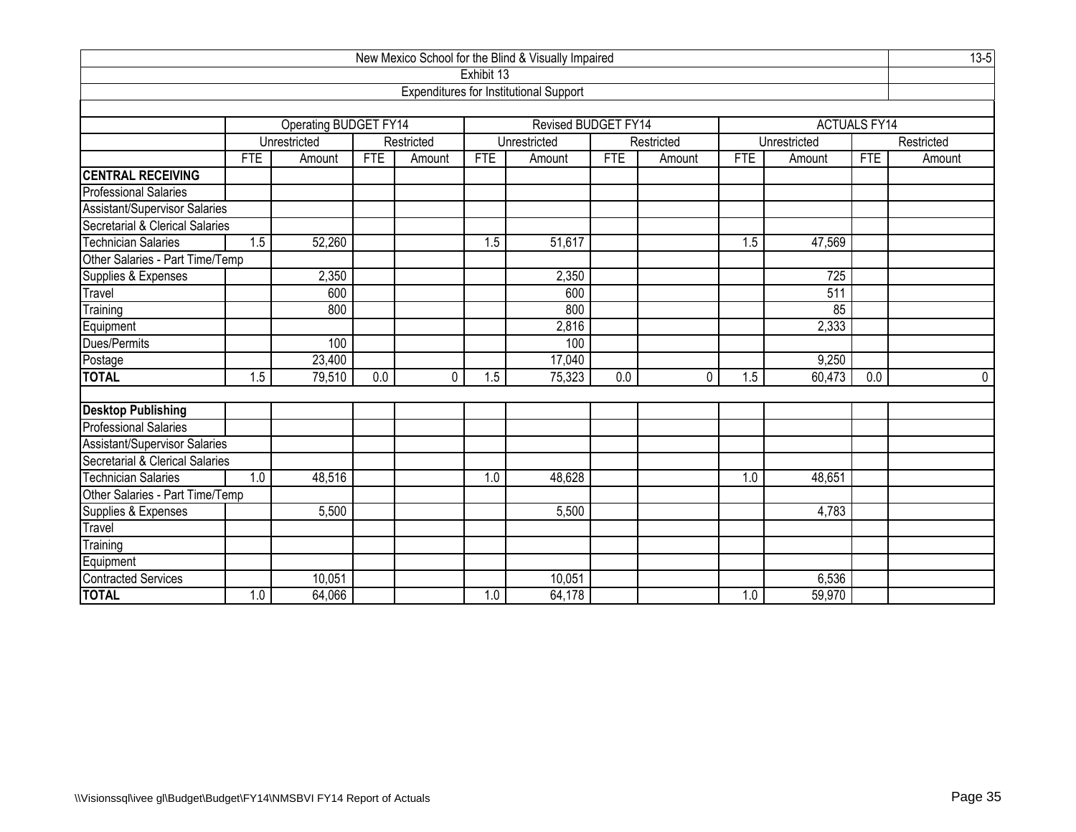| New Mexico School for the Blind & Visually Impaired    |            |                              |            |             |            |                                               |     |            |                  |              |                     |            |
|--------------------------------------------------------|------------|------------------------------|------------|-------------|------------|-----------------------------------------------|-----|------------|------------------|--------------|---------------------|------------|
|                                                        |            |                              |            |             | Exhibit 13 |                                               |     |            |                  |              |                     |            |
|                                                        |            |                              |            |             |            | <b>Expenditures for Institutional Support</b> |     |            |                  |              |                     |            |
|                                                        |            |                              |            |             |            |                                               |     |            |                  |              |                     |            |
|                                                        |            | <b>Operating BUDGET FY14</b> |            |             |            | <b>Revised BUDGET FY14</b>                    |     |            |                  |              | <b>ACTUALS FY14</b> |            |
|                                                        |            | Unrestricted                 |            | Restricted  |            | Unrestricted                                  |     | Restricted |                  | Unrestricted |                     | Restricted |
|                                                        | <b>FTE</b> | Amount                       | <b>FTE</b> | Amount      | <b>FTE</b> | Amount                                        | FTE | Amount     | <b>FTE</b>       | Amount       | <b>FTE</b>          | Amount     |
| <b>CENTRAL RECEIVING</b>                               |            |                              |            |             |            |                                               |     |            |                  |              |                     |            |
| <b>Professional Salaries</b>                           |            |                              |            |             |            |                                               |     |            |                  |              |                     |            |
| Assistant/Supervisor Salaries                          |            |                              |            |             |            |                                               |     |            |                  |              |                     |            |
| Secretarial & Clerical Salaries<br>Technician Salaries |            |                              |            |             |            |                                               |     |            |                  |              |                     |            |
|                                                        | 1.5        | 52,260                       |            |             | 1.5        | 51,617                                        |     |            | 1.5              | 47,569       |                     |            |
| Other Salaries - Part Time/Temp                        |            |                              |            |             |            |                                               |     |            |                  |              |                     |            |
| Supplies & Expenses                                    |            | 2,350                        |            |             |            | 2,350                                         |     |            |                  | 725          |                     |            |
| Travel                                                 |            | 600                          |            |             |            | 600                                           |     |            |                  | 511          |                     |            |
| Training                                               |            | 800                          |            |             |            | 800                                           |     |            |                  | 85           |                     |            |
| Equipment                                              |            |                              |            |             |            | 2,816                                         |     |            |                  | 2,333        |                     |            |
| Dues/Permits                                           |            | 100                          |            |             |            | 100                                           |     |            |                  |              |                     |            |
| Postage<br>TOTAL                                       |            | 23,400                       |            |             |            | 17,040                                        |     |            |                  | 9,250        |                     |            |
|                                                        | 1.5        | 79,510                       | 0.0        | $\mathbf 0$ | 1.5        | 75,323                                        | 0.0 | 0          | 1.5              | 60,473       | 0.0                 | 0          |
|                                                        |            |                              |            |             |            |                                               |     |            |                  |              |                     |            |
| <b>Desktop Publishing</b>                              |            |                              |            |             |            |                                               |     |            |                  |              |                     |            |
| Professional Salaries                                  |            |                              |            |             |            |                                               |     |            |                  |              |                     |            |
| Assistant/Supervisor Salaries                          |            |                              |            |             |            |                                               |     |            |                  |              |                     |            |
| Secretarial & Clerical Salaries                        |            |                              |            |             |            |                                               |     |            |                  |              |                     |            |
| <b>Technician Salaries</b>                             | 1.0        | 48,516                       |            |             | 1.0        | 48,628                                        |     |            | $\overline{1.0}$ | 48,651       |                     |            |
| Other Salaries - Part Time/Temp<br>Supplies & Expenses |            |                              |            |             |            |                                               |     |            |                  |              |                     |            |
|                                                        |            | 5,500                        |            |             |            | 5,500                                         |     |            |                  | 4,783        |                     |            |
| Travel                                                 |            |                              |            |             |            |                                               |     |            |                  |              |                     |            |
| Training                                               |            |                              |            |             |            |                                               |     |            |                  |              |                     |            |
| Equipment<br>Contracted Services                       |            |                              |            |             |            |                                               |     |            |                  |              |                     |            |
|                                                        |            | 10,051                       |            |             |            | 10,051                                        |     |            |                  | 6,536        |                     |            |
| <b>TOTAL</b>                                           | 1.0        | 64,066                       |            |             | 1.0        | 64,178                                        |     |            | 1.0              | 59,970       |                     |            |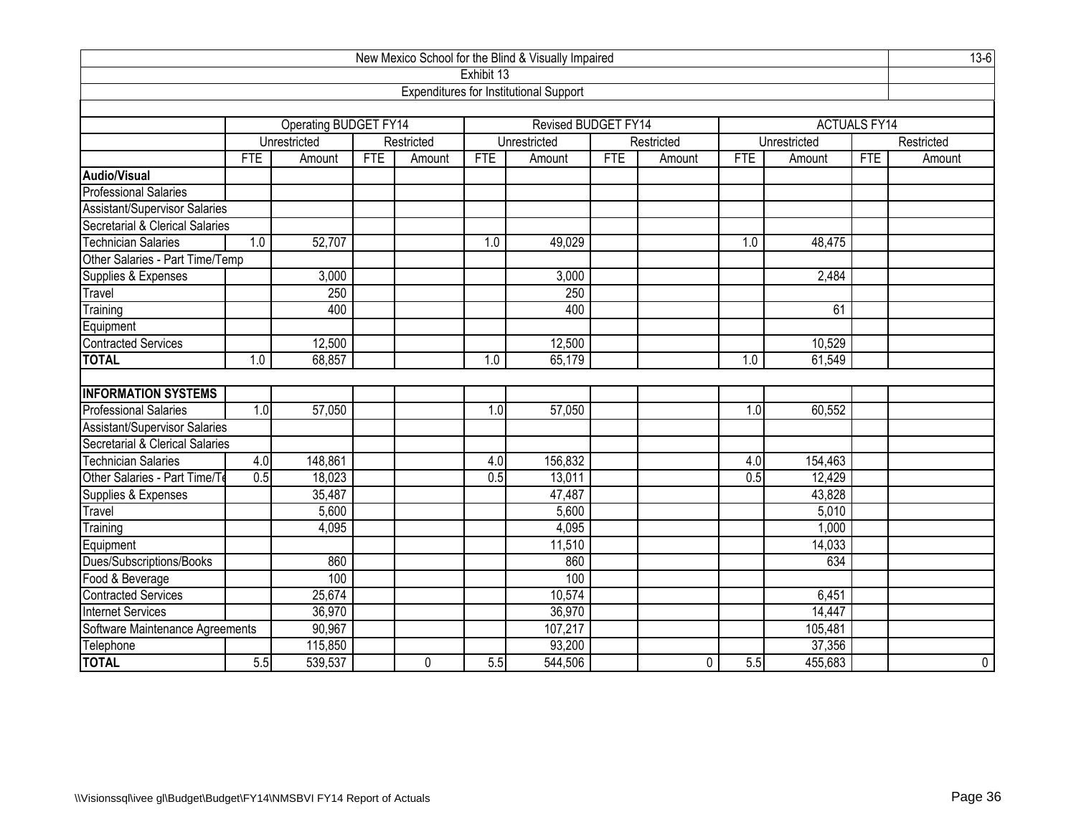| New Mexico School for the Blind & Visually Impaired |            |                              |            |            |            |                                               |            |              |            |              |                     |             |
|-----------------------------------------------------|------------|------------------------------|------------|------------|------------|-----------------------------------------------|------------|--------------|------------|--------------|---------------------|-------------|
|                                                     |            |                              |            |            | Exhibit 13 |                                               |            |              |            |              |                     |             |
|                                                     |            |                              |            |            |            | <b>Expenditures for Institutional Support</b> |            |              |            |              |                     |             |
|                                                     |            |                              |            |            |            |                                               |            |              |            |              |                     |             |
|                                                     |            | <b>Operating BUDGET FY14</b> |            |            |            | <b>Revised BUDGET FY14</b>                    |            |              |            |              | <b>ACTUALS FY14</b> |             |
|                                                     |            | Unrestricted                 |            | Restricted |            | Unrestricted                                  |            | Restricted   |            | Unrestricted |                     | Restricted  |
|                                                     | <b>FTE</b> | Amount                       | <b>FTE</b> | Amount     | <b>FTE</b> | Amount                                        | <b>FTE</b> | Amount       | <b>FTE</b> | Amount       | <b>FTE</b>          | Amount      |
| <b>Audio/Visual</b>                                 |            |                              |            |            |            |                                               |            |              |            |              |                     |             |
| <b>Professional Salaries</b>                        |            |                              |            |            |            |                                               |            |              |            |              |                     |             |
| <b>Assistant/Supervisor Salaries</b>                |            |                              |            |            |            |                                               |            |              |            |              |                     |             |
| Secretarial & Clerical Salaries                     |            |                              |            |            |            |                                               |            |              |            |              |                     |             |
| <b>Technician Salaries</b>                          | 1.0        | 52,707                       |            |            | 1.0        | 49,029                                        |            |              | 1.0        | 48,475       |                     |             |
| Other Salaries - Part Time/Temp                     |            |                              |            |            |            |                                               |            |              |            |              |                     |             |
| Supplies & Expenses<br>3,000<br>3,000<br>2,484      |            |                              |            |            |            |                                               |            |              |            |              |                     |             |
| Travel                                              |            | 250                          |            |            |            | 250                                           |            |              |            |              |                     |             |
| Training                                            |            | 400                          |            |            |            | 400                                           |            |              |            | 61           |                     |             |
| Equipment                                           |            |                              |            |            |            |                                               |            |              |            |              |                     |             |
| <b>Contracted Services</b>                          |            | 12,500                       |            |            |            | 12,500                                        |            |              |            | 10,529       |                     |             |
| <b>TOTAL</b>                                        | 1.0        | 68,857                       |            |            | 1.0        | 65,179                                        |            |              | 1.0        | 61,549       |                     |             |
|                                                     |            |                              |            |            |            |                                               |            |              |            |              |                     |             |
| <b>INFORMATION SYSTEMS</b>                          |            |                              |            |            |            |                                               |            |              |            |              |                     |             |
| <b>Professional Salaries</b>                        | 1.0        | 57,050                       |            |            | 1.0        | 57,050                                        |            |              | 1.0        | 60,552       |                     |             |
| <b>Assistant/Supervisor Salaries</b>                |            |                              |            |            |            |                                               |            |              |            |              |                     |             |
| Secretarial & Clerical Salaries                     |            |                              |            |            |            |                                               |            |              |            |              |                     |             |
| <b>Technician Salaries</b>                          | 4.0        | 148,861                      |            |            | 4.0        | 156,832                                       |            |              | 4.0        | 154,463      |                     |             |
| Other Salaries - Part Time/To                       | 0.5        | 18,023                       |            |            | 0.5        | 13,011                                        |            |              | 0.5        | 12,429       |                     |             |
| Supplies & Expenses                                 |            | 35,487                       |            |            |            | 47,487                                        |            |              |            | 43,828       |                     |             |
| Travel                                              |            | 5,600                        |            |            |            | 5,600                                         |            |              |            | 5,010        |                     |             |
| Training                                            |            | 4,095                        |            |            |            | 4,095                                         |            |              |            | 1,000        |                     |             |
| Equipment                                           |            |                              |            |            |            | 11,510                                        |            |              |            | 14,033       |                     |             |
| Dues/Subscriptions/Books                            |            | 860                          |            |            |            | 860                                           |            |              |            | 634          |                     |             |
| Food & Beverage                                     |            | 100                          |            |            |            | 100                                           |            |              |            |              |                     |             |
| <b>Contracted Services</b>                          |            | 25,674                       |            |            |            | 10,574                                        |            |              |            | 6,451        |                     |             |
| <b>Internet Services</b>                            |            | 36,970                       |            |            |            | 36,970                                        |            |              |            | 14,447       |                     |             |
| Software Maintenance Agreements                     |            | 90,967                       |            |            |            | 107,217                                       |            |              |            | 105,481      |                     |             |
| Telephone                                           |            | 115,850                      |            |            |            | 93,200                                        |            |              |            | 37,356       |                     |             |
| <b>TOTAL</b>                                        | 5.5        | 539,537                      |            | 0          | 5.5        | 544,506                                       |            | $\mathbf{0}$ | 5.5        | 455,683      |                     | $\mathbf 0$ |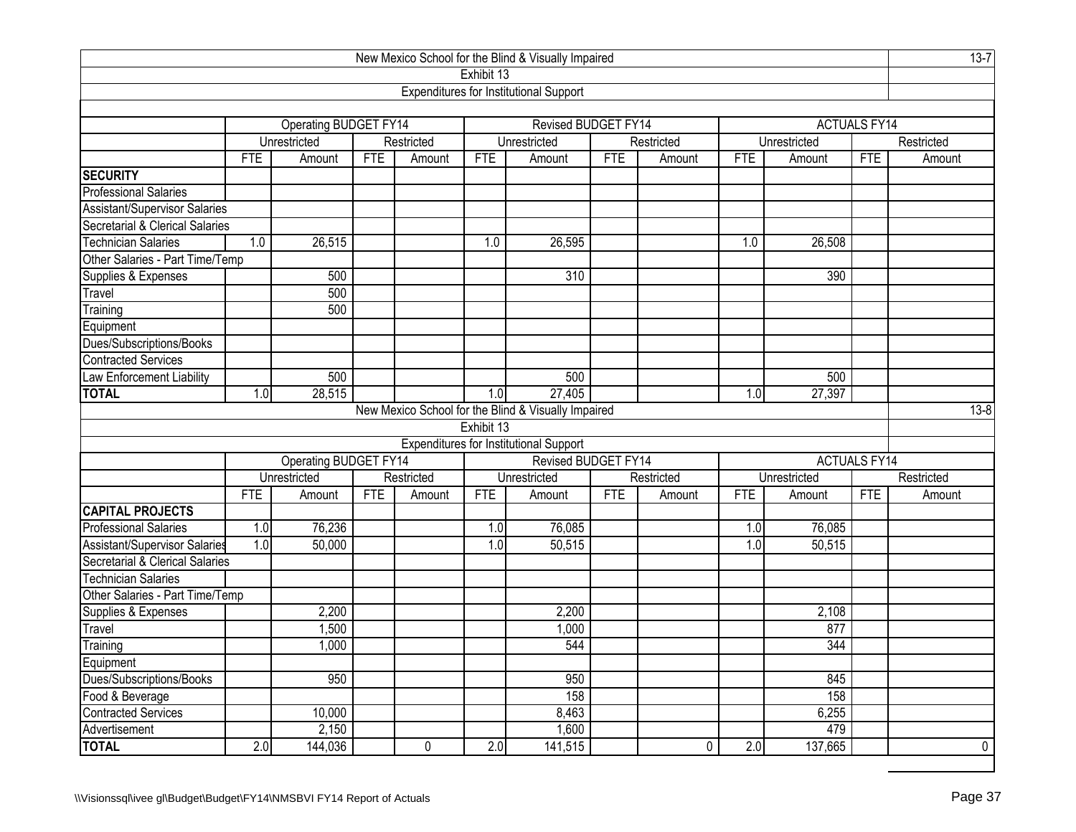| New Mexico School for the Blind & Visually Impaired<br>Exhibit 13 |                   |                       |            |            |            |                                                     |            |            |            |              |                     |            |  |
|-------------------------------------------------------------------|-------------------|-----------------------|------------|------------|------------|-----------------------------------------------------|------------|------------|------------|--------------|---------------------|------------|--|
|                                                                   |                   |                       |            |            |            |                                                     |            |            |            |              |                     |            |  |
|                                                                   |                   |                       |            |            |            | <b>Expenditures for Institutional Support</b>       |            |            |            |              |                     |            |  |
|                                                                   |                   |                       |            |            |            |                                                     |            |            |            |              |                     |            |  |
|                                                                   |                   | Operating BUDGET FY14 |            |            |            | Revised BUDGET FY14                                 |            |            |            |              | <b>ACTUALS FY14</b> |            |  |
|                                                                   |                   | Unrestricted          |            | Restricted |            | Unrestricted                                        |            | Restricted |            | Unrestricted |                     | Restricted |  |
|                                                                   | <b>FTE</b>        | Amount                | <b>FTE</b> | Amount     | <b>FTE</b> | Amount                                              | <b>FTE</b> | Amount     | <b>FTE</b> | Amount       | <b>FTE</b>          | Amount     |  |
| <b>SECURITY</b>                                                   |                   |                       |            |            |            |                                                     |            |            |            |              |                     |            |  |
| <b>Professional Salaries</b>                                      |                   |                       |            |            |            |                                                     |            |            |            |              |                     |            |  |
| Assistant/Supervisor Salaries                                     |                   |                       |            |            |            |                                                     |            |            |            |              |                     |            |  |
| Secretarial & Clerical Salaries                                   |                   |                       |            |            |            |                                                     |            |            |            |              |                     |            |  |
| <b>Technician Salaries</b>                                        | 1.0               | 26,515                |            |            | 1.0        | 26,595                                              |            |            | 1.0        | 26,508       |                     |            |  |
| Other Salaries - Part Time/Temp                                   |                   |                       |            |            |            |                                                     |            |            |            |              |                     |            |  |
| Supplies & Expenses                                               |                   | 500                   |            |            |            | 310                                                 |            |            |            | 390          |                     |            |  |
| Travel                                                            |                   | 500                   |            |            |            |                                                     |            |            |            |              |                     |            |  |
| Training                                                          |                   | 500                   |            |            |            |                                                     |            |            |            |              |                     |            |  |
| Equipment                                                         |                   |                       |            |            |            |                                                     |            |            |            |              |                     |            |  |
| Dues/Subscriptions/Books                                          |                   |                       |            |            |            |                                                     |            |            |            |              |                     |            |  |
| <b>Contracted Services</b>                                        |                   |                       |            |            |            |                                                     |            |            |            |              |                     |            |  |
| Law Enforcement Liability                                         | 500<br>500<br>500 |                       |            |            |            |                                                     |            |            |            |              |                     |            |  |
| <b>TOTAL</b>                                                      | 1.0               | 28,515                |            |            | 1.0        | 27,405                                              |            |            | 1.0        | 27,397       |                     |            |  |
|                                                                   |                   |                       |            |            |            | New Mexico School for the Blind & Visually Impaired |            |            |            |              |                     | $13 - 8$   |  |
|                                                                   |                   |                       |            |            | Exhibit 13 |                                                     |            |            |            |              |                     |            |  |
|                                                                   |                   |                       |            |            |            | Expenditures for Institutional Support              |            |            |            |              |                     |            |  |
|                                                                   |                   | Operating BUDGET FY14 |            |            |            | Revised BUDGET FY14                                 |            |            |            |              | <b>ACTUALS FY14</b> |            |  |
|                                                                   |                   | Unrestricted          |            | Restricted |            | Unrestricted                                        |            | Restricted |            | Unrestricted | Restricted          |            |  |
|                                                                   | <b>FTE</b>        | Amount                | <b>FTE</b> | Amount     | <b>FTE</b> | Amount                                              | <b>FTE</b> | Amount     | <b>FTE</b> | Amount       | <b>FTE</b>          | Amount     |  |
| <b>CAPITAL PROJECTS</b>                                           |                   |                       |            |            |            |                                                     |            |            |            |              |                     |            |  |
| <b>Professional Salaries</b>                                      | 1.0               | 76,236                |            |            | 1.0        | 76,085                                              |            |            | 1.0        | 76,085       |                     |            |  |
| Assistant/Supervisor Salaries                                     | 1.0               | 50,000                |            |            | 1.0        | 50,515                                              |            |            | 1.0        | 50,515       |                     |            |  |
| Secretarial & Clerical Salaries                                   |                   |                       |            |            |            |                                                     |            |            |            |              |                     |            |  |
| <b>Technician Salaries</b>                                        |                   |                       |            |            |            |                                                     |            |            |            |              |                     |            |  |
| Other Salaries - Part Time/Temp                                   |                   |                       |            |            |            |                                                     |            |            |            |              |                     |            |  |
| Supplies & Expenses                                               |                   | 2,200                 |            |            |            | 2,200                                               |            |            |            | 2,108        |                     |            |  |
| Travel                                                            |                   | 1,500                 |            |            |            | 1,000                                               |            |            |            | 877          |                     |            |  |
| Training                                                          |                   | 1,000                 |            |            |            | 544                                                 |            |            |            | 344          |                     |            |  |
| Equipment                                                         |                   |                       |            |            |            |                                                     |            |            |            |              |                     |            |  |
| Dues/Subscriptions/Books                                          |                   | 950                   |            |            |            | 950                                                 |            |            |            | 845          |                     |            |  |
| Food & Beverage                                                   |                   |                       |            |            |            | 158                                                 |            |            |            | 158          |                     |            |  |
| Contracted Services                                               |                   | 10,000                |            |            |            | 8,463                                               |            |            |            | 6,255        |                     |            |  |
| Advertisement                                                     |                   | 2,150                 |            |            |            | 1,600                                               |            |            |            | 479          |                     |            |  |
| <b>TOTAL</b>                                                      | 2.0               | 144,036               |            | 0          | 2.0        | 141,515                                             |            | 0          | 2.0        | 137,665      |                     | 0          |  |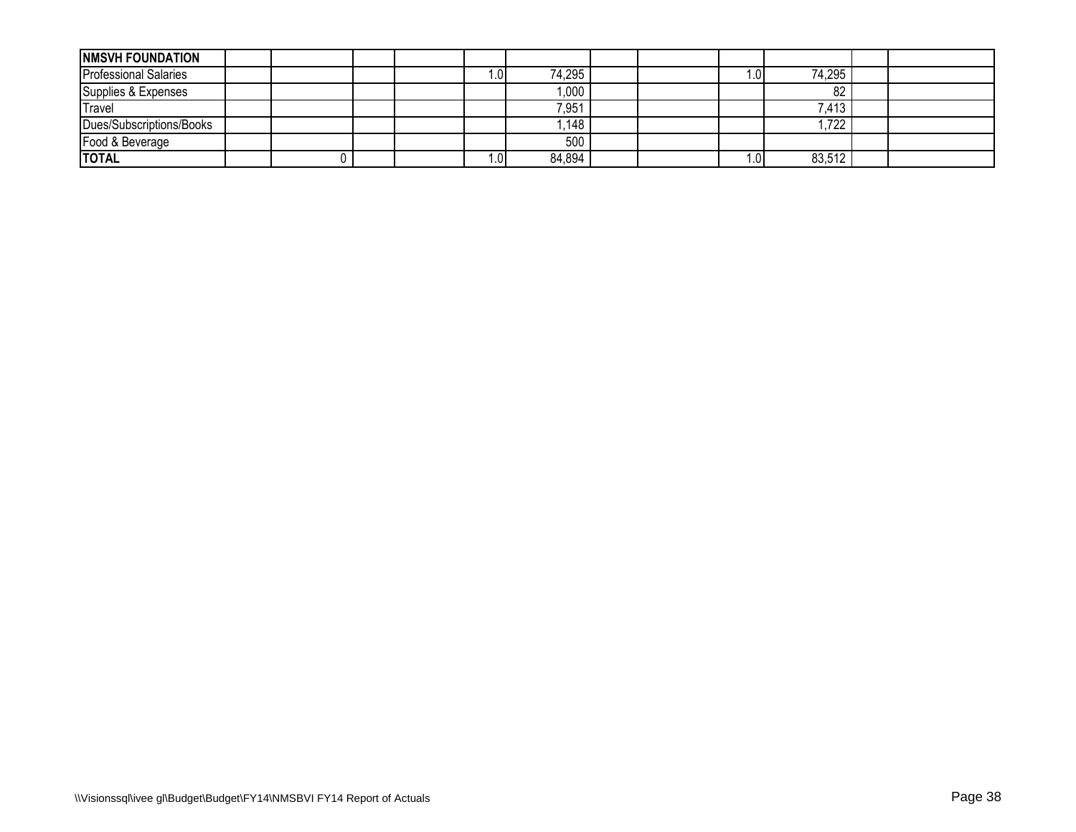| <b>INMSVH FOUNDATION</b>     |  |  |       |        |  |     |        |  |
|------------------------------|--|--|-------|--------|--|-----|--------|--|
| <b>Professional Salaries</b> |  |  | 0.1   | 74,295 |  | .01 | 74,295 |  |
| Supplies & Expenses          |  |  |       | 1,000  |  |     | 82     |  |
| Travel                       |  |  |       | 7,951  |  |     | 7,413  |  |
| Dues/Subscriptions/Books     |  |  |       | ,148   |  |     | .722   |  |
| Food & Beverage              |  |  |       | 500    |  |     |        |  |
| <b>ITOTAL</b>                |  |  | ∎0. ، | 84,894 |  | .01 | 83,512 |  |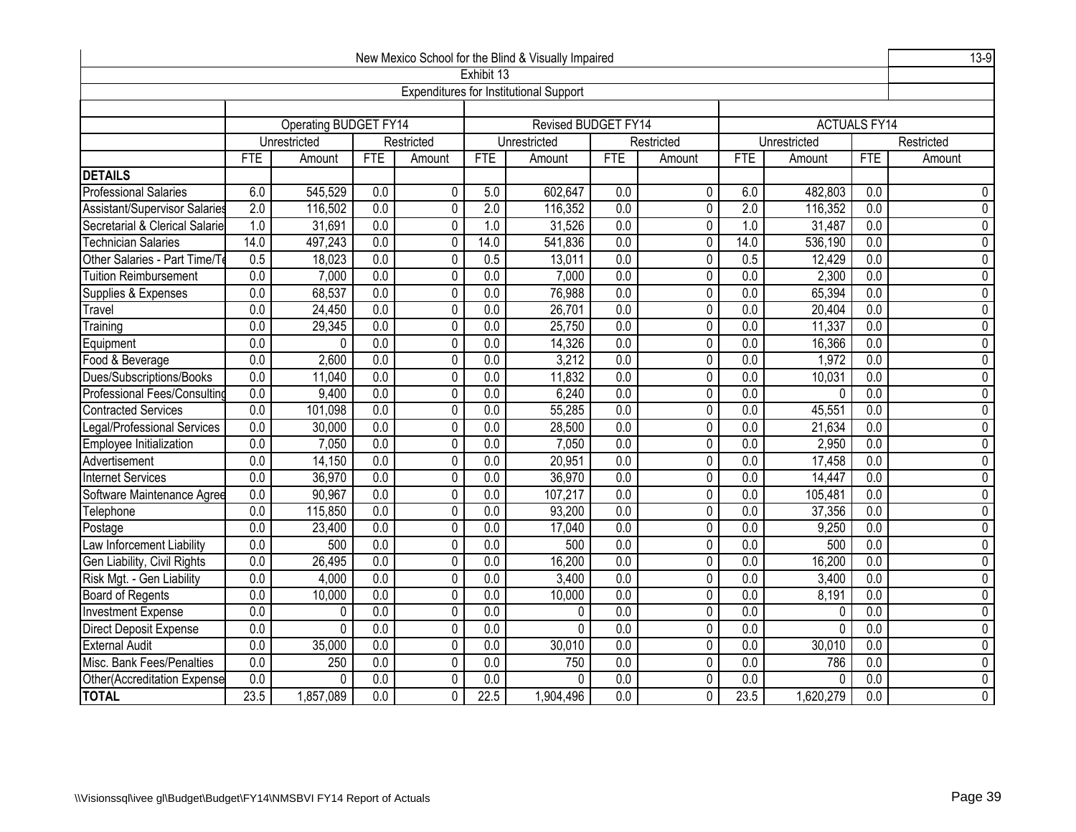| New Mexico School for the Blind & Visually Impaired<br>Exhibit 13 |                  |                                         |                  |                |                  |                                               |                  |                |                  |              |                     |                |  |
|-------------------------------------------------------------------|------------------|-----------------------------------------|------------------|----------------|------------------|-----------------------------------------------|------------------|----------------|------------------|--------------|---------------------|----------------|--|
|                                                                   |                  |                                         |                  |                |                  |                                               |                  |                |                  |              |                     |                |  |
|                                                                   |                  |                                         |                  |                |                  | <b>Expenditures for Institutional Support</b> |                  |                |                  |              |                     |                |  |
|                                                                   |                  |                                         |                  |                |                  |                                               |                  |                |                  |              |                     |                |  |
|                                                                   |                  | <b>Operating BUDGET FY14</b>            |                  |                |                  | Revised BUDGET FY14                           |                  |                |                  |              | <b>ACTUALS FY14</b> |                |  |
|                                                                   |                  | Unrestricted                            |                  | Restricted     |                  | Unrestricted                                  |                  | Restricted     |                  | Unrestricted |                     | Restricted     |  |
|                                                                   | <b>FTE</b>       | Amount                                  | <b>FTE</b>       | Amount         | <b>FTE</b>       | Amount                                        | <b>FTE</b>       | Amount         | <b>FTE</b>       | Amount       | <b>FTE</b>          | Amount         |  |
| <b>DETAILS</b>                                                    |                  |                                         |                  |                |                  |                                               |                  |                |                  |              |                     |                |  |
| <b>Professional Salaries</b>                                      | 6.0              | 545,529                                 | $\overline{0.0}$ | 0              | 5.0              | 602,647                                       | 0.0              | 0              | 6.0              | 482,803      | $\overline{0.0}$    | 0              |  |
| Assistant/Supervisor Salaries                                     | 2.0              | 116,502                                 | $\overline{0.0}$ | $\pmb{0}$      | 2.0              | 116,352                                       | $\overline{0.0}$ | 0              | 2.0              | 116,352      | $\overline{0.0}$    | $\mathbf 0$    |  |
| Secretarial & Clerical Salarie                                    | $\overline{1.0}$ | 31,691                                  | 0.0              | $\overline{0}$ | 1.0              | 31,526                                        | $\overline{0.0}$ | $\overline{0}$ | 1.0              | 31,487       | 0.0                 | $\overline{0}$ |  |
| <b>Technician Salaries</b>                                        | 14.0             | 497,243                                 | $\overline{0.0}$ | 0              | 14.0             | 541,836                                       | 0.0              | 0              | 14.0             | 536,190      | $\overline{0.0}$    | $\pmb{0}$      |  |
| Other Salaries - Part Time/T                                      | 0.5              | 18,023                                  | $\overline{0.0}$ | $\pmb{0}$      | 0.5              | 13,011                                        | $\overline{0.0}$ | $\pmb{0}$      | 0.5              | 12,429       | $\overline{0.0}$    | $\pmb{0}$      |  |
| <b>Tuition Reimbursement</b>                                      | 0.0              | 7,000                                   | $\overline{0.0}$ | $\overline{0}$ | 0.0              | 7,000                                         | 0.0              | $\overline{0}$ | 0.0              | 2,300        | 0.0                 | $\overline{0}$ |  |
| Supplies & Expenses                                               | 0.0              | 68,537                                  | 0.0              | $\overline{0}$ | 0.0              | 76,988                                        | 0.0              | $\mathbf{0}$   | 0.0              | 65,394       | 0.0                 | $\overline{0}$ |  |
| Travel                                                            | 0.0              | 24,450                                  | 0.0              | $\overline{0}$ | 0.0              | 26,701                                        | 0.0              | $\overline{0}$ | 0.0              | 20,404       | 0.0                 | $\overline{0}$ |  |
| Training                                                          | 0.0              | 29,345                                  | 0.0              | $\overline{0}$ | 0.0              | 25,750                                        | 0.0              | $\overline{0}$ | 0.0              | 11,337       | 0.0                 | $\overline{0}$ |  |
| Equipment                                                         | 0.0              | 0                                       | 0.0              | $\overline{0}$ | 0.0              | 14,326                                        | 0.0              | $\overline{0}$ | 0.0              | 16,366       | 0.0                 | $\overline{0}$ |  |
| Food & Beverage                                                   | 0.0              | 2,600                                   | 0.0              | $\pmb{0}$      | 0.0              | 3,212                                         | 0.0              | 0              | $\overline{0.0}$ | 1,972        | $\overline{0.0}$    | $\mathbf 0$    |  |
| Dues/Subscriptions/Books                                          | $\overline{0.0}$ | $\overline{0.0}$<br>$\pmb{0}$<br>11,040 |                  |                | $\overline{0.0}$ | 11,832                                        | $\overline{0.0}$ | $\pmb{0}$      | 0.0              | 10,031       | $\overline{0.0}$    | $\mathbf 0$    |  |
| Professional Fees/Consultind                                      | 0.0              | 9,400                                   | 0.0              | $\overline{0}$ | 0.0              | 6,240                                         | $\overline{0.0}$ | $\overline{0}$ | 0.0              | $\Omega$     | 0.0                 | $\overline{0}$ |  |
| <b>Contracted Services</b>                                        | $\overline{0.0}$ | 101,098                                 | 0.0              | $\pmb{0}$      | $\overline{0.0}$ | 55,285                                        | $\overline{0.0}$ | 0              | 0.0              | 45,551       | 0.0                 | $\overline{0}$ |  |
| Legal/Professional Services                                       | $\overline{0.0}$ | 30,000                                  | 0.0              | $\overline{0}$ | $\overline{0.0}$ | 28,500                                        | $\overline{0.0}$ | $\overline{0}$ | $\overline{0.0}$ | 21,634       | 0.0                 | $\overline{0}$ |  |
| Employee Initialization                                           | $\overline{0.0}$ | 7,050                                   | $\overline{0.0}$ | 0              | $\overline{0.0}$ | 7,050                                         | $\overline{0.0}$ | 0              | $\overline{0.0}$ | 2,950        | $\overline{0.0}$    | $\mathbf 0$    |  |
| Advertisement                                                     | 0.0              | 14,150                                  | 0.0              | $\overline{0}$ | 0.0              | 20,951                                        | $\overline{0.0}$ | $\mathbf 0$    | 0.0              | 17,458       | 0.0                 | $\overline{0}$ |  |
| Internet Services                                                 | 0.0              | 36,970                                  | 0.0              | $\pmb{0}$      | 0.0              | 36,970                                        | 0.0              | $\mathbf 0$    | 0.0              | 14,447       | 0.0                 | $\mathbf 0$    |  |
| Software Maintenance Agree                                        | $\overline{0.0}$ | 90,967                                  | $\overline{0.0}$ | $\pmb{0}$      | $\overline{0.0}$ | 107,217                                       | $\overline{0.0}$ | $\mathbf{0}$   | $\overline{0.0}$ | 105,481      | $\overline{0.0}$    | $\pmb{0}$      |  |
| Telephone                                                         | $\overline{0.0}$ | 115,850                                 | 0.0              | $\overline{0}$ | 0.0              | 93,200                                        | 0.0              | $\pmb{0}$      | 0.0              | 37,356       | 0.0                 | $\overline{0}$ |  |
| Postage                                                           | $\overline{0.0}$ | 23,400                                  | $\overline{0.0}$ | 0              | $\overline{0.0}$ | 17,040                                        | $\overline{0.0}$ | $\mathbf 0$    | $\overline{0.0}$ | 9,250        | $\overline{0.0}$    | $\pmb{0}$      |  |
| Law Inforcement Liability                                         | $\overline{0.0}$ | 500                                     | $\overline{0.0}$ | $\pmb{0}$      | $\overline{0.0}$ | 500                                           | $\overline{0.0}$ | $\pmb{0}$      | $\overline{0.0}$ | 500          | $\overline{0.0}$    | $\overline{0}$ |  |
| Gen Liability, Civil Rights                                       | 0.0              | 26,495                                  | $\overline{0.0}$ | $\mathbf 0$    | 0.0              | 16,200                                        | $\overline{0.0}$ | 0              | 0.0              | 16,200       | $\overline{0.0}$    | $\mathbf 0$    |  |
| Risk Mgt. - Gen Liability                                         | 0.0              | 4,000                                   | 0.0              | $\pmb{0}$      | $\overline{0.0}$ | 3,400                                         | $\overline{0.0}$ | 0              | 0.0              | 3,400        | $\overline{0.0}$    | $\overline{0}$ |  |
| <b>Board of Regents</b>                                           | 0.0              | 10,000                                  | 0.0              | $\overline{0}$ | 0.0              | 10,000                                        | 0.0              | $\overline{0}$ | 0.0              | 8,191        | 0.0                 | $\overline{0}$ |  |
| <b>Investment Expense</b>                                         | $\overline{0.0}$ | 0                                       | $\overline{0.0}$ | $\pmb{0}$      | $\overline{0.0}$ | 0                                             | 0.0              | 0              | $\overline{0.0}$ | 0            | $\overline{0.0}$    | $\pmb{0}$      |  |
| <b>Direct Deposit Expense</b>                                     | 0.0              | 0                                       | 0.0              | $\overline{0}$ | $\overline{0.0}$ | 0                                             | $\overline{0.0}$ | $\mathbf 0$    | $\overline{0.0}$ | $\mathbf{0}$ | $\overline{0.0}$    | $\overline{0}$ |  |
| <b>External Audit</b>                                             | 0.0              | 35,000                                  | $\overline{0.0}$ | $\overline{0}$ | $\overline{0.0}$ | 30,010                                        | $\overline{0.0}$ | $\mathbf 0$    | $\overline{0.0}$ | 30,010       | $\overline{0.0}$    | $\overline{0}$ |  |
| Misc. Bank Fees/Penalties                                         | $\overline{0.0}$ | 250                                     | $\overline{0.0}$ | $\mathbf 0$    | $\overline{0.0}$ | 750                                           | $\overline{0.0}$ | $\mathbf 0$    | $\overline{0.0}$ | 786          | $\overline{0.0}$    | $\mathbf 0$    |  |
| Other(Accreditation Expense                                       | $\overline{0.0}$ | 0                                       | $\overline{0.0}$ | $\mathbf 0$    | 0.0              | 0                                             | 0.0              | $\Omega$       | $\overline{0.0}$ | 0            | 0.0                 | $\pmb{0}$      |  |
| <b>TOTAL</b>                                                      | 23.5             | 1,857,089                               | $\overline{0.0}$ | 0              | 22.5             | 1,904,496                                     | $\overline{0.0}$ | $\pmb{0}$      | 23.5             | 1,620,279    | $\overline{0.0}$    | $\overline{0}$ |  |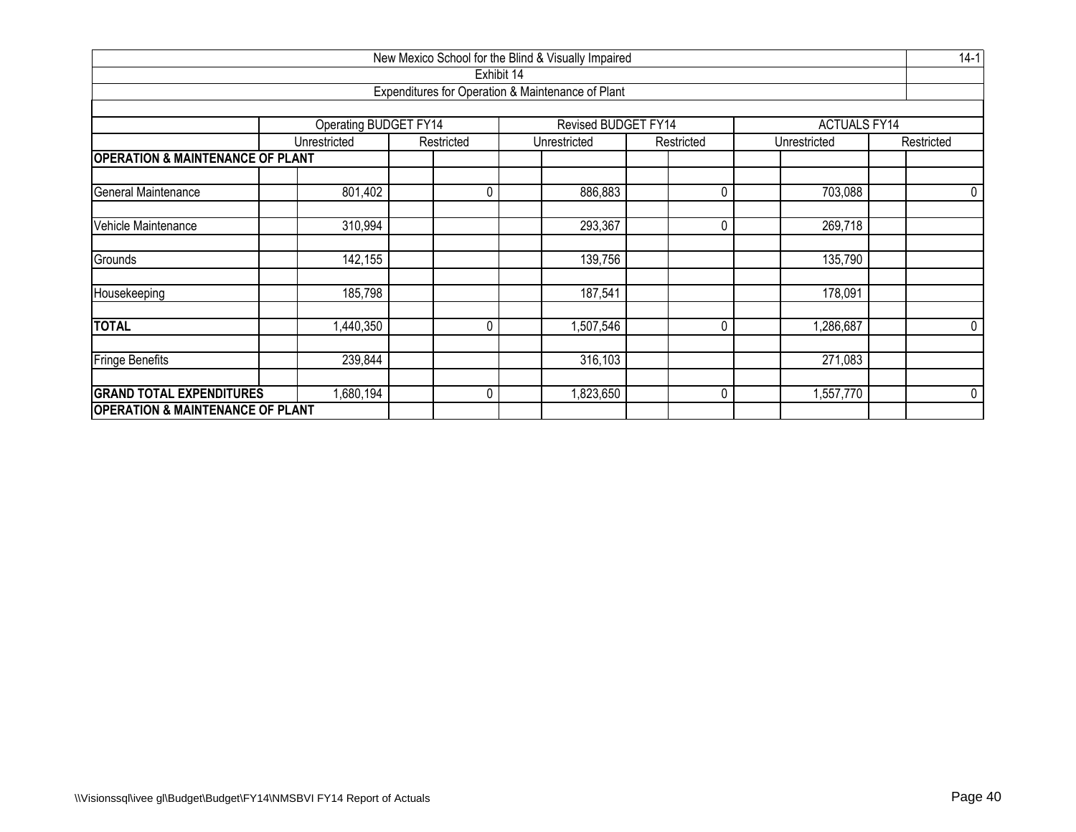| New Mexico School for the Blind & Visually Impaired            |                               |            |                                                   |            |                     |            |  |  |  |  |  |  |  |
|----------------------------------------------------------------|-------------------------------|------------|---------------------------------------------------|------------|---------------------|------------|--|--|--|--|--|--|--|
|                                                                |                               | Exhibit 14 |                                                   |            |                     |            |  |  |  |  |  |  |  |
|                                                                |                               |            | Expenditures for Operation & Maintenance of Plant |            |                     |            |  |  |  |  |  |  |  |
|                                                                |                               |            |                                                   |            |                     |            |  |  |  |  |  |  |  |
|                                                                | Operating BUDGET FY14         |            | Revised BUDGET FY14                               |            | <b>ACTUALS FY14</b> |            |  |  |  |  |  |  |  |
|                                                                | Unrestricted                  | Restricted | Unrestricted                                      | Restricted | Unrestricted        | Restricted |  |  |  |  |  |  |  |
| <b>OPERATION &amp; MAINTENANCE OF PLANT</b>                    |                               |            |                                                   |            |                     |            |  |  |  |  |  |  |  |
| General Maintenance<br>801,402<br>0<br>886,883<br>0<br>703,088 |                               |            |                                                   |            |                     |            |  |  |  |  |  |  |  |
| Vehicle Maintenance                                            | 310,994                       |            | 293,367                                           | 0          | 269,718             |            |  |  |  |  |  |  |  |
| Grounds                                                        | 142,155                       |            | 139,756                                           |            | 135,790             |            |  |  |  |  |  |  |  |
| Housekeeping                                                   | 185,798                       |            | 187,541                                           |            | 178,091             |            |  |  |  |  |  |  |  |
| <b>TOTAL</b>                                                   | ,440,350                      | 0          | 1,507,546                                         | 0          | 1,286,687           | 0          |  |  |  |  |  |  |  |
| <b>Fringe Benefits</b>                                         | 239,844<br>316,103<br>271,083 |            |                                                   |            |                     |            |  |  |  |  |  |  |  |
| <b>GRAND TOTAL EXPENDITURES</b>                                | ,680,194                      | 0          | 823,650                                           | 0          | 1,557,770           | 0          |  |  |  |  |  |  |  |
| <b>OPERATION &amp; MAINTENANCE OF PLANT</b>                    |                               |            |                                                   |            |                     |            |  |  |  |  |  |  |  |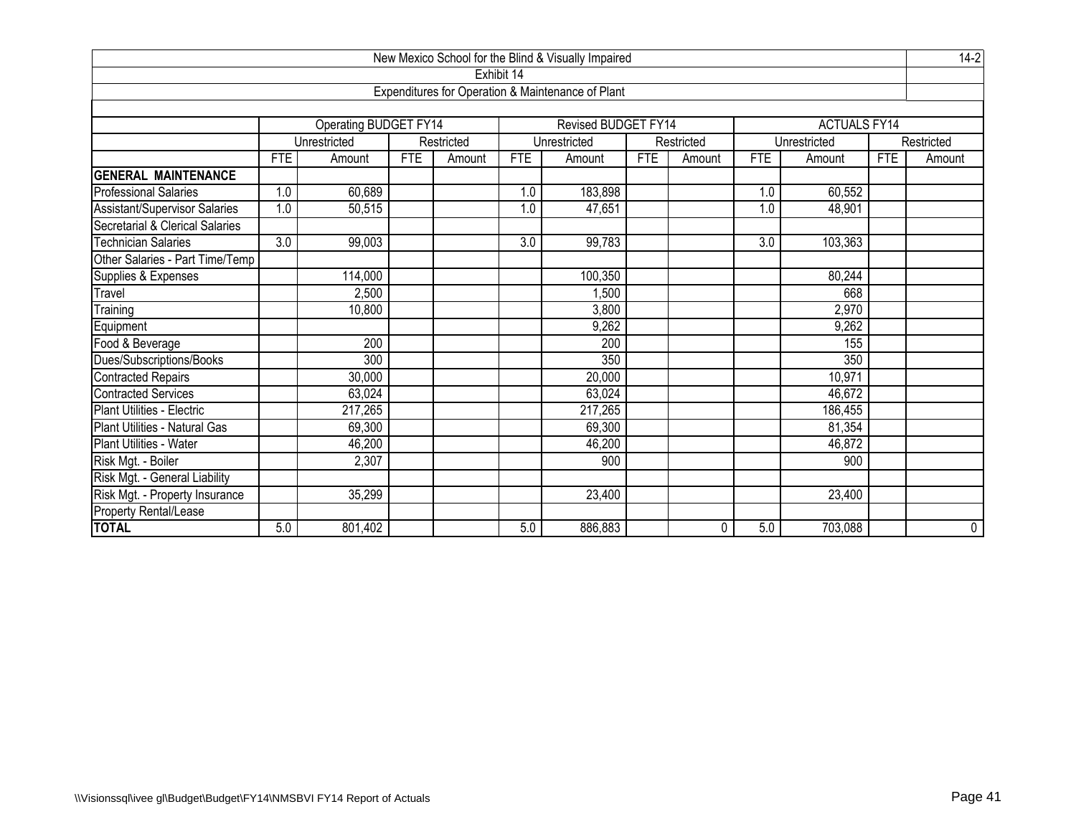|                                 |                              |                       |            |            |            | New Mexico School for the Blind & Visually Impaired |            |            |            |                     |            | $14-2$         |
|---------------------------------|------------------------------|-----------------------|------------|------------|------------|-----------------------------------------------------|------------|------------|------------|---------------------|------------|----------------|
|                                 |                              |                       |            |            | Exhibit 14 |                                                     |            |            |            |                     |            |                |
|                                 |                              |                       |            |            |            | Expenditures for Operation & Maintenance of Plant   |            |            |            |                     |            |                |
|                                 |                              |                       |            |            |            |                                                     |            |            |            |                     |            |                |
|                                 |                              | Operating BUDGET FY14 |            |            |            | Revised BUDGET FY14                                 |            |            |            | <b>ACTUALS FY14</b> |            |                |
|                                 |                              | Unrestricted          |            | Restricted |            | Unrestricted                                        |            | Restricted |            | Unrestricted        |            | Restricted     |
|                                 | <b>FTE</b>                   | Amount                | <b>FTE</b> | Amount     | <b>FTE</b> | Amount                                              | <b>FTE</b> | Amount     | <b>FTE</b> | Amount              | <b>FTE</b> | Amount         |
| <b>GENERAL MAINTENANCE</b>      |                              |                       |            |            |            |                                                     |            |            |            |                     |            |                |
| <b>Professional Salaries</b>    | 1.0                          | 60,689                |            |            | 1.0        | 183,898                                             |            |            | 1.0        | 60,552              |            |                |
| Assistant/Supervisor Salaries   | 1.0                          | 50,515                |            |            | 1.0        | 47,651                                              |            |            | 1.0        | 48,901              |            |                |
| Secretarial & Clerical Salaries |                              |                       |            |            |            |                                                     |            |            |            |                     |            |                |
| <b>Technician Salaries</b>      | 3.0                          | 99,003                |            |            | 3.0        | 99,783                                              |            |            | 3.0        | 103,363             |            |                |
| Other Salaries - Part Time/Temp |                              |                       |            |            |            |                                                     |            |            |            |                     |            |                |
| Supplies & Expenses             | 114,000<br>100,350<br>80,244 |                       |            |            |            |                                                     |            |            |            |                     |            |                |
| Travel                          |                              | 2,500                 |            |            |            | 1,500                                               |            |            |            | 668                 |            |                |
| Training                        |                              | 10,800                |            |            |            | 3,800                                               |            |            |            | 2,970               |            |                |
| Equipment                       |                              |                       |            |            |            | 9,262                                               |            |            |            | 9,262               |            |                |
| Food & Beverage                 |                              | 200                   |            |            |            | 200                                                 |            |            |            | 155                 |            |                |
| Dues/Subscriptions/Books        |                              | 300                   |            |            |            | 350                                                 |            |            |            | 350                 |            |                |
| <b>Contracted Repairs</b>       |                              | 30,000                |            |            |            | 20,000                                              |            |            |            | 10,971              |            |                |
| <b>Contracted Services</b>      |                              | 63,024                |            |            |            | 63,024                                              |            |            |            | 46,672              |            |                |
| Plant Utilities - Electric      |                              | 217,265               |            |            |            | 217,265                                             |            |            |            | 186,455             |            |                |
| Plant Utilities - Natural Gas   |                              | 69,300                |            |            |            | 69,300                                              |            |            |            | 81,354              |            |                |
| Plant Utilities - Water         |                              | 46,200                |            |            |            | 46,200                                              |            |            |            | 46,872              |            |                |
| Risk Mgt. - Boiler              |                              | 2,307                 |            |            |            | 900                                                 |            |            |            | 900                 |            |                |
| Risk Mgt. - General Liability   |                              |                       |            |            |            |                                                     |            |            |            |                     |            |                |
| Risk Mgt. - Property Insurance  |                              | 35,299                |            |            |            | 23,400                                              |            |            |            | 23,400              |            |                |
| Property Rental/Lease           |                              |                       |            |            |            |                                                     |            |            |            |                     |            |                |
| <b>TOTAL</b>                    | 5.0                          | 801,402               |            |            | 5.0        | 886,883                                             |            | 0          | 5.0        | 703,088             |            | $\overline{0}$ |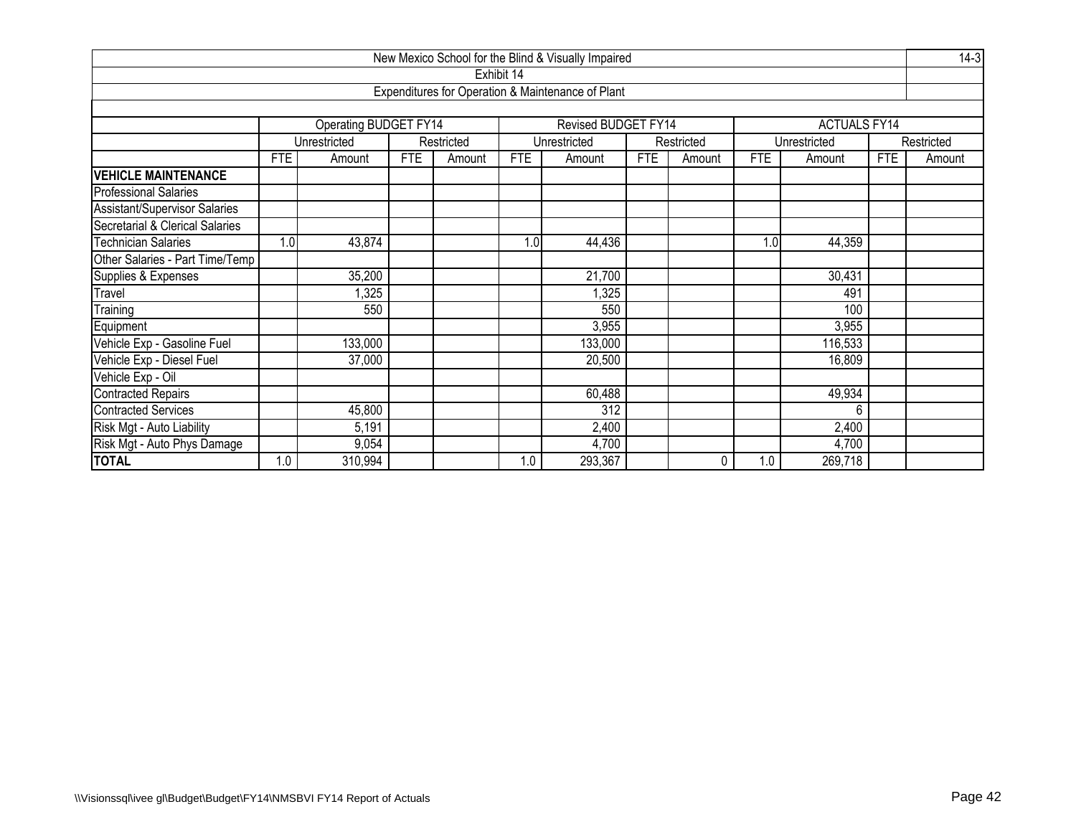|                                      |            |                       |            |            |            | New Mexico School for the Blind & Visually Impaired |            |            |            |                     |            | $14-3$     |
|--------------------------------------|------------|-----------------------|------------|------------|------------|-----------------------------------------------------|------------|------------|------------|---------------------|------------|------------|
|                                      |            |                       |            |            | Exhibit 14 |                                                     |            |            |            |                     |            |            |
|                                      |            |                       |            |            |            | Expenditures for Operation & Maintenance of Plant   |            |            |            |                     |            |            |
|                                      |            |                       |            |            |            |                                                     |            |            |            |                     |            |            |
|                                      |            | Operating BUDGET FY14 |            |            |            | Revised BUDGET FY14                                 |            |            |            | <b>ACTUALS FY14</b> |            |            |
|                                      |            | Unrestricted          |            | Restricted |            | Unrestricted                                        |            | Restricted |            | Unrestricted        |            | Restricted |
|                                      | <b>FTE</b> | Amount                | <b>FTE</b> | Amount     | <b>FTE</b> | Amount                                              | <b>FTE</b> | Amount     | <b>FTE</b> | Amount              | <b>FTE</b> | Amount     |
| <b>VEHICLE MAINTENANCE</b>           |            |                       |            |            |            |                                                     |            |            |            |                     |            |            |
| <b>Professional Salaries</b>         |            |                       |            |            |            |                                                     |            |            |            |                     |            |            |
| <b>Assistant/Supervisor Salaries</b> |            |                       |            |            |            |                                                     |            |            |            |                     |            |            |
| Secretarial & Clerical Salaries      |            |                       |            |            |            |                                                     |            |            |            |                     |            |            |
| <b>Technician Salaries</b>           | 1.0        | 43,874                |            |            | 1.0        | 44,436                                              |            |            | 1.0        | 44,359              |            |            |
| Other Salaries - Part Time/Temp      |            |                       |            |            |            |                                                     |            |            |            |                     |            |            |
| Supplies & Expenses                  |            | 35,200                |            |            |            | 21,700                                              |            |            |            | 30,431              |            |            |
| Travel                               |            | 1,325                 |            |            |            | 1,325                                               |            |            |            | 491                 |            |            |
| Training                             |            | 550                   |            |            |            | 550                                                 |            |            |            | 100                 |            |            |
| Equipment                            |            |                       |            |            |            | 3,955                                               |            |            |            | 3,955               |            |            |
| Vehicle Exp - Gasoline Fuel          |            | 133,000               |            |            |            | 133,000                                             |            |            |            | 116,533             |            |            |
| Vehicle Exp - Diesel Fuel            |            | 37,000                |            |            |            | 20,500                                              |            |            |            | 16,809              |            |            |
| Vehicle Exp - Oil                    |            |                       |            |            |            |                                                     |            |            |            |                     |            |            |
| <b>Contracted Repairs</b>            |            |                       |            |            |            | 60,488                                              |            |            |            | 49,934              |            |            |
| <b>Contracted Services</b>           |            | 45,800                |            |            |            | $\overline{312}$                                    |            |            |            | 6                   |            |            |
| Risk Mgt - Auto Liability            |            | 5,191                 |            |            |            | 2,400                                               |            |            |            | 2,400               |            |            |
| Risk Mgt - Auto Phys Damage          |            | 9,054                 |            |            |            | 4,700                                               |            |            |            | 4,700               |            |            |
| <b>TOTAL</b>                         | 1.0        | 310,994               |            |            | 1.0        | 293,367                                             |            | 0          | 1.0        | 269,718             |            |            |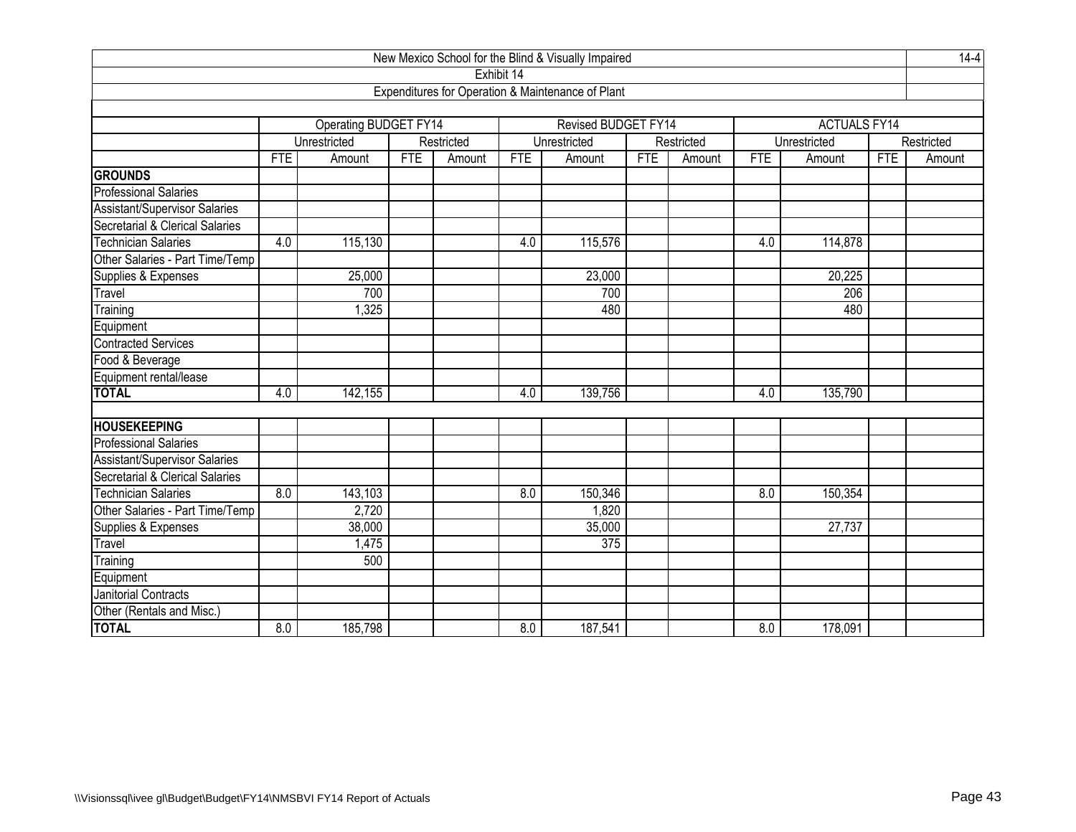|                                      |            |                       |            |            |            | New Mexico School for the Blind & Visually Impaired |            |            |            |                     |            | $14 - 4$   |
|--------------------------------------|------------|-----------------------|------------|------------|------------|-----------------------------------------------------|------------|------------|------------|---------------------|------------|------------|
|                                      |            |                       |            |            | Exhibit 14 |                                                     |            |            |            |                     |            |            |
|                                      |            |                       |            |            |            | Expenditures for Operation & Maintenance of Plant   |            |            |            |                     |            |            |
|                                      |            |                       |            |            |            |                                                     |            |            |            |                     |            |            |
|                                      |            | Operating BUDGET FY14 |            |            |            | Revised BUDGET FY14                                 |            |            |            | <b>ACTUALS FY14</b> |            |            |
|                                      |            | Unrestricted          |            | Restricted |            | Unrestricted                                        |            | Restricted |            | Unrestricted        |            | Restricted |
|                                      | <b>FTE</b> | Amount                | <b>FTE</b> | Amount     | <b>FTE</b> | Amount                                              | <b>FTE</b> | Amount     | <b>FTE</b> | Amount              | <b>FTE</b> | Amount     |
| <b>GROUNDS</b>                       |            |                       |            |            |            |                                                     |            |            |            |                     |            |            |
| <b>Professional Salaries</b>         |            |                       |            |            |            |                                                     |            |            |            |                     |            |            |
| <b>Assistant/Supervisor Salaries</b> |            |                       |            |            |            |                                                     |            |            |            |                     |            |            |
| Secretarial & Clerical Salaries      |            |                       |            |            |            |                                                     |            |            |            |                     |            |            |
| <b>Technician Salaries</b>           | 4.0        | 115,130               |            |            | 4.0        | 115,576                                             |            |            | 4.0        | 114,878             |            |            |
| Other Salaries - Part Time/Temp      |            |                       |            |            |            |                                                     |            |            |            |                     |            |            |
| Supplies & Expenses                  |            | 25,000                |            |            |            | 23,000                                              |            |            |            | 20,225              |            |            |
| Travel                               |            | 700                   |            |            |            | 700                                                 |            |            |            | 206                 |            |            |
| Training                             |            | 1,325                 |            |            |            | 480                                                 |            |            |            | 480                 |            |            |
| Equipment                            |            |                       |            |            |            |                                                     |            |            |            |                     |            |            |
| <b>Contracted Services</b>           |            |                       |            |            |            |                                                     |            |            |            |                     |            |            |
| Food & Beverage                      |            |                       |            |            |            |                                                     |            |            |            |                     |            |            |
| Equipment rental/lease               |            |                       |            |            |            |                                                     |            |            |            |                     |            |            |
| <b>TOTAL</b>                         | 4.0        | 142,155               |            |            | 4.0        | 139,756                                             |            |            | 4.0        | 135,790             |            |            |
|                                      |            |                       |            |            |            |                                                     |            |            |            |                     |            |            |
| <b>HOUSEKEEPING</b>                  |            |                       |            |            |            |                                                     |            |            |            |                     |            |            |
| <b>Professional Salaries</b>         |            |                       |            |            |            |                                                     |            |            |            |                     |            |            |
| Assistant/Supervisor Salaries        |            |                       |            |            |            |                                                     |            |            |            |                     |            |            |
| Secretarial & Clerical Salaries      |            |                       |            |            |            |                                                     |            |            |            |                     |            |            |
| Technician Salaries                  | 8.0        | 143,103               |            |            | 8.0        | 150,346                                             |            |            | 8.0        | 150,354             |            |            |
| Other Salaries - Part Time/Temp      |            | 2,720                 |            |            |            | 1,820                                               |            |            |            |                     |            |            |
| Supplies & Expenses                  |            | 38,000                |            |            |            | 35,000                                              |            |            |            | 27,737              |            |            |
| Travel                               |            | 1,475                 |            |            |            | $\overline{375}$                                    |            |            |            |                     |            |            |
| Training                             |            | 500                   |            |            |            |                                                     |            |            |            |                     |            |            |
| Equipment                            |            |                       |            |            |            |                                                     |            |            |            |                     |            |            |
| <b>Janitorial Contracts</b>          |            |                       |            |            |            |                                                     |            |            |            |                     |            |            |
| Other (Rentals and Misc.)            |            |                       |            |            |            |                                                     |            |            |            |                     |            |            |
| <b>TOTAL</b>                         | 8.0        | 185,798               |            |            | 8.0        | 187,541                                             |            |            | 8.0        | 178,091             |            |            |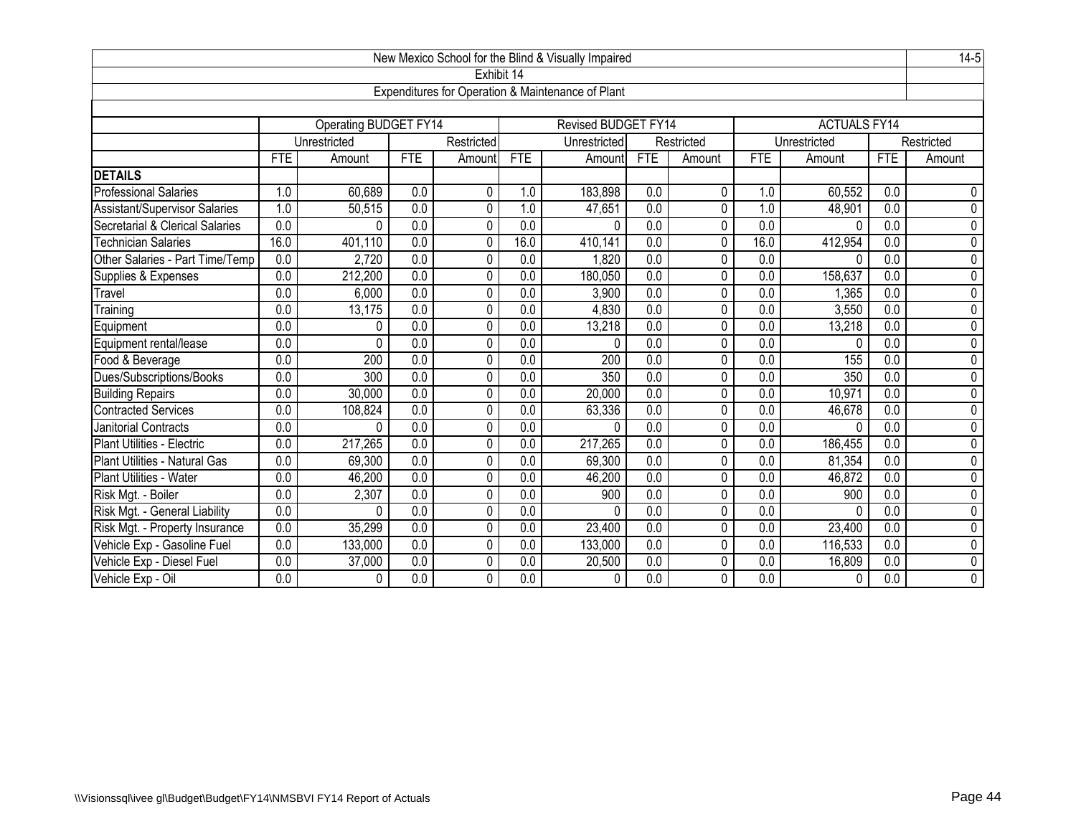|                                      |                  |                              |                  |                |                  | New Mexico School for the Blind & Visually Impaired |                  |                |                  |                     |                  | $14-5$         |
|--------------------------------------|------------------|------------------------------|------------------|----------------|------------------|-----------------------------------------------------|------------------|----------------|------------------|---------------------|------------------|----------------|
|                                      |                  |                              |                  |                | Exhibit 14       |                                                     |                  |                |                  |                     |                  |                |
|                                      |                  |                              |                  |                |                  | Expenditures for Operation & Maintenance of Plant   |                  |                |                  |                     |                  |                |
|                                      |                  |                              |                  |                |                  |                                                     |                  |                |                  |                     |                  |                |
|                                      |                  | <b>Operating BUDGET FY14</b> |                  |                |                  | <b>Revised BUDGET FY14</b>                          |                  |                |                  | <b>ACTUALS FY14</b> |                  |                |
|                                      |                  | Unrestricted                 |                  | Restricted     |                  | Unrestricted                                        |                  | Restricted     |                  | Unrestricted        |                  | Restricted     |
|                                      | <b>FTE</b>       | Amount                       | <b>FTE</b>       | Amount         | <b>FTE</b>       | Amount                                              | <b>FTE</b>       | Amount         | <b>FTE</b>       | Amount              | <b>FTE</b>       | Amount         |
| <b>DETAILS</b>                       |                  |                              |                  |                |                  |                                                     |                  |                |                  |                     |                  |                |
| <b>Professional Salaries</b>         | 1.0              | 60,689                       | 0.0              | 0              | 1.0              | 183,898                                             | 0.0              | 0              | 1.0              | 60,552              | 0.0              | $\mathbf 0$    |
| <b>Assistant/Supervisor Salaries</b> | 1.0              | 50,515                       | $\overline{0.0}$ | $\mathbf 0$    | 1.0              | 47,651                                              | $\overline{0.0}$ | 0              | 1.0              | 48,901              | $\overline{0.0}$ | $\overline{0}$ |
| Secretarial & Clerical Salaries      | $\overline{0.0}$ | 0                            | 0.0              | $\mathbf{0}$   | $\overline{0.0}$ | $\Omega$                                            | $\overline{0.0}$ | 0              | $\overline{0.0}$ | $\Omega$            | $\overline{0.0}$ | $\overline{0}$ |
| <b>Technician Salaries</b>           | 16.0             | 401,110                      | 0.0              | 0              | 16.0             | 410,141                                             | $\overline{0.0}$ | 0              | 16.0             | 412,954             | $\overline{0.0}$ | $\overline{0}$ |
| Other Salaries - Part Time/Temp      | 0.0              | 2,720                        | 0.0              | 0              | 0.0              | 1,820                                               | 0.0              | 0              | 0.0              | U                   | 0.0              | 0              |
| Supplies & Expenses                  | 0.0              | 212,200                      | 0.0              | $\Omega$       | 0.0              | 180,050                                             | $\overline{0.0}$ | 0              | 0.0              | 158,637             | 0.0              | $\overline{0}$ |
| Travel                               | 0.0              | 6,000                        | 0.0              | $\overline{0}$ | 0.0              | 3,900                                               | 0.0              | $\overline{0}$ | 0.0              | 1,365               | 0.0              | $\overline{0}$ |
| Training                             | 0.0              | 13,175                       | $\overline{0.0}$ | $\mathbf{0}$   | 0.0              | 4,830                                               | 0.0              | $\mathbf{0}$   | $\overline{0.0}$ | 3,550               | 0.0              | $\overline{0}$ |
| Equipment                            | $\overline{0.0}$ | $\Omega$                     | 0.0              | 0              | 0.0              | 13,218                                              | 0.0              | 0              | 0.0              | 13,218              | 0.0              | $\overline{0}$ |
| Equipment rental/lease               | 0.0              | 0                            | $\overline{0.0}$ | 0              | $\overline{0.0}$ | $\Omega$                                            | 0.0              | 0              | $\overline{0.0}$ | $\Omega$            | 0.0              | $\overline{0}$ |
| Food & Beverage                      | $\overline{0.0}$ | 200                          | $\overline{0.0}$ | 0              | 0.0              | 200                                                 | $\overline{0.0}$ | 0              | $\overline{0.0}$ | 155                 | 0.0              | $\overline{0}$ |
| Dues/Subscriptions/Books             | 0.0              | 300                          | 0.0              | 0              | 0.0              | 350                                                 | $\overline{0.0}$ | 0              | 0.0              | 350                 | 0.0              | 0              |
| <b>Building Repairs</b>              | $\overline{0.0}$ | 30,000                       | $\overline{0.0}$ | $\mathbf 0$    | $\overline{0.0}$ | 20,000                                              | 0.0              | $\mathbf 0$    | $\overline{0.0}$ | 10,971              | 0.0              | $\overline{0}$ |
| <b>Contracted Services</b>           | 0.0              | 108,824                      | 0.0              | 0              | 0.0              | 63,336                                              | 0.0              | 0              | 0.0              | 46,678              | 0.0              | 0              |
| Janitorial Contracts                 | 0.0              | 0                            | 0.0              | 0              | 0.0              | $\Omega$                                            | 0.0              | 0              | 0.0              | $\Omega$            | 0.0              | $\overline{0}$ |
| Plant Utilities - Electric           | $\overline{0.0}$ | 217,265                      | $\overline{0.0}$ | $\mathbf 0$    | $\overline{0.0}$ | 217,265                                             | $\overline{0.0}$ | 0              | $\overline{0.0}$ | 186,455             | $\overline{0.0}$ | $\overline{0}$ |
| Plant Utilities - Natural Gas        | 0.0              | 69,300                       | 0.0              | 0              | $\overline{0.0}$ | 69,300                                              | $\overline{0.0}$ | 0              | $\overline{0.0}$ | 81,354              | 0.0              | 0              |
| Plant Utilities - Water              | 0.0              | 46,200                       | 0.0              | 0              | 0.0              | 46,200                                              | 0.0              | 0              | 0.0              | 46,872              | 0.0              | $\overline{0}$ |
| Risk Mgt. - Boiler                   | 0.0              | 2,307                        | 0.0              | 0              | 0.0              | 900                                                 | $\overline{0.0}$ | 0              | 0.0              | 900                 | $\overline{0.0}$ | 0              |
| Risk Mgt. - General Liability        | 0.0              | $\Omega$                     | 0.0              | $\mathbf 0$    | 0.0              | $\Omega$                                            | 0.0              | 0              | 0.0              | $\Omega$            | 0.0              | $\overline{0}$ |
| Risk Mgt. - Property Insurance       | 0.0              | 35,299                       | 0.0              | 0              | $\overline{0.0}$ | 23,400                                              | $\overline{0.0}$ | 0              | $\overline{0.0}$ | 23,400              | $\overline{0.0}$ | $\overline{0}$ |
| Vehicle Exp - Gasoline Fuel          | 0.0              | 133,000                      | 0.0              | 0              | 0.0              | 133,000                                             | 0.0              | 0              | 0.0              | 116,533             | 0.0              | 0              |
| Vehicle Exp - Diesel Fuel            | 0.0              | 37,000                       | $\overline{0.0}$ | 0              | $\overline{0.0}$ | 20,500                                              | $\overline{0.0}$ | 0              | 0.0              | 16,809              | $\overline{0.0}$ | $\overline{0}$ |
| Vehicle Exp - Oil                    | 0.0              | 0                            | 0.0              | 0              | 0.0              | $\mathbf{0}$                                        | 0.0              | 0              | 0.0              | $\mathbf 0$         | 0.0              | $\overline{0}$ |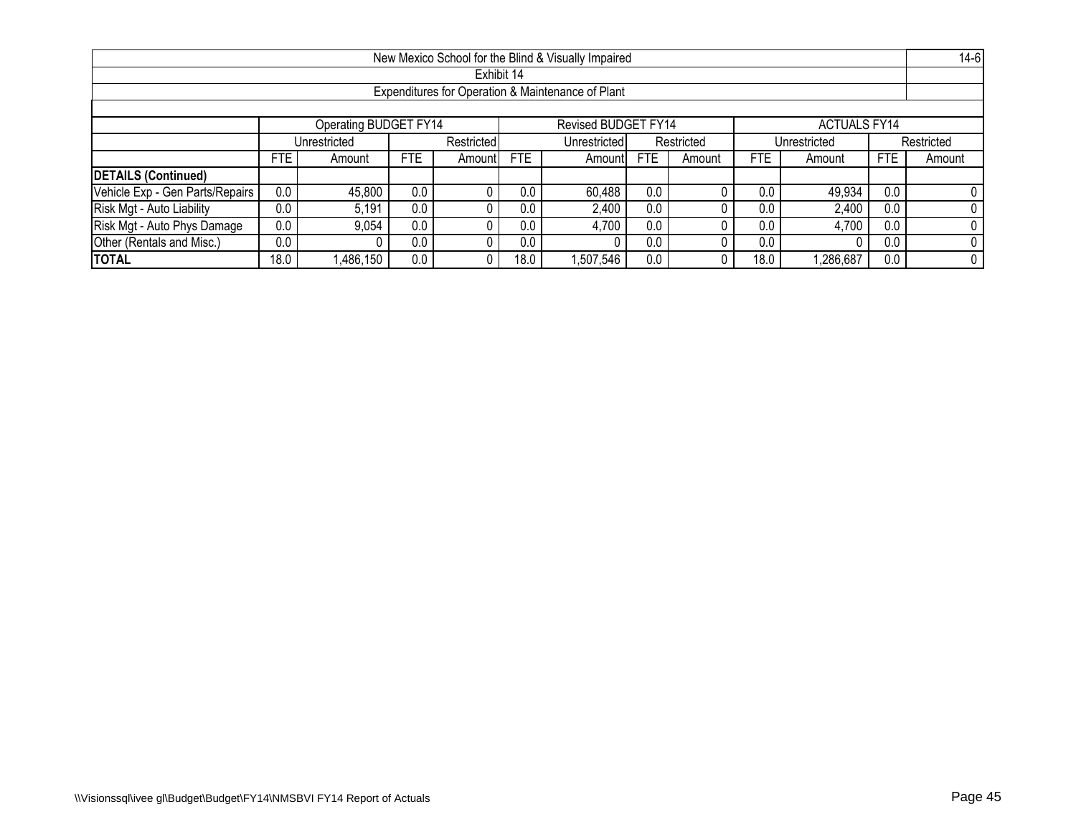|                                                                     |                                                                   |                                                                                                                        |     |            |      | New Mexico School for the Blind & Visually Impaired |     |  |      |           |     | $14-6$     |  |
|---------------------------------------------------------------------|-------------------------------------------------------------------|------------------------------------------------------------------------------------------------------------------------|-----|------------|------|-----------------------------------------------------|-----|--|------|-----------|-----|------------|--|
|                                                                     |                                                                   |                                                                                                                        |     | Exhibit 14 |      |                                                     |     |  |      |           |     |            |  |
|                                                                     |                                                                   |                                                                                                                        |     |            |      | Expenditures for Operation & Maintenance of Plant   |     |  |      |           |     |            |  |
|                                                                     |                                                                   |                                                                                                                        |     |            |      |                                                     |     |  |      |           |     |            |  |
| Operating BUDGET FY14<br>Revised BUDGET FY14<br><b>ACTUALS FY14</b> |                                                                   |                                                                                                                        |     |            |      |                                                     |     |  |      |           |     |            |  |
|                                                                     |                                                                   | Restricted<br>Restricted<br>Unrestricted<br>Unrestricted<br>Unrestricted                                               |     |            |      |                                                     |     |  |      |           |     | Restricted |  |
|                                                                     | <b>FTE</b>                                                        | <b>FTE</b><br><b>FTE</b><br><b>FTE</b><br><b>FTE</b><br><b>FTE</b><br>Amount<br>Amountl<br>Amount<br>Amount<br>Amountl |     |            |      |                                                     |     |  |      | Amount    |     |            |  |
| <b>DETAILS (Continued)</b>                                          |                                                                   |                                                                                                                        |     |            |      |                                                     |     |  |      |           |     |            |  |
| Vehicle Exp - Gen Parts/Repairs                                     | 0.0                                                               | 45,800                                                                                                                 | 0.0 |            | 0.0  | 60,488                                              | 0.0 |  | 0.0  | 49,934    | 0.0 |            |  |
| Risk Mgt - Auto Liability                                           | 0.0                                                               | 5,191                                                                                                                  | 0.0 |            | 0.0  | 2,400                                               | 0.0 |  | 0.0  | 2,400     | 0.0 |            |  |
| Risk Mgt - Auto Phys Damage                                         | 0.0<br>0.0<br>0.0<br>9,054<br>0.0<br>4,700<br>0.0<br>4,700<br>0.0 |                                                                                                                        |     |            |      |                                                     |     |  |      |           |     |            |  |
| Other (Rentals and Misc.)                                           | 0.0<br>0.0<br>0.0<br>0.0<br>0.0<br>0.0                            |                                                                                                                        |     |            |      |                                                     |     |  |      |           |     |            |  |
| <b>TOTAL</b>                                                        | 18.0                                                              | ,486,150                                                                                                               | 0.0 |            | 18.C | ,507,546                                            | 0.0 |  | 18.0 | 1,286,687 | 0.0 |            |  |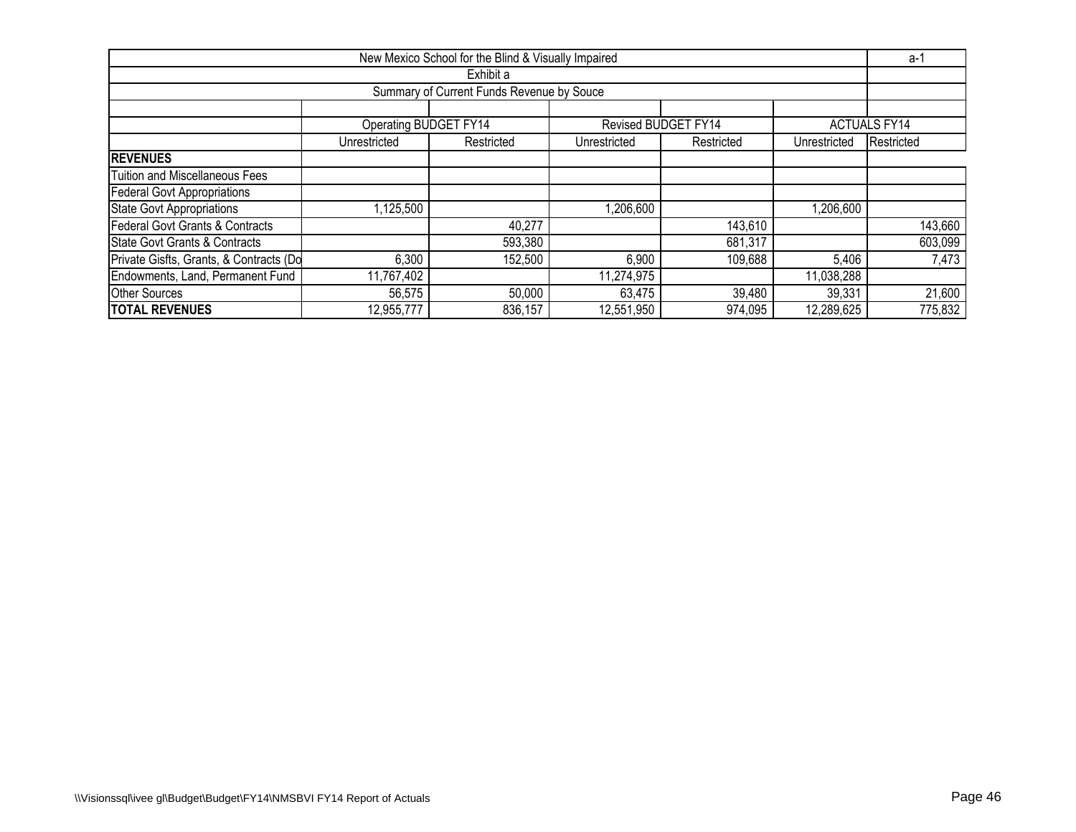|                                                                                          |                                                                                        | New Mexico School for the Blind & Visually Impaired |            |                      |            | a-1                 |  |  |  |  |  |  |  |
|------------------------------------------------------------------------------------------|----------------------------------------------------------------------------------------|-----------------------------------------------------|------------|----------------------|------------|---------------------|--|--|--|--|--|--|--|
|                                                                                          |                                                                                        | Exhibit a                                           |            |                      |            |                     |  |  |  |  |  |  |  |
|                                                                                          |                                                                                        | Summary of Current Funds Revenue by Souce           |            |                      |            |                     |  |  |  |  |  |  |  |
|                                                                                          |                                                                                        |                                                     |            |                      |            |                     |  |  |  |  |  |  |  |
|                                                                                          | <b>Operating BUDGET FY14</b>                                                           |                                                     |            | Revised BUDGET FY14  |            | <b>ACTUALS FY14</b> |  |  |  |  |  |  |  |
|                                                                                          | Restricted<br>Unrestricted<br>Restricted<br>Unrestricted<br>Restricted<br>Unrestricted |                                                     |            |                      |            |                     |  |  |  |  |  |  |  |
| <b>REVENUES</b>                                                                          |                                                                                        |                                                     |            |                      |            |                     |  |  |  |  |  |  |  |
| <b>Tuition and Miscellaneous Fees</b>                                                    |                                                                                        |                                                     |            |                      |            |                     |  |  |  |  |  |  |  |
| <b>Federal Govt Appropriations</b>                                                       |                                                                                        |                                                     |            |                      |            |                     |  |  |  |  |  |  |  |
| <b>State Govt Appropriations</b>                                                         | ,125,500                                                                               |                                                     | 1,206,600  |                      | 1,206,600  |                     |  |  |  |  |  |  |  |
| <b>Federal Govt Grants &amp; Contracts</b>                                               |                                                                                        | 40,277                                              |            | 143,610              |            | 143,660             |  |  |  |  |  |  |  |
| State Govt Grants & Contracts                                                            |                                                                                        | 593,380                                             |            | 681,317              |            | 603,099             |  |  |  |  |  |  |  |
| Private Gisfts, Grants, & Contracts (Do<br>109,688<br>152,500<br>6,300<br>6,900<br>5,406 |                                                                                        |                                                     |            |                      |            |                     |  |  |  |  |  |  |  |
| Endowments, Land, Permanent Fund                                                         | 11,767,402                                                                             |                                                     | 11,274,975 |                      | 11,038,288 |                     |  |  |  |  |  |  |  |
| <b>Other Sources</b>                                                                     | 56,575                                                                                 | 50,000                                              | 63,475     | 39,480               | 39,331     | 21,600              |  |  |  |  |  |  |  |
| <b>TOTAL REVENUES</b>                                                                    | 12,955,777                                                                             | 836,157                                             | 12,551,950 | $\overline{974,095}$ | 12,289,625 | 775,832             |  |  |  |  |  |  |  |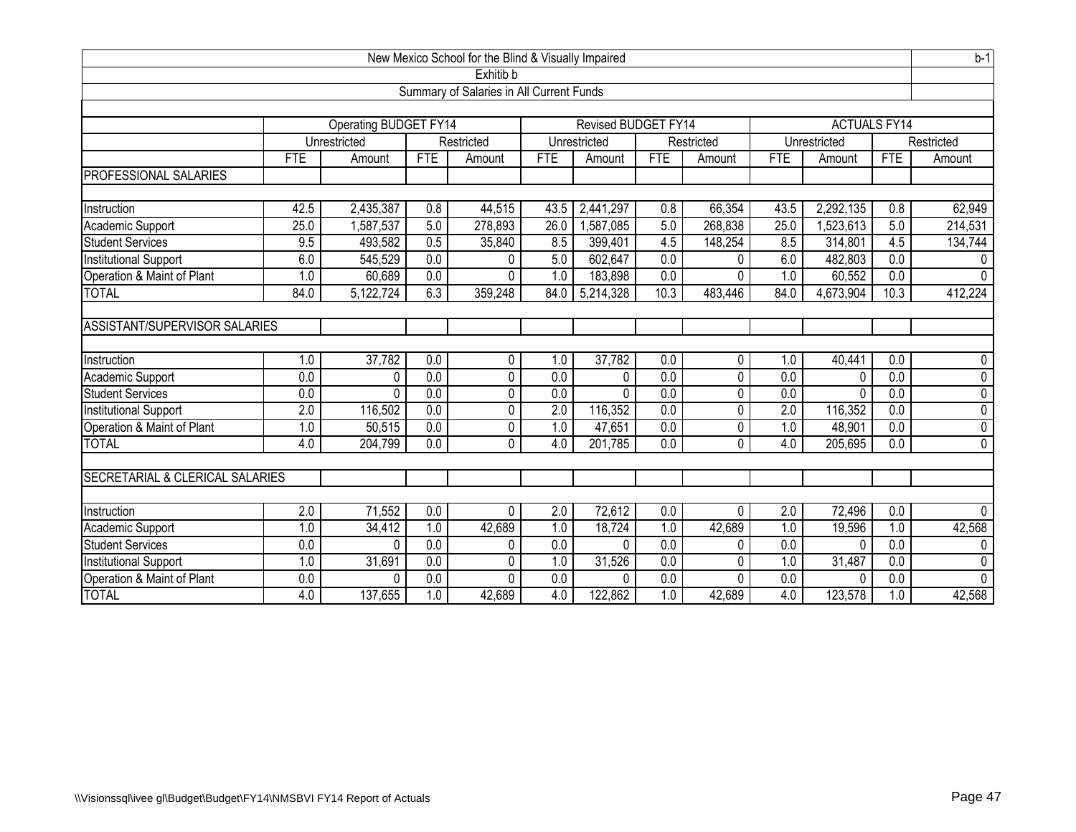|                                      | New Mexico School for the Blind & Visually Impaired |                              |                  |                                          |                  |                     |                  |                |                  |                     |                  | $b-1$          |
|--------------------------------------|-----------------------------------------------------|------------------------------|------------------|------------------------------------------|------------------|---------------------|------------------|----------------|------------------|---------------------|------------------|----------------|
|                                      |                                                     |                              |                  | Exhitib b                                |                  |                     |                  |                |                  |                     |                  |                |
|                                      |                                                     |                              |                  | Summary of Salaries in All Current Funds |                  |                     |                  |                |                  |                     |                  |                |
|                                      |                                                     |                              |                  |                                          |                  |                     |                  |                |                  |                     |                  |                |
|                                      |                                                     | <b>Operating BUDGET FY14</b> |                  |                                          |                  | Revised BUDGET FY14 |                  |                |                  | <b>ACTUALS FY14</b> |                  |                |
|                                      |                                                     | Unrestricted                 |                  | Restricted                               |                  | Unrestricted        |                  | Restricted     |                  | Unrestricted        |                  | Restricted     |
|                                      | <b>FTE</b>                                          | Amount                       | <b>FTE</b>       | Amount                                   | <b>FTE</b>       | Amount              | <b>FTE</b>       | Amount         | <b>FTE</b>       | Amount              | FTE              | Amount         |
| PROFESSIONAL SALARIES                |                                                     |                              |                  |                                          |                  |                     |                  |                |                  |                     |                  |                |
|                                      |                                                     |                              |                  |                                          |                  |                     |                  |                |                  |                     |                  |                |
| Instruction                          | 42.5                                                | 2,435,387                    | 0.8              | 44,515                                   | 43.5             | 2,441,297           | 0.8              | 66,354         | 43.5             | 2,292,135           | 0.8              | 62,949         |
| Academic Support                     | 25.0                                                | 1,587,537                    | 5.0              | 278,893                                  | 26.0             | 1,587,085           | 5.0              | 268,838        | 25.0             | 1,523,613           | 5.0              | 214,531        |
| <b>Student Services</b>              | 9.5                                                 | 493,582                      | 0.5              | 35,840                                   | 8.5              | 399,401             | 4.5              | 148,254        | 8.5              | 314,801             | 4.5              | 134,744        |
| <b>Institutional Support</b>         | 6.0                                                 | 545,529                      | $\overline{0.0}$ | 0                                        | 5.0              | 602,647             | 0.0              | 0              | 6.0              | 482,803             | $\overline{0.0}$ | $\mathbf{0}$   |
| Operation & Maint of Plant           | 1.0                                                 | 60,689                       | 0.0              | $\Omega$                                 | 1.0              | 183,898             | 0.0              | 0              | 1.0              | 60,552              | 0.0              | $\Omega$       |
| <b>TOTAL</b>                         | 84.0                                                | 5,122,724                    | 6.3              | 359,248                                  | 84.0             | 5,214,328           | 10.3             | 483,446        | 84.0             | 4,673,904           | 10.3             | 412,224        |
|                                      |                                                     |                              |                  |                                          |                  |                     |                  |                |                  |                     |                  |                |
| <b>ASSISTANT/SUPERVISOR SALARIES</b> |                                                     |                              |                  |                                          |                  |                     |                  |                |                  |                     |                  |                |
|                                      |                                                     |                              |                  |                                          |                  |                     |                  |                |                  |                     |                  |                |
| Instruction                          | 1.0                                                 | 37,782                       | 0.0              | 0                                        | 1.0              | 37,782              | 0.0              | 0              | 1.0              | 40,441              | $\overline{0.0}$ | $\mathbf 0$    |
| Academic Support                     | 0.0                                                 | 0                            | $\overline{0.0}$ | 0                                        | 0.0              | 0                   | 0.0              | 0              | 0.0              | 0                   | $\overline{0.0}$ | $\overline{0}$ |
| <b>Student Services</b>              | 0.0                                                 | $\Omega$                     | 0.0              | 0                                        | 0.0              | $\Omega$            | $\overline{0.0}$ | 0              | $\overline{0.0}$ | 0                   | $\overline{0.0}$ | $\overline{0}$ |
| <b>Institutional Support</b>         | $\overline{2.0}$                                    | 116,502                      | $\overline{0.0}$ | 0                                        | $\overline{2.0}$ | 116,352             | 0.0              | 0              | $\overline{2.0}$ | 116,352             | $\overline{0.0}$ | $\overline{0}$ |
| Operation & Maint of Plant           | 1.0                                                 | 50,515                       | 0.0              | 0                                        | 1.0              | 47,651              | $\overline{0.0}$ | $\overline{0}$ | 1.0              | 48,901              | 0.0              | $\overline{0}$ |
| <b>TOTAL</b>                         | 4.0                                                 | 204,799                      | $\overline{0.0}$ | $\mathbf 0$                              | 4.0              | 201,785             | $\overline{0.0}$ | $\overline{0}$ | 4.0              | 205,695             | $\overline{0.0}$ | $\overline{0}$ |
|                                      |                                                     |                              |                  |                                          |                  |                     |                  |                |                  |                     |                  |                |
| SECRETARIAL & CLERICAL SALARIES      |                                                     |                              |                  |                                          |                  |                     |                  |                |                  |                     |                  |                |
|                                      |                                                     |                              |                  |                                          |                  |                     |                  |                |                  |                     |                  |                |
| Instruction                          | $\overline{2.0}$                                    | 71,552                       | 0.0              | $\Omega$                                 | $\overline{2.0}$ | 72,612              | 0.0              | $\Omega$       | $\overline{2.0}$ | 72,496              | 0.0              | $\Omega$       |
| Academic Support                     | 1.0                                                 | 34,412                       | 1.0              | 42,689                                   | 1.0              | 18,724              | 1.0              | 42,689         | 1.0              | 19,596              | 1.0              | 42,568         |
| <b>Student Services</b>              | 0.0                                                 | $\Omega$                     | $\overline{0.0}$ | 0                                        | 0.0              | $\Omega$            | 0.0              | 0              | 0.0              | 0                   | $\overline{0.0}$ | $\Omega$       |
| <b>Institutional Support</b>         | 1.0                                                 | 31,691                       | 0.0              | 0                                        | 1.0              | 31,526              | 0.0              | 0              | 1.0              | 31,487              | 0.0              | $\mathbf{0}$   |
| Operation & Maint of Plant           | 0.0                                                 | $\Omega$                     | 0.0              | 0                                        | 0.0              | 0                   | 0.0              | 0              | 0.0              | 0                   | 0.0              | $\Omega$       |
| <b>TOTAL</b>                         | 4.0                                                 | 137,655                      | 1.0              | 42,689                                   | 4.0              | 122,862             | 1.0              | 42,689         | 4.0              | 123,578             | 1.0              | 42,568         |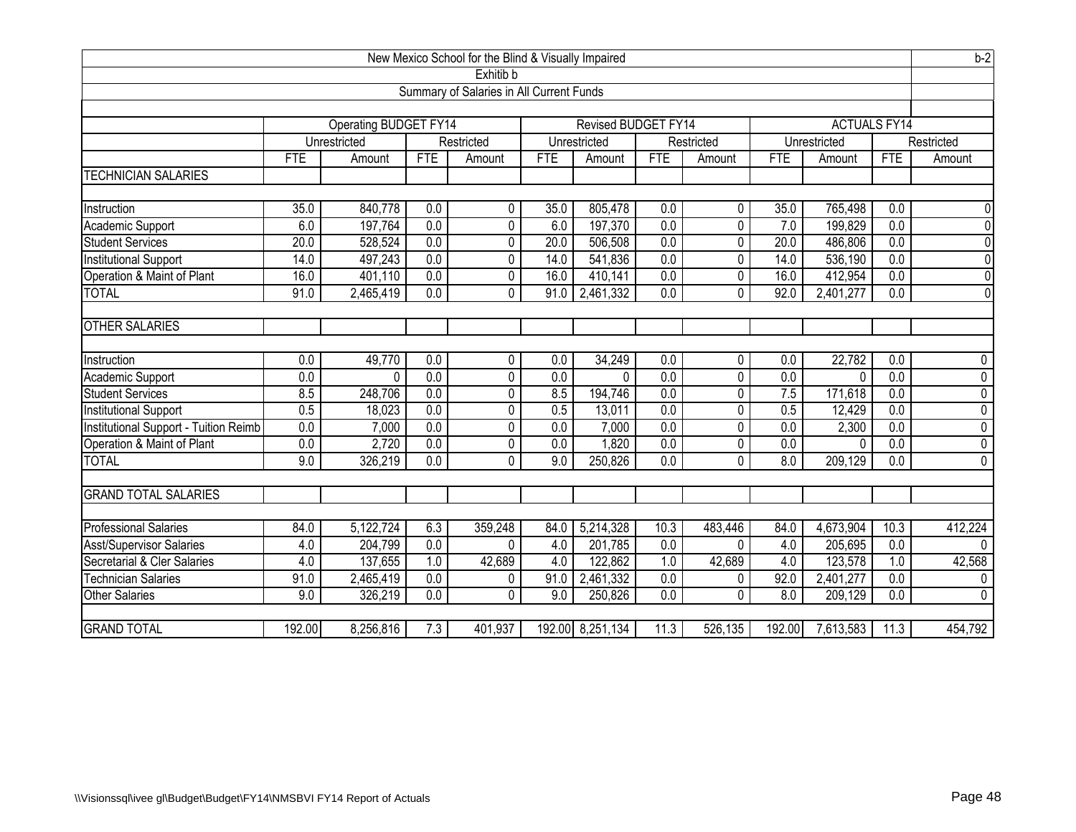|                                       |                  |                              |                  | New Mexico School for the Blind & Visually Impaired |            |                     |                  |                |                  |                     |                  | $b-2$          |
|---------------------------------------|------------------|------------------------------|------------------|-----------------------------------------------------|------------|---------------------|------------------|----------------|------------------|---------------------|------------------|----------------|
|                                       |                  |                              |                  | Exhitib b                                           |            |                     |                  |                |                  |                     |                  |                |
|                                       |                  |                              |                  | Summary of Salaries in All Current Funds            |            |                     |                  |                |                  |                     |                  |                |
|                                       |                  |                              |                  |                                                     |            |                     |                  |                |                  |                     |                  |                |
|                                       |                  | <b>Operating BUDGET FY14</b> |                  |                                                     |            | Revised BUDGET FY14 |                  |                |                  | <b>ACTUALS FY14</b> |                  |                |
|                                       |                  | Unrestricted                 |                  | Restricted                                          |            | Unrestricted        |                  | Restricted     |                  | Unrestricted        |                  | Restricted     |
|                                       | <b>FTE</b>       | Amount                       | <b>FTE</b>       | Amount                                              | <b>FTE</b> | Amount              | <b>FTE</b>       | Amount         | <b>FTE</b>       | Amount              | <b>FTE</b>       | Amount         |
| <b>TECHNICIAN SALARIES</b>            |                  |                              |                  |                                                     |            |                     |                  |                |                  |                     |                  |                |
|                                       |                  |                              |                  |                                                     |            |                     |                  |                |                  |                     |                  |                |
| Instruction                           | 35.0             | 840,778                      | 0.0              | 0                                                   | 35.0       | 805,478             | 0.0              | 0              | 35.0             | 765,498             | 0.0              | $\mathbf 0$    |
| Academic Support                      | 6.0              | 197,764                      | $\overline{0.0}$ | 0                                                   | 6.0        | 197,370             | 0.0              | 0              | 7.0              | 199,829             | $\overline{0.0}$ | $\overline{0}$ |
| <b>Student Services</b>               | 20.0             | 528,524                      | $\overline{0.0}$ | 0                                                   | 20.0       | 506,508             | 0.0              | 0              | 20.0             | 486,806             | $\overline{0.0}$ | $\overline{0}$ |
| <b>Institutional Support</b>          | 14.0             | 497,243                      | $\overline{0.0}$ | 0                                                   | 14.0       | 541,836             | 0.0              | 0              | 14.0             | 536,190             | $\overline{0.0}$ | $\overline{0}$ |
| Operation & Maint of Plant            | 16.0             | 401,110                      | 0.0              | 0                                                   | 16.0       | 410,141             | 0.0              | 0              | 16.0             | 412,954             | 0.0              | $\overline{0}$ |
| <b>TOTAL</b>                          | 91.0             | 2,465,419                    | 0.0              | $\Omega$                                            | 91.0       | 2,461,332           | 0.0              | $\Omega$       | 92.0             | 2,401,277           | 0.0              | $\overline{0}$ |
|                                       |                  |                              |                  |                                                     |            |                     |                  |                |                  |                     |                  |                |
| <b>OTHER SALARIES</b>                 |                  |                              |                  |                                                     |            |                     |                  |                |                  |                     |                  |                |
|                                       |                  |                              |                  |                                                     |            |                     |                  |                |                  |                     |                  |                |
| Instruction                           | 0.0              | 49,770                       | 0.0              | $\mathbf{0}$                                        | 0.0        | 34,249              | 0.0              | 0              | $\overline{0.0}$ | 22,782              | 0.0              | $\mathbf 0$    |
| Academic Support                      | 0.0              | $\Omega$                     | 0.0              | 0                                                   | 0.0        | $\Omega$            | $\overline{0.0}$ | $\overline{0}$ | $\overline{0.0}$ | $\Omega$            | 0.0              | $\overline{0}$ |
| <b>Student Services</b>               | 8.5              | 248,706                      | $\overline{0.0}$ | 0                                                   | 8.5        | 194,746             | $\overline{0.0}$ | 0              | 7.5              | 171,618             | $\overline{0.0}$ | $\overline{0}$ |
| <b>Institutional Support</b>          | 0.5              | 18,023                       | $\overline{0.0}$ | 0                                                   | 0.5        | 13,011              | 0.0              | 0              | 0.5              | 12,429              | $\overline{0.0}$ | $\overline{0}$ |
| Institutional Support - Tuition Reimb | $\overline{0.0}$ | 7,000                        | 0.0              | 0                                                   | 0.0        | 7,000               | $\overline{0.0}$ | 0              | $\overline{0.0}$ | 2,300               | 0.0              | $\overline{0}$ |
| Operation & Maint of Plant            | 0.0              | 2,720                        | $\overline{0.0}$ | 0                                                   | 0.0        | 1,820               | 0.0              | 0              | $\overline{0.0}$ | 0                   | $\overline{0.0}$ | $\overline{0}$ |
| <b>TOTAL</b>                          | 9.0              | 326,219                      | 0.0              | 0                                                   | 9.0        | 250,826             | 0.0              | 0              | 8.0              | 209,129             | 0.0              | $\mathbf 0$    |
|                                       |                  |                              |                  |                                                     |            |                     |                  |                |                  |                     |                  |                |
| <b>GRAND TOTAL SALARIES</b>           |                  |                              |                  |                                                     |            |                     |                  |                |                  |                     |                  |                |
|                                       |                  |                              |                  |                                                     |            |                     |                  |                |                  |                     |                  |                |
| <b>Professional Salaries</b>          | 84.0             | 5,122,724                    | 6.3              | 359,248                                             | 84.0       | 5,214,328           | 10.3             | 483,446        | 84.0             | 4,673,904           | 10.3             | 412,224        |
| <b>Asst/Supervisor Salaries</b>       | 4.0              | 204,799                      | $\overline{0.0}$ | 0                                                   | 4.0        | 201,785             | 0.0              | 0              | 4.0              | 205,695             | 0.0              | $\Omega$       |
| Secretarial & Cler Salaries           | 4.0              | 137,655                      | 1.0              | 42,689                                              | 4.0        | 122,862             | 1.0              | 42,689         | 4.0              | 123,578             | 1.0              | 42,568         |
| <b>Technician Salaries</b>            | 91.0             | 2,465,419                    | $\overline{0.0}$ | 0                                                   | 91.0       | 2,461,332           | 0.0              | 0              | 92.0             | 2,401,277           | $\overline{0.0}$ | $\mathbf 0$    |
| <b>Other Salaries</b>                 | 9.0              | 326,219                      | 0.0              | $\mathbf{0}$                                        | 9.0        | 250,826             | $\overline{0.0}$ | $\overline{0}$ | 8.0              | 209,129             | 0.0              | $\overline{0}$ |
|                                       |                  |                              |                  |                                                     |            |                     |                  |                |                  |                     |                  |                |
| <b>GRAND TOTAL</b>                    | 192.00           | 8,256,816                    | 7.3              | 401,937                                             |            | 192.00 8,251,134    | 11.3             | 526,135        | 192.00           | 7,613,583           | 11.3             | 454,792        |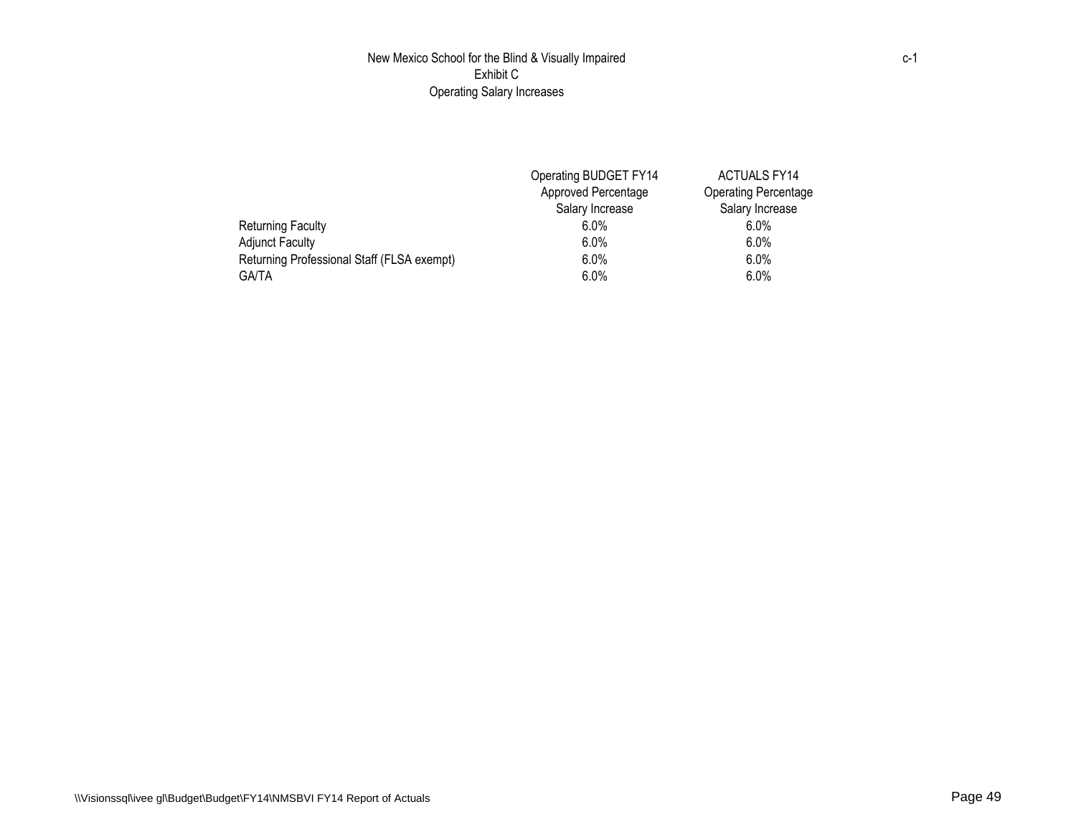## New Mexico School for the Blind & Visually Impaired Exhibit C Operating Salary Increases

|                                            | Operating BUDGET FY14 | <b>ACTUALS FY14</b>         |
|--------------------------------------------|-----------------------|-----------------------------|
|                                            | Approved Percentage   | <b>Operating Percentage</b> |
|                                            | Salary Increase       | Salary Increase             |
| Returning Faculty                          | $6.0\%$               | $6.0\%$                     |
| <b>Adjunct Faculty</b>                     | $6.0\%$               | $6.0\%$                     |
| Returning Professional Staff (FLSA exempt) | $6.0\%$               | $6.0\%$                     |
| <b>GA/TA</b>                               | $6.0\%$               | $6.0\%$                     |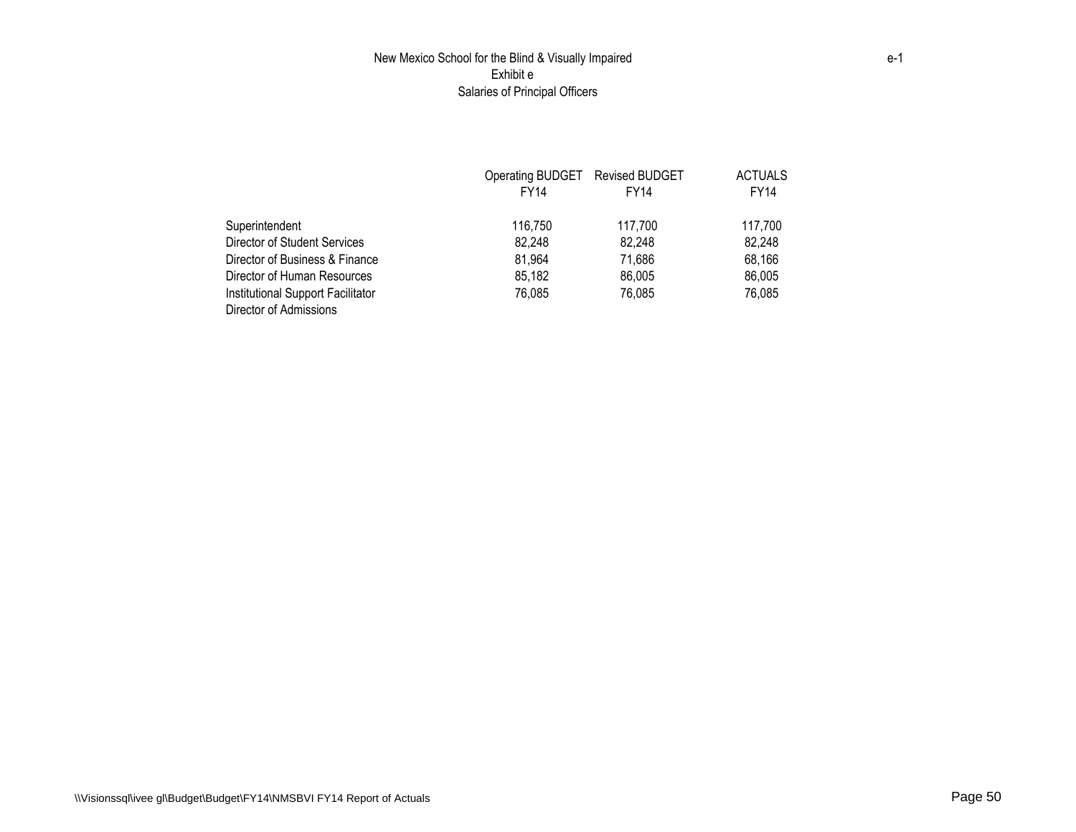## New Mexico School for the Blind & Visually Impaired Exhibit e Salaries of Principal Officers

|                                   | Operating BUDGET Revised BUDGET |         | <b>ACTUALS</b> |
|-----------------------------------|---------------------------------|---------|----------------|
|                                   | <b>FY14</b>                     | FY14    | <b>FY14</b>    |
| Superintendent                    | 116.750                         | 117.700 | 117.700        |
| Director of Student Services      | 82,248                          | 82,248  | 82,248         |
| Director of Business & Finance    | 81,964                          | 71,686  | 68,166         |
| Director of Human Resources       | 85,182                          | 86,005  | 86,005         |
| Institutional Support Facilitator | 76.085                          | 76,085  | 76,085         |
| Director of Admissions            |                                 |         |                |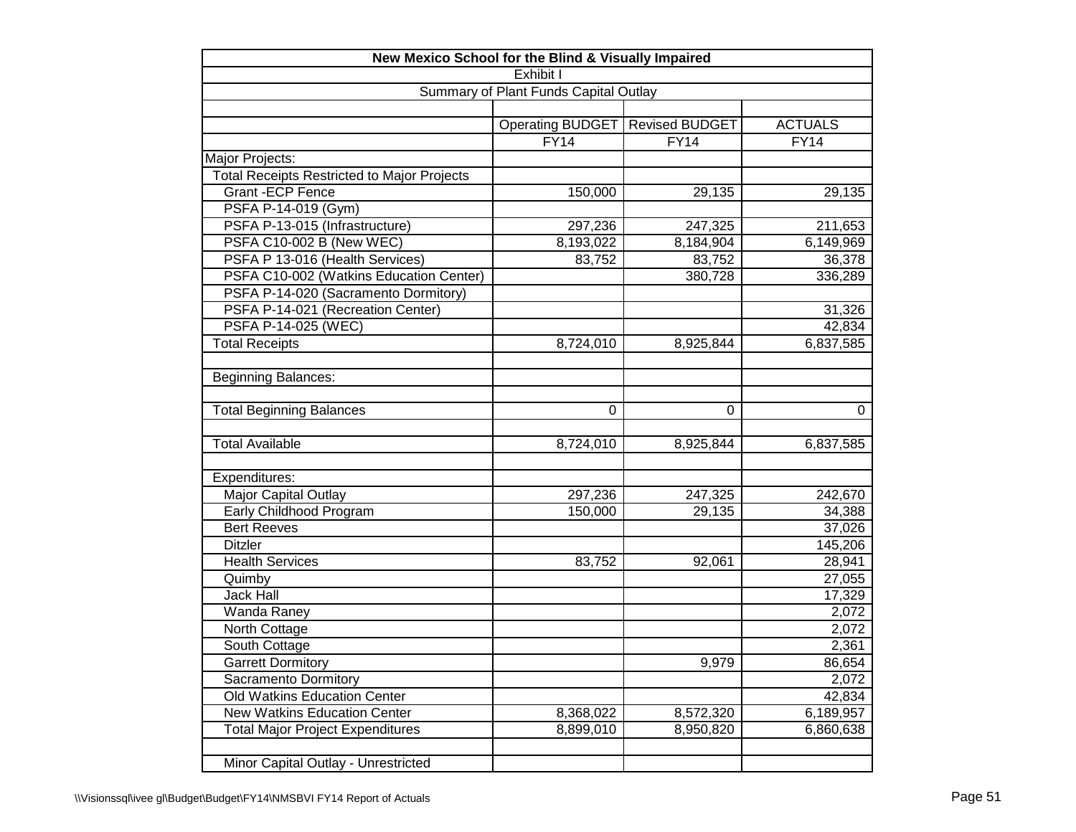| New Mexico School for the Blind & Visually Impaired |                           |                       |                |
|-----------------------------------------------------|---------------------------|-----------------------|----------------|
|                                                     | Exhibit I                 |                       |                |
| Summary of Plant Funds Capital Outlay               |                           |                       |                |
|                                                     |                           |                       |                |
|                                                     | Operating BUDGET          | <b>Revised BUDGET</b> | <b>ACTUALS</b> |
|                                                     | <b>FY14</b>               | FY14                  | <b>FY14</b>    |
| Major Projects:                                     |                           |                       |                |
| <b>Total Receipts Restricted to Major Projects</b>  |                           |                       |                |
| <b>Grant-ECP Fence</b>                              | 150,000                   | 29, 135               | 29,135         |
| PSFA P-14-019 (Gym)                                 |                           |                       |                |
| PSFA P-13-015 (Infrastructure)                      | 297,236                   | 247,325               | 211,653        |
| PSFA C10-002 B (New WEC)                            | $\overline{8}$ , 193, 022 | 8,184,904             | 6,149,969      |
| PSFA P 13-016 (Health Services)                     | 83,752                    | 83,752                | 36,378         |
| PSFA C10-002 (Watkins Education Center)             |                           | 380,728               | 336,289        |
| PSFA P-14-020 (Sacramento Dormitory)                |                           |                       |                |
| PSFA P-14-021 (Recreation Center)                   |                           |                       | 31,326         |
| PSFA P-14-025 (WEC)                                 |                           |                       | 42,834         |
| <b>Total Receipts</b>                               | 8,724,010                 | 8,925,844             | 6,837,585      |
|                                                     |                           |                       |                |
| <b>Beginning Balances:</b>                          |                           |                       |                |
|                                                     |                           |                       |                |
| <b>Total Beginning Balances</b>                     | $\Omega$                  | $\Omega$              | $\mathbf 0$    |
|                                                     |                           |                       |                |
| <b>Total Available</b>                              | 8,724,010                 | 8,925,844             | 6,837,585      |
|                                                     |                           |                       |                |
| Expenditures:                                       |                           |                       |                |
| Major Capital Outlay                                | 297,236                   | 247,325               | 242,670        |
| Early Childhood Program                             | 150,000                   | 29,135                | 34,388         |
| <b>Bert Reeves</b>                                  |                           |                       | 37,026         |
| <b>Ditzler</b>                                      |                           |                       | 145,206        |
| <b>Health Services</b>                              | 83,752                    | 92,061                | 28,941         |
| Quimby                                              |                           |                       | 27,055         |
| <b>Jack Hall</b>                                    |                           |                       | 17,329         |
| Wanda Raney                                         |                           |                       | 2,072          |
| North Cottage                                       |                           |                       | 2,072          |
| South Cottage                                       |                           |                       | 2,361          |
| <b>Garrett Dormitory</b>                            |                           | 9,979                 | 86,654         |
| Sacramento Dormitory                                |                           |                       | 2,072          |
| Old Watkins Education Center                        |                           |                       | 42,834         |
| <b>New Watkins Education Center</b>                 | 8,368,022                 | 8,572,320             | 6,189,957      |
| <b>Total Major Project Expenditures</b>             | 8,899,010                 | 8,950,820             | 6,860,638      |
|                                                     |                           |                       |                |
| Minor Capital Outlay - Unrestricted                 |                           |                       |                |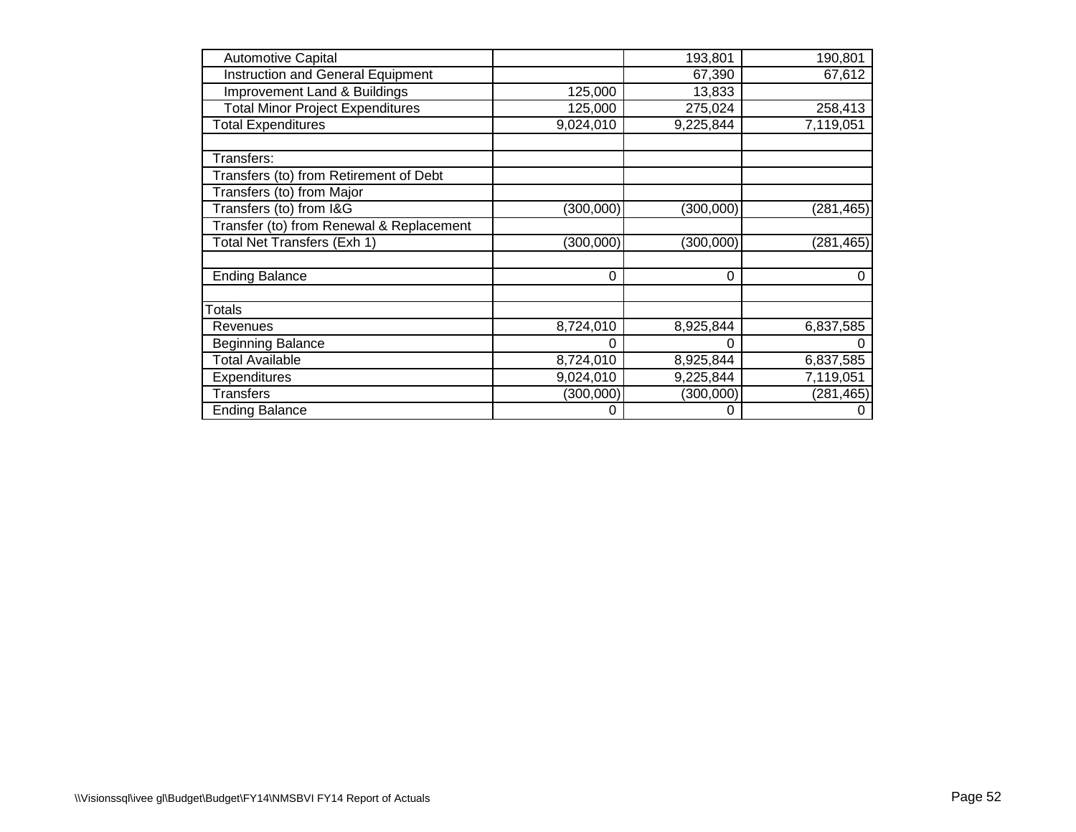| <b>Automotive Capital</b>                |           | 193,801   | 190,801    |
|------------------------------------------|-----------|-----------|------------|
| <b>Instruction and General Equipment</b> |           | 67,390    | 67,612     |
| <b>Improvement Land &amp; Buildings</b>  | 125,000   | 13,833    |            |
| <b>Total Minor Project Expenditures</b>  | 125,000   | 275,024   | 258,413    |
| <b>Total Expenditures</b>                | 9,024,010 | 9,225,844 | 7,119,051  |
| Transfers:                               |           |           |            |
| Transfers (to) from Retirement of Debt   |           |           |            |
| Transfers (to) from Major                |           |           |            |
| Transfers (to) from I&G                  | (300,000) | (300,000) | (281, 465) |
| Transfer (to) from Renewal & Replacement |           |           |            |
| Total Net Transfers (Exh 1)              | (300,000) | (300,000) | (281, 465) |
| <b>Ending Balance</b>                    | 0         | 0         | 0          |
| Totals                                   |           |           |            |
| Revenues                                 | 8,724,010 | 8,925,844 | 6,837,585  |
| Beginning Balance                        |           |           |            |
| <b>Total Available</b>                   | 8,724,010 | 8,925,844 | 6,837,585  |
| Expenditures                             | 9,024,010 | 9,225,844 | 7,119,051  |
| <b>Transfers</b>                         | (300,000) | (300,000) | (281, 465) |
| <b>Ending Balance</b>                    | 0         | 0         | 0          |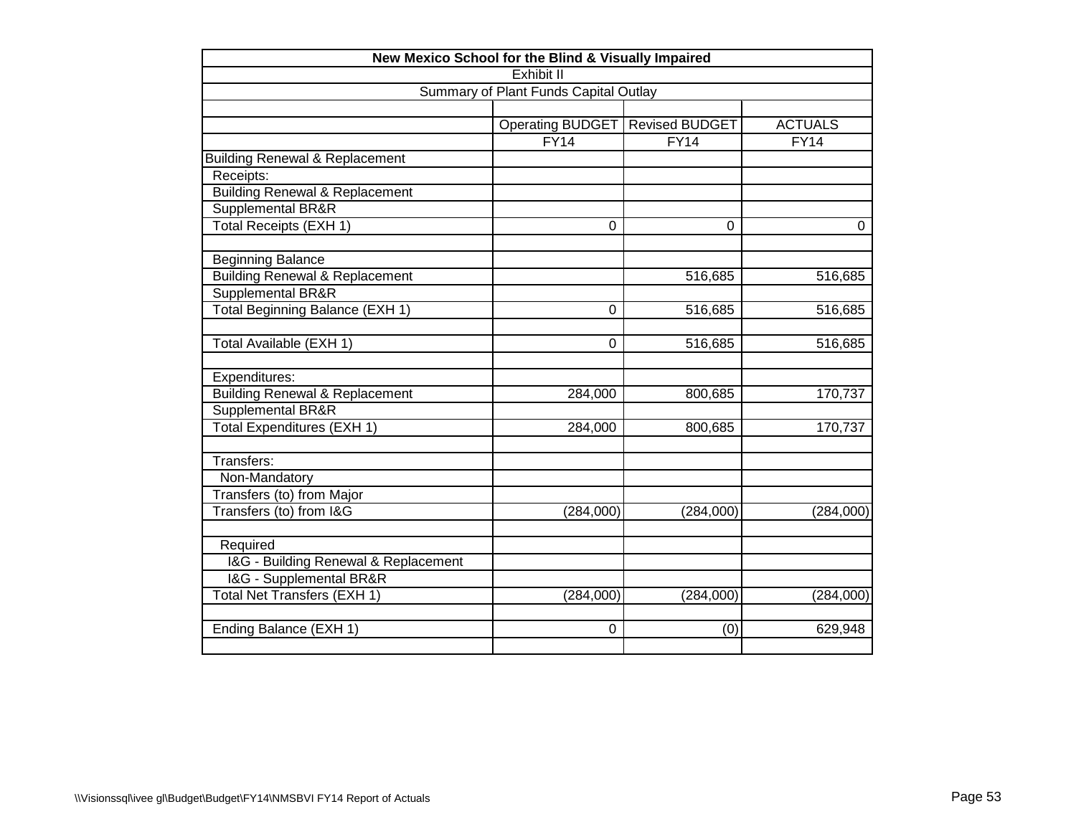| New Mexico School for the Blind & Visually Impaired |                                       |                       |                |  |
|-----------------------------------------------------|---------------------------------------|-----------------------|----------------|--|
| Exhibit II                                          |                                       |                       |                |  |
|                                                     | Summary of Plant Funds Capital Outlay |                       |                |  |
|                                                     |                                       |                       |                |  |
|                                                     | Operating BUDGET                      | <b>Revised BUDGET</b> | <b>ACTUALS</b> |  |
|                                                     | FY14                                  | FY14                  | FY14           |  |
| <b>Building Renewal &amp; Replacement</b>           |                                       |                       |                |  |
| Receipts:                                           |                                       |                       |                |  |
| <b>Building Renewal &amp; Replacement</b>           |                                       |                       |                |  |
| Supplemental BR&R                                   |                                       |                       |                |  |
| <b>Total Receipts (EXH 1)</b>                       | 0                                     | $\Omega$              | $\Omega$       |  |
| <b>Beginning Balance</b>                            |                                       |                       |                |  |
| <b>Building Renewal &amp; Replacement</b>           |                                       | 516,685               | 516,685        |  |
| <b>Supplemental BR&amp;R</b>                        |                                       |                       |                |  |
| Total Beginning Balance (EXH 1)                     | 0                                     | 516,685               | 516,685        |  |
| Total Available (EXH 1)                             | 0                                     | 516,685               | 516,685        |  |
| Expenditures:                                       |                                       |                       |                |  |
| <b>Building Renewal &amp; Replacement</b>           | 284,000                               | 800,685               | 170,737        |  |
| <b>Supplemental BR&amp;R</b>                        |                                       |                       |                |  |
| Total Expenditures (EXH 1)                          | 284,000                               | 800,685               | 170,737        |  |
| Transfers:                                          |                                       |                       |                |  |
| Non-Mandatory                                       |                                       |                       |                |  |
| Transfers (to) from Major                           |                                       |                       |                |  |
| Transfers (to) from I&G                             | (284,000)                             | (284,000)             | (284,000)      |  |
| Required                                            |                                       |                       |                |  |
| I&G - Building Renewal & Replacement                |                                       |                       |                |  |
| I&G - Supplemental BR&R                             |                                       |                       |                |  |
| Total Net Transfers (EXH 1)                         | (284,000)                             | (284,000)             | (284,000)      |  |
| Ending Balance (EXH 1)                              | 0                                     | (0)                   | 629,948        |  |
|                                                     |                                       |                       |                |  |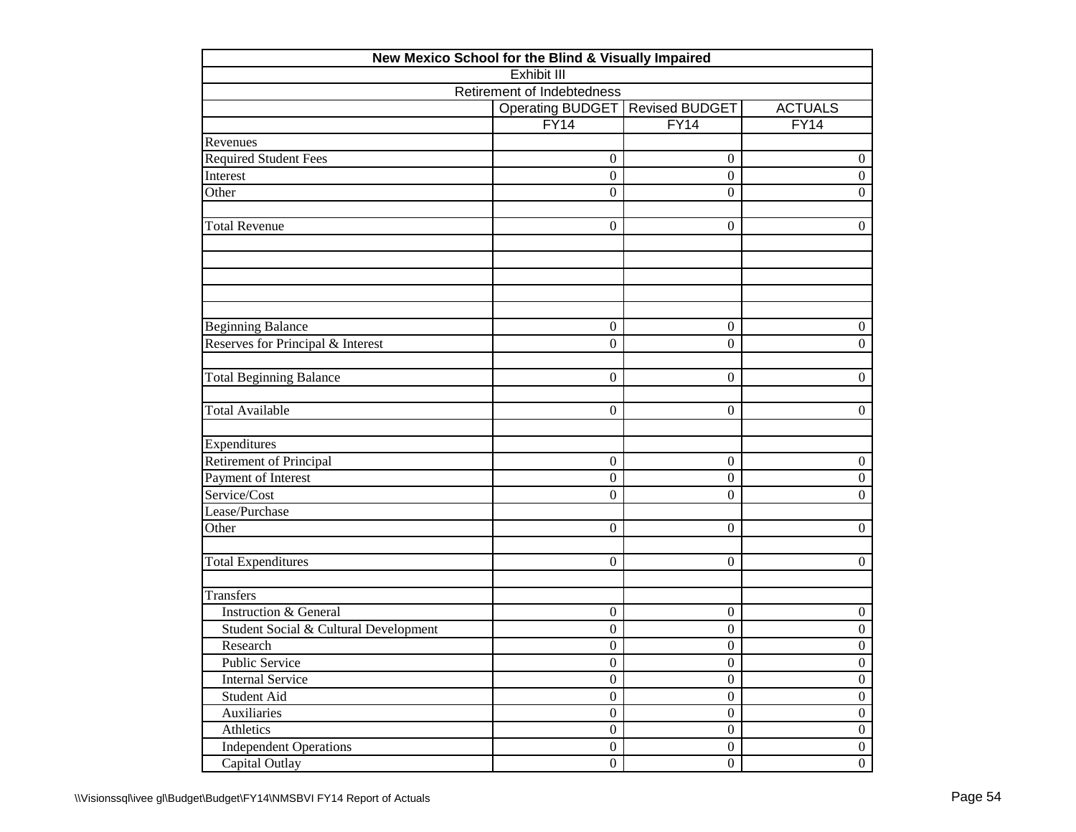| New Mexico School for the Blind & Visually Impaired |                            |                  |                  |
|-----------------------------------------------------|----------------------------|------------------|------------------|
|                                                     | <b>Exhibit III</b>         |                  |                  |
|                                                     | Retirement of Indebtedness |                  |                  |
|                                                     | <b>Operating BUDGET</b>    | Revised BUDGET   | <b>ACTUALS</b>   |
|                                                     | FY14                       | FY14             | FY14             |
| Revenues                                            |                            |                  |                  |
| <b>Required Student Fees</b>                        | $\overline{0}$             | $\mathbf{0}$     | $\boldsymbol{0}$ |
| Interest                                            | $\overline{0}$             | $\boldsymbol{0}$ | $\boldsymbol{0}$ |
| Other                                               | $\theta$                   | $\overline{0}$   | $\Omega$         |
| <b>Total Revenue</b>                                | $\overline{0}$             | $\mathbf{0}$     | $\boldsymbol{0}$ |
|                                                     |                            |                  |                  |
|                                                     |                            |                  |                  |
| <b>Beginning Balance</b>                            | $\boldsymbol{0}$           | $\mathbf{0}$     | $\boldsymbol{0}$ |
| Reserves for Principal & Interest                   | $\overline{0}$             | $\boldsymbol{0}$ | $\mathbf{0}$     |
| <b>Total Beginning Balance</b>                      | $\overline{0}$             | $\boldsymbol{0}$ | $\boldsymbol{0}$ |
| <b>Total Available</b>                              | $\overline{0}$             | $\mathbf{0}$     | $\boldsymbol{0}$ |
| Expenditures                                        |                            |                  |                  |
| <b>Retirement of Principal</b>                      | $\overline{0}$             | $\boldsymbol{0}$ | $\boldsymbol{0}$ |
| Payment of Interest                                 | $\boldsymbol{0}$           | $\boldsymbol{0}$ | $\boldsymbol{0}$ |
| Service/Cost                                        | $\theta$                   | $\boldsymbol{0}$ | $\boldsymbol{0}$ |
| Lease/Purchase                                      |                            |                  |                  |
| Other                                               | $\overline{0}$             | $\mathbf{0}$     | $\boldsymbol{0}$ |
| <b>Total Expenditures</b>                           | $\overline{0}$             | $\boldsymbol{0}$ | $\boldsymbol{0}$ |
| Transfers                                           |                            |                  |                  |
| <b>Instruction &amp; General</b>                    | $\boldsymbol{0}$           | $\boldsymbol{0}$ | $\boldsymbol{0}$ |
| Student Social & Cultural Development               | $\boldsymbol{0}$           | $\boldsymbol{0}$ | $\boldsymbol{0}$ |
| Research                                            | $\overline{0}$             | $\boldsymbol{0}$ | $\boldsymbol{0}$ |
| Public Service                                      | $\boldsymbol{0}$           | $\boldsymbol{0}$ | $\boldsymbol{0}$ |
| <b>Internal Service</b>                             | $\overline{0}$             | $\overline{0}$   | $\overline{0}$   |
| Student Aid                                         | $\boldsymbol{0}$           | $\boldsymbol{0}$ | $\boldsymbol{0}$ |
| <b>Auxiliaries</b>                                  | $\boldsymbol{0}$           | $\boldsymbol{0}$ | $\boldsymbol{0}$ |
| Athletics                                           | $\boldsymbol{0}$           | $\boldsymbol{0}$ | $\boldsymbol{0}$ |
| <b>Independent Operations</b>                       | $\boldsymbol{0}$           | $\overline{0}$   | $\boldsymbol{0}$ |
| Capital Outlay                                      | $\boldsymbol{0}$           | $\boldsymbol{0}$ | $\boldsymbol{0}$ |